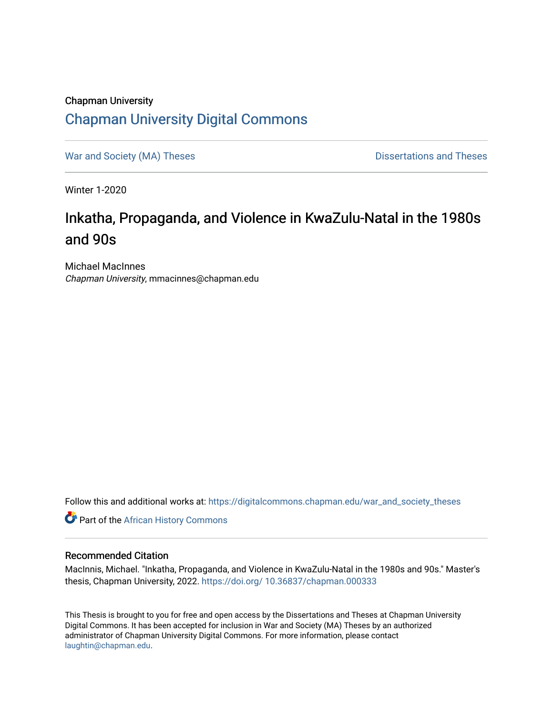# Chapman University [Chapman University Digital Commons](https://digitalcommons.chapman.edu/)

[War and Society \(MA\) Theses](https://digitalcommons.chapman.edu/war_and_society_theses) **Dissertations and Theses** Dissertations and Theses

Winter 1-2020

# Inkatha, Propaganda, and Violence in KwaZulu-Natal in the 1980s and 90s

Michael MacInnes Chapman University, mmacinnes@chapman.edu

Follow this and additional works at: [https://digitalcommons.chapman.edu/war\\_and\\_society\\_theses](https://digitalcommons.chapman.edu/war_and_society_theses?utm_source=digitalcommons.chapman.edu%2Fwar_and_society_theses%2F25&utm_medium=PDF&utm_campaign=PDFCoverPages) 

**Part of the [African History Commons](http://network.bepress.com/hgg/discipline/490?utm_source=digitalcommons.chapman.edu%2Fwar_and_society_theses%2F25&utm_medium=PDF&utm_campaign=PDFCoverPages)** 

#### Recommended Citation

MacInnis, Michael. "Inkatha, Propaganda, and Violence in KwaZulu-Natal in the 1980s and 90s." Master's thesis, Chapman University, 2022. [https://doi.org/ 10.36837/chapman.000333](https://doi.org/%2010.36837/chapman.000333)

This Thesis is brought to you for free and open access by the Dissertations and Theses at Chapman University Digital Commons. It has been accepted for inclusion in War and Society (MA) Theses by an authorized administrator of Chapman University Digital Commons. For more information, please contact [laughtin@chapman.edu.](mailto:laughtin@chapman.edu)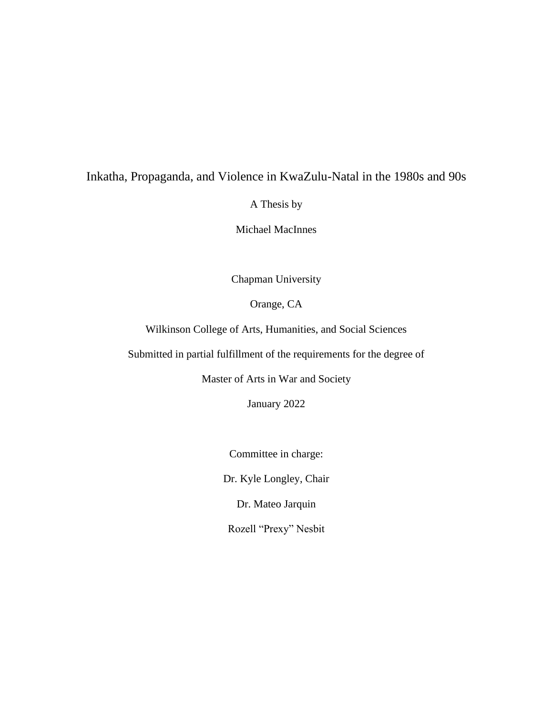## Inkatha, Propaganda, and Violence in KwaZulu-Natal in the 1980s and 90s

A Thesis by

Michael MacInnes

Chapman University

Orange, CA

Wilkinson College of Arts, Humanities, and Social Sciences

Submitted in partial fulfillment of the requirements for the degree of

Master of Arts in War and Society

January 2022

Committee in charge:

Dr. Kyle Longley, Chair

Dr. Mateo Jarquin

Rozell "Prexy" Nesbit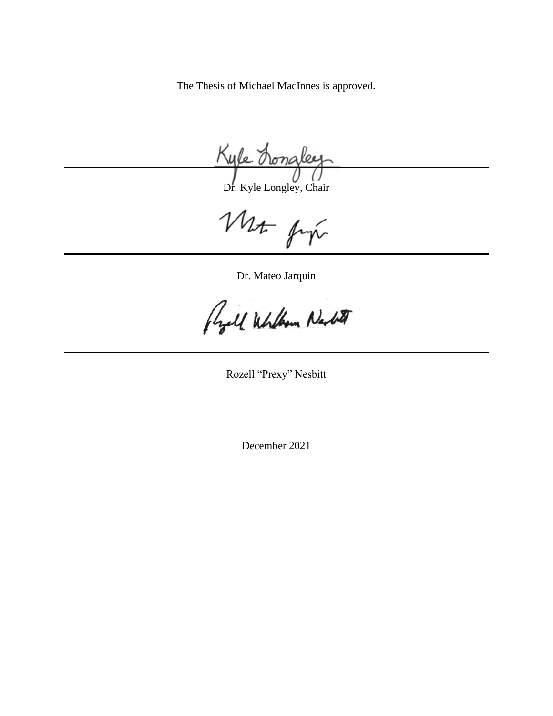The Thesis of Michael MacInnes is approved.

Kyle hona

Dr. Kyle Longley, Chair

Mr fix

Dr. Mateo Jarquin

Regall Whithow Nacht

Rozell "Prexy" Nesbitt

December 2021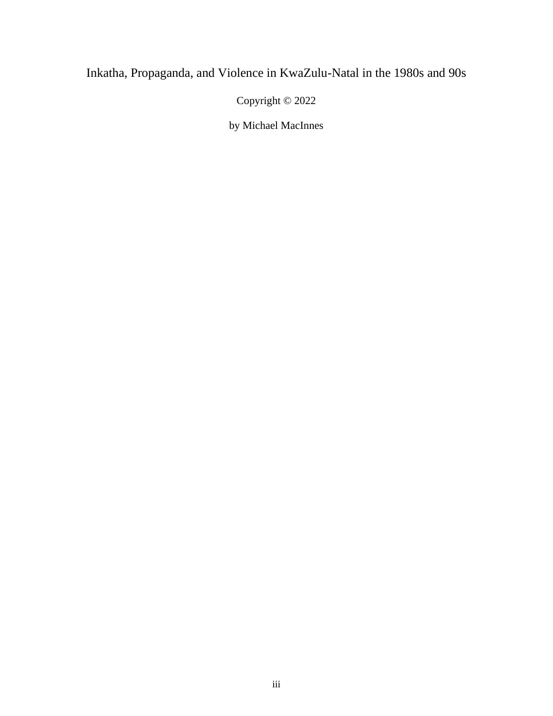# Inkatha, Propaganda, and Violence in KwaZulu-Natal in the 1980s and 90s

Copyright © 2022

by Michael MacInnes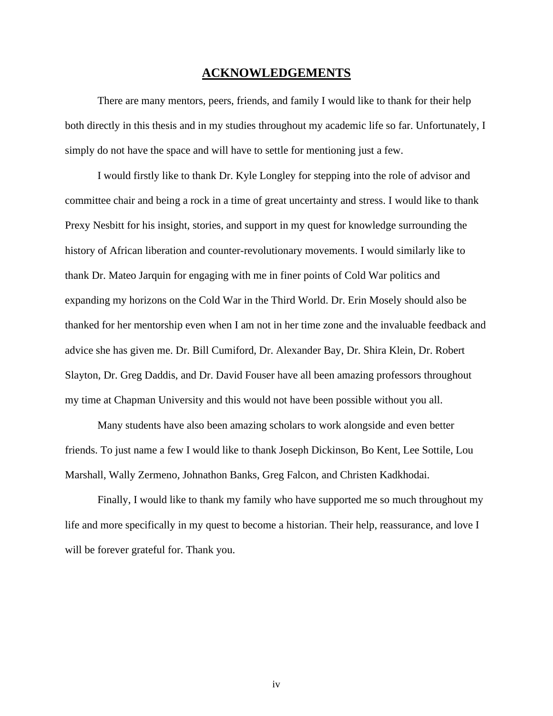#### **ACKNOWLEDGEMENTS**

There are many mentors, peers, friends, and family I would like to thank for their help both directly in this thesis and in my studies throughout my academic life so far. Unfortunately, I simply do not have the space and will have to settle for mentioning just a few.

I would firstly like to thank Dr. Kyle Longley for stepping into the role of advisor and committee chair and being a rock in a time of great uncertainty and stress. I would like to thank Prexy Nesbitt for his insight, stories, and support in my quest for knowledge surrounding the history of African liberation and counter-revolutionary movements. I would similarly like to thank Dr. Mateo Jarquin for engaging with me in finer points of Cold War politics and expanding my horizons on the Cold War in the Third World. Dr. Erin Mosely should also be thanked for her mentorship even when I am not in her time zone and the invaluable feedback and advice she has given me. Dr. Bill Cumiford, Dr. Alexander Bay, Dr. Shira Klein, Dr. Robert Slayton, Dr. Greg Daddis, and Dr. David Fouser have all been amazing professors throughout my time at Chapman University and this would not have been possible without you all.

Many students have also been amazing scholars to work alongside and even better friends. To just name a few I would like to thank Joseph Dickinson, Bo Kent, Lee Sottile, Lou Marshall, Wally Zermeno, Johnathon Banks, Greg Falcon, and Christen Kadkhodai.

Finally, I would like to thank my family who have supported me so much throughout my life and more specifically in my quest to become a historian. Their help, reassurance, and love I will be forever grateful for. Thank you.

iv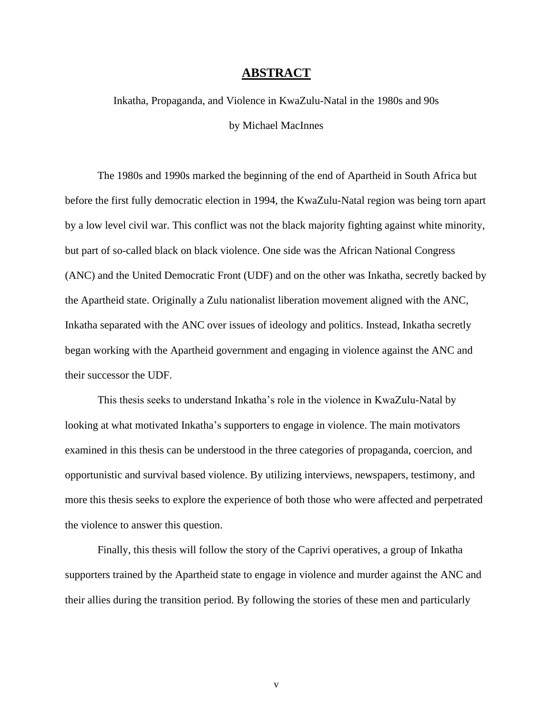#### **ABSTRACT**

Inkatha, Propaganda, and Violence in KwaZulu-Natal in the 1980s and 90s by Michael MacInnes

The 1980s and 1990s marked the beginning of the end of Apartheid in South Africa but before the first fully democratic election in 1994, the KwaZulu-Natal region was being torn apart by a low level civil war. This conflict was not the black majority fighting against white minority, but part of so-called black on black violence. One side was the African National Congress (ANC) and the United Democratic Front (UDF) and on the other was Inkatha, secretly backed by the Apartheid state. Originally a Zulu nationalist liberation movement aligned with the ANC, Inkatha separated with the ANC over issues of ideology and politics. Instead, Inkatha secretly began working with the Apartheid government and engaging in violence against the ANC and their successor the UDF.

This thesis seeks to understand Inkatha's role in the violence in KwaZulu-Natal by looking at what motivated Inkatha's supporters to engage in violence. The main motivators examined in this thesis can be understood in the three categories of propaganda, coercion, and opportunistic and survival based violence. By utilizing interviews, newspapers, testimony, and more this thesis seeks to explore the experience of both those who were affected and perpetrated the violence to answer this question.

Finally, this thesis will follow the story of the Caprivi operatives, a group of Inkatha supporters trained by the Apartheid state to engage in violence and murder against the ANC and their allies during the transition period. By following the stories of these men and particularly

v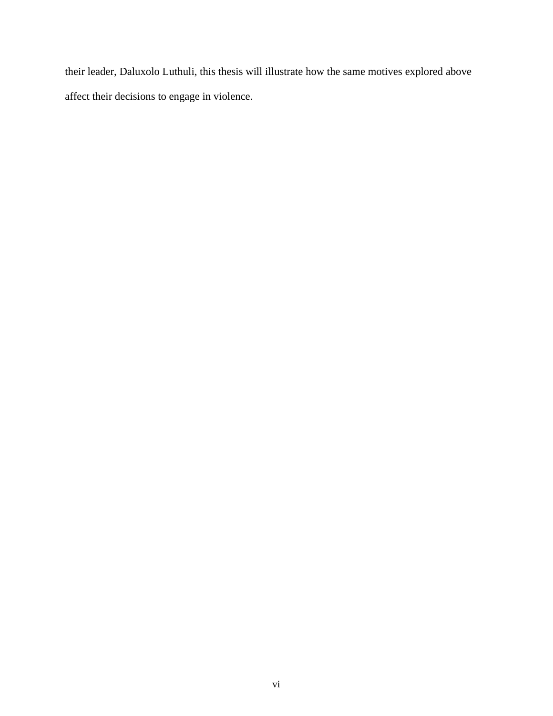their leader, Daluxolo Luthuli, this thesis will illustrate how the same motives explored above affect their decisions to engage in violence.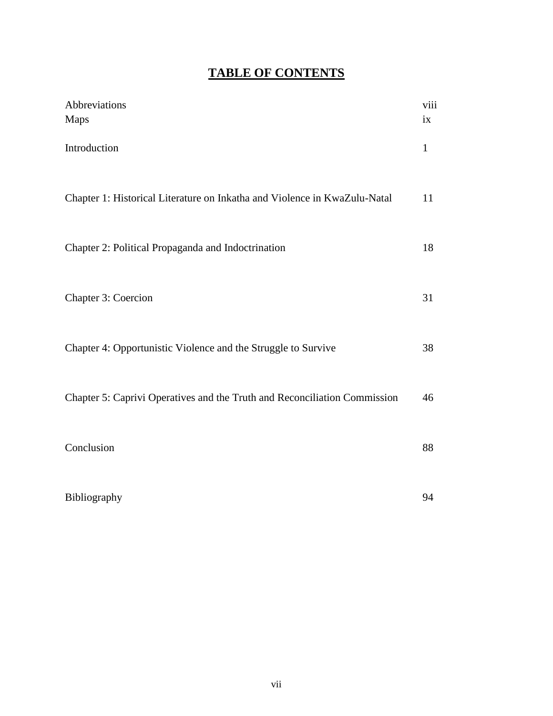# **TABLE OF CONTENTS**

| Abbreviations<br><b>Maps</b>                                              | viii<br>ix   |
|---------------------------------------------------------------------------|--------------|
| Introduction                                                              | $\mathbf{1}$ |
| Chapter 1: Historical Literature on Inkatha and Violence in KwaZulu-Natal | 11           |
| Chapter 2: Political Propaganda and Indoctrination                        | 18           |
| Chapter 3: Coercion                                                       | 31           |
| Chapter 4: Opportunistic Violence and the Struggle to Survive             | 38           |
| Chapter 5: Caprivi Operatives and the Truth and Reconciliation Commission | 46           |
| Conclusion                                                                | 88           |
| Bibliography                                                              | 94           |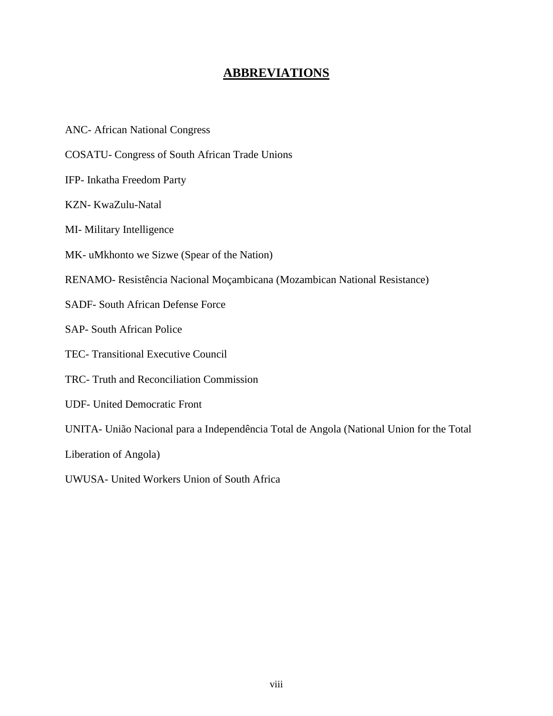## **ABBREVIATIONS**

- ANC- African National Congress
- COSATU- Congress of South African Trade Unions
- IFP- Inkatha Freedom Party
- KZN- KwaZulu-Natal
- MI- Military Intelligence
- MK- uMkhonto we Sizwe (Spear of the Nation)
- RENAMO- Resistência Nacional Moçambicana (Mozambican National Resistance)
- SADF- South African Defense Force
- SAP- South African Police
- TEC- Transitional Executive Council
- TRC- Truth and Reconciliation Commission
- UDF- United Democratic Front

UNITA- União Nacional para a Independência Total de Angola (National Union for the Total

Liberation of Angola)

UWUSA- United Workers Union of South Africa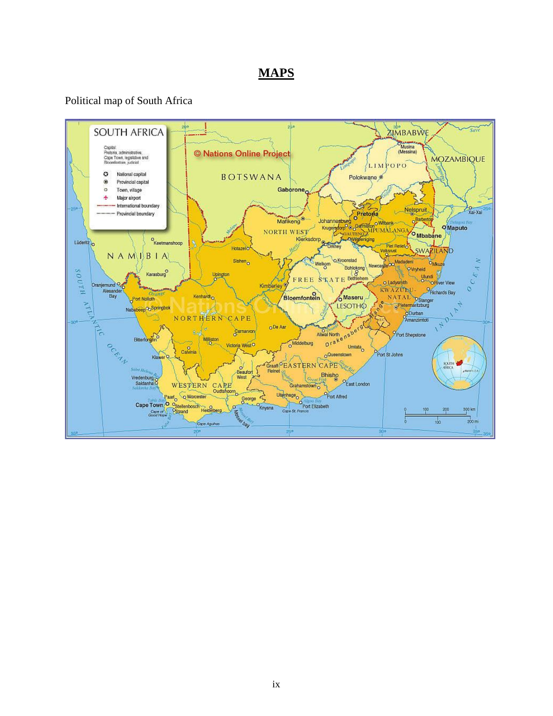## **MAPS**

### Political map of South Africa

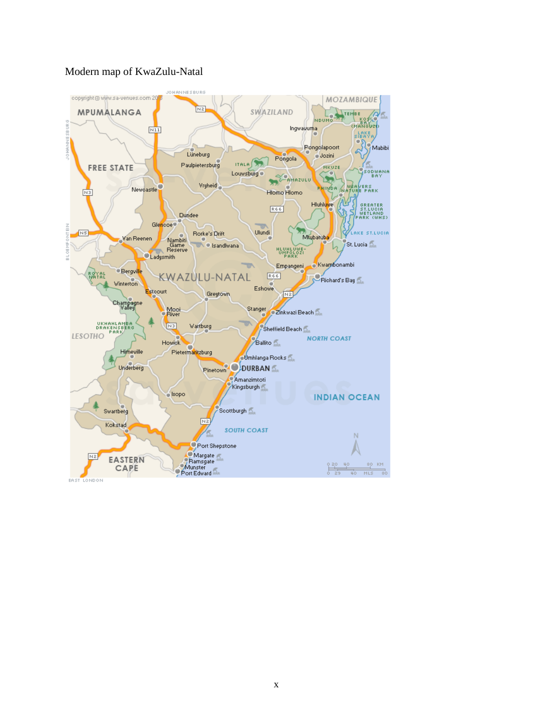### Modern map of KwaZulu-Natal



x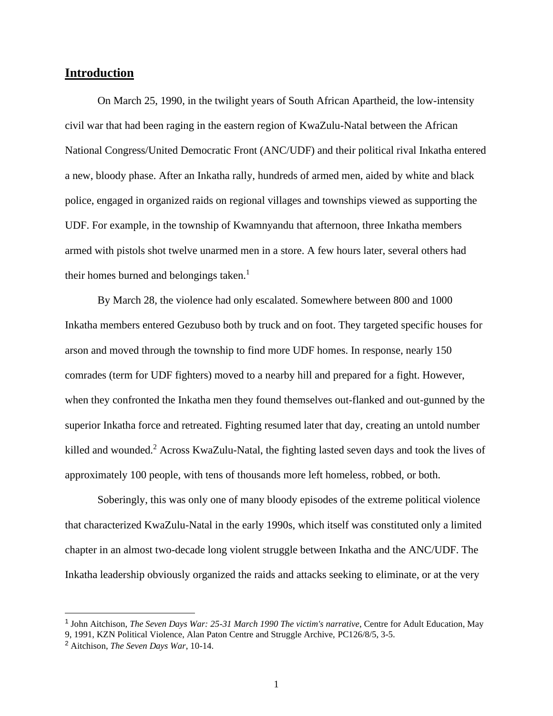### **Introduction**

On March 25, 1990, in the twilight years of South African Apartheid, the low-intensity civil war that had been raging in the eastern region of KwaZulu-Natal between the African National Congress/United Democratic Front (ANC/UDF) and their political rival Inkatha entered a new, bloody phase. After an Inkatha rally, hundreds of armed men, aided by white and black police, engaged in organized raids on regional villages and townships viewed as supporting the UDF. For example, in the township of Kwamnyandu that afternoon, three Inkatha members armed with pistols shot twelve unarmed men in a store. A few hours later, several others had their homes burned and belongings taken.<sup>1</sup>

By March 28, the violence had only escalated. Somewhere between 800 and 1000 Inkatha members entered Gezubuso both by truck and on foot. They targeted specific houses for arson and moved through the township to find more UDF homes. In response, nearly 150 comrades (term for UDF fighters) moved to a nearby hill and prepared for a fight. However, when they confronted the Inkatha men they found themselves out-flanked and out-gunned by the superior Inkatha force and retreated. Fighting resumed later that day, creating an untold number killed and wounded.<sup>2</sup> Across KwaZulu-Natal, the fighting lasted seven days and took the lives of approximately 100 people, with tens of thousands more left homeless, robbed, or both.

Soberingly, this was only one of many bloody episodes of the extreme political violence that characterized KwaZulu-Natal in the early 1990s, which itself was constituted only a limited chapter in an almost two-decade long violent struggle between Inkatha and the ANC/UDF. The Inkatha leadership obviously organized the raids and attacks seeking to eliminate, or at the very

<sup>&</sup>lt;sup>1</sup> John Aitchison, *The Seven Days War: 25-31 March 1990 The victim's narrative*, Centre for Adult Education, May 9, 1991, KZN Political Violence, Alan Paton Centre and Struggle Archive, PC126/8/5, 3-5.

<sup>2</sup> Aitchison, *The Seven Days War*, 10-14.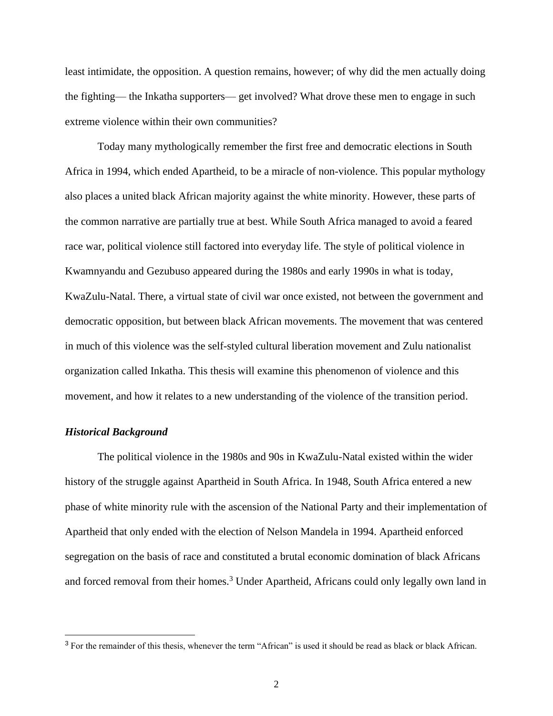least intimidate, the opposition. A question remains, however; of why did the men actually doing the fighting— the Inkatha supporters— get involved? What drove these men to engage in such extreme violence within their own communities?

Today many mythologically remember the first free and democratic elections in South Africa in 1994, which ended Apartheid, to be a miracle of non-violence. This popular mythology also places a united black African majority against the white minority. However, these parts of the common narrative are partially true at best. While South Africa managed to avoid a feared race war, political violence still factored into everyday life. The style of political violence in Kwamnyandu and Gezubuso appeared during the 1980s and early 1990s in what is today, KwaZulu-Natal. There, a virtual state of civil war once existed, not between the government and democratic opposition, but between black African movements. The movement that was centered in much of this violence was the self-styled cultural liberation movement and Zulu nationalist organization called Inkatha. This thesis will examine this phenomenon of violence and this movement, and how it relates to a new understanding of the violence of the transition period.

#### *Historical Background*

The political violence in the 1980s and 90s in KwaZulu-Natal existed within the wider history of the struggle against Apartheid in South Africa. In 1948, South Africa entered a new phase of white minority rule with the ascension of the National Party and their implementation of Apartheid that only ended with the election of Nelson Mandela in 1994. Apartheid enforced segregation on the basis of race and constituted a brutal economic domination of black Africans and forced removal from their homes.<sup>3</sup> Under Apartheid, Africans could only legally own land in

<sup>&</sup>lt;sup>3</sup> For the remainder of this thesis, whenever the term "African" is used it should be read as black or black African.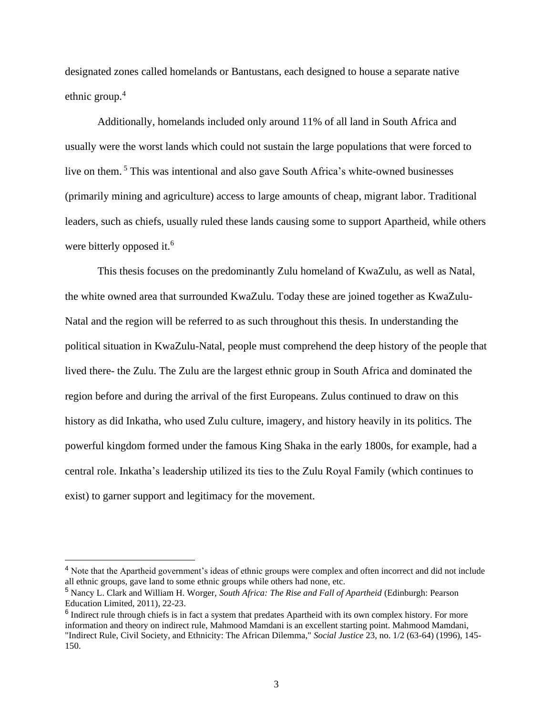designated zones called homelands or Bantustans, each designed to house a separate native ethnic group.<sup>4</sup>

Additionally, homelands included only around 11% of all land in South Africa and usually were the worst lands which could not sustain the large populations that were forced to live on them. <sup>5</sup> This was intentional and also gave South Africa's white-owned businesses (primarily mining and agriculture) access to large amounts of cheap, migrant labor. Traditional leaders, such as chiefs, usually ruled these lands causing some to support Apartheid, while others were bitterly opposed it.<sup>6</sup>

This thesis focuses on the predominantly Zulu homeland of KwaZulu, as well as Natal, the white owned area that surrounded KwaZulu. Today these are joined together as KwaZulu-Natal and the region will be referred to as such throughout this thesis. In understanding the political situation in KwaZulu-Natal, people must comprehend the deep history of the people that lived there- the Zulu. The Zulu are the largest ethnic group in South Africa and dominated the region before and during the arrival of the first Europeans. Zulus continued to draw on this history as did Inkatha, who used Zulu culture, imagery, and history heavily in its politics. The powerful kingdom formed under the famous King Shaka in the early 1800s, for example, had a central role. Inkatha's leadership utilized its ties to the Zulu Royal Family (which continues to exist) to garner support and legitimacy for the movement.

<sup>&</sup>lt;sup>4</sup> Note that the Apartheid government's ideas of ethnic groups were complex and often incorrect and did not include all ethnic groups, gave land to some ethnic groups while others had none, etc.

<sup>5</sup> Nancy L. Clark and William H. Worger, *South Africa: The Rise and Fall of Apartheid* (Edinburgh: Pearson Education Limited, 2011), 22-23.

<sup>&</sup>lt;sup>6</sup> Indirect rule through chiefs is in fact a system that predates Apartheid with its own complex history. For more information and theory on indirect rule, Mahmood Mamdani is an excellent starting point. Mahmood Mamdani, "Indirect Rule, Civil Society, and Ethnicity: The African Dilemma," *Social Justice* 23, no. 1/2 (63-64) (1996), 145- 150.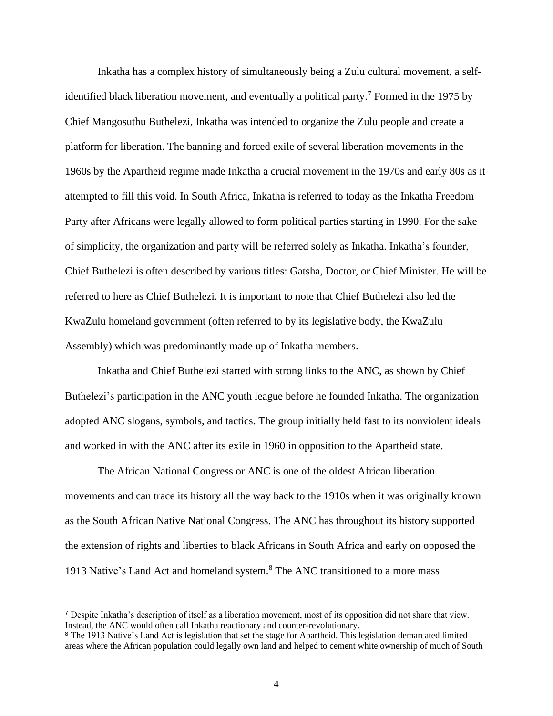Inkatha has a complex history of simultaneously being a Zulu cultural movement, a selfidentified black liberation movement, and eventually a political party.<sup>7</sup> Formed in the 1975 by Chief Mangosuthu Buthelezi, Inkatha was intended to organize the Zulu people and create a platform for liberation. The banning and forced exile of several liberation movements in the 1960s by the Apartheid regime made Inkatha a crucial movement in the 1970s and early 80s as it attempted to fill this void. In South Africa, Inkatha is referred to today as the Inkatha Freedom Party after Africans were legally allowed to form political parties starting in 1990. For the sake of simplicity, the organization and party will be referred solely as Inkatha. Inkatha's founder, Chief Buthelezi is often described by various titles: Gatsha, Doctor, or Chief Minister. He will be referred to here as Chief Buthelezi. It is important to note that Chief Buthelezi also led the KwaZulu homeland government (often referred to by its legislative body, the KwaZulu Assembly) which was predominantly made up of Inkatha members.

Inkatha and Chief Buthelezi started with strong links to the ANC, as shown by Chief Buthelezi's participation in the ANC youth league before he founded Inkatha. The organization adopted ANC slogans, symbols, and tactics. The group initially held fast to its nonviolent ideals and worked in with the ANC after its exile in 1960 in opposition to the Apartheid state.

The African National Congress or ANC is one of the oldest African liberation movements and can trace its history all the way back to the 1910s when it was originally known as the South African Native National Congress. The ANC has throughout its history supported the extension of rights and liberties to black Africans in South Africa and early on opposed the 1913 Native's Land Act and homeland system.<sup>8</sup> The ANC transitioned to a more mass

<sup>7</sup> Despite Inkatha's description of itself as a liberation movement, most of its opposition did not share that view. Instead, the ANC would often call Inkatha reactionary and counter-revolutionary.

<sup>&</sup>lt;sup>8</sup> The 1913 Native's Land Act is legislation that set the stage for Apartheid. This legislation demarcated limited areas where the African population could legally own land and helped to cement white ownership of much of South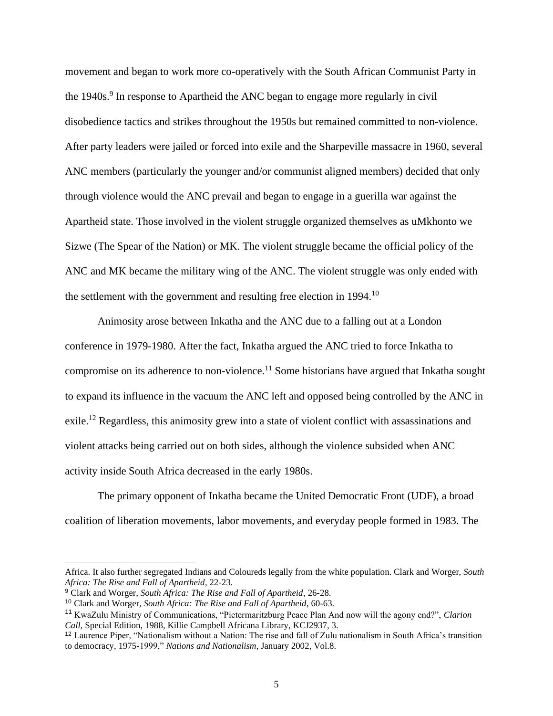movement and began to work more co-operatively with the South African Communist Party in the 1940s.<sup>9</sup> In response to Apartheid the ANC began to engage more regularly in civil disobedience tactics and strikes throughout the 1950s but remained committed to non-violence. After party leaders were jailed or forced into exile and the Sharpeville massacre in 1960, several ANC members (particularly the younger and/or communist aligned members) decided that only through violence would the ANC prevail and began to engage in a guerilla war against the Apartheid state. Those involved in the violent struggle organized themselves as uMkhonto we Sizwe (The Spear of the Nation) or MK. The violent struggle became the official policy of the ANC and MK became the military wing of the ANC. The violent struggle was only ended with the settlement with the government and resulting free election in 1994.<sup>10</sup>

Animosity arose between Inkatha and the ANC due to a falling out at a London conference in 1979-1980. After the fact, Inkatha argued the ANC tried to force Inkatha to compromise on its adherence to non-violence.<sup>11</sup> Some historians have argued that Inkatha sought to expand its influence in the vacuum the ANC left and opposed being controlled by the ANC in exile.<sup>12</sup> Regardless, this animosity grew into a state of violent conflict with assassinations and violent attacks being carried out on both sides, although the violence subsided when ANC activity inside South Africa decreased in the early 1980s.

The primary opponent of Inkatha became the United Democratic Front (UDF), a broad coalition of liberation movements, labor movements, and everyday people formed in 1983. The

Africa. It also further segregated Indians and Coloureds legally from the white population. Clark and Worger, *South Africa: The Rise and Fall of Apartheid*, 22-23.

<sup>9</sup> Clark and Worger, *South Africa: The Rise and Fall of Apartheid*, 26-28.

<sup>10</sup> Clark and Worger, *South Africa: The Rise and Fall of Apartheid*, 60-63.

<sup>11</sup> KwaZulu Ministry of Communications, "Pietermaritzburg Peace Plan And now will the agony end?", *Clarion Call*, Special Edition, 1988, Killie Campbell Africana Library, KCJ2937, 3.

<sup>12</sup> Laurence Piper, "Nationalism without a Nation: The rise and fall of Zulu nationalism in South Africa's transition to democracy, 1975-1999," *Nations and Nationalism*, January 2002, Vol.8.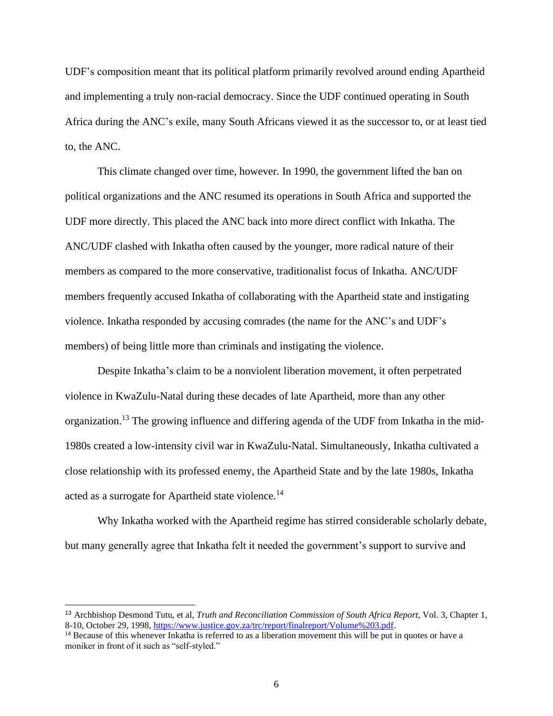UDF's composition meant that its political platform primarily revolved around ending Apartheid and implementing a truly non-racial democracy. Since the UDF continued operating in South Africa during the ANC's exile, many South Africans viewed it as the successor to, or at least tied to, the ANC.

This climate changed over time, however. In 1990, the government lifted the ban on political organizations and the ANC resumed its operations in South Africa and supported the UDF more directly. This placed the ANC back into more direct conflict with Inkatha. The ANC/UDF clashed with Inkatha often caused by the younger, more radical nature of their members as compared to the more conservative, traditionalist focus of Inkatha. ANC/UDF members frequently accused Inkatha of collaborating with the Apartheid state and instigating violence. Inkatha responded by accusing comrades (the name for the ANC's and UDF's members) of being little more than criminals and instigating the violence.

Despite Inkatha's claim to be a nonviolent liberation movement, it often perpetrated violence in KwaZulu-Natal during these decades of late Apartheid, more than any other organization.<sup>13</sup> The growing influence and differing agenda of the UDF from Inkatha in the mid-1980s created a low-intensity civil war in KwaZulu-Natal. Simultaneously, Inkatha cultivated a close relationship with its professed enemy, the Apartheid State and by the late 1980s, Inkatha acted as a surrogate for Apartheid state violence.<sup>14</sup>

Why Inkatha worked with the Apartheid regime has stirred considerable scholarly debate, but many generally agree that Inkatha felt it needed the government's support to survive and

<sup>13</sup> Archbishop Desmond Tutu, et al, *Truth and Reconciliation Commission of South Africa Report*, Vol. 3, Chapter 1, 8-10, October 29, 1998, [https://www.justice.gov.za/trc/report/finalreport/Volume%203.pdf.](https://www.justice.gov.za/trc/report/finalreport/Volume%203.pdf)

<sup>&</sup>lt;sup>14</sup> Because of this whenever Inkatha is referred to as a liberation movement this will be put in quotes or have a moniker in front of it such as "self-styled."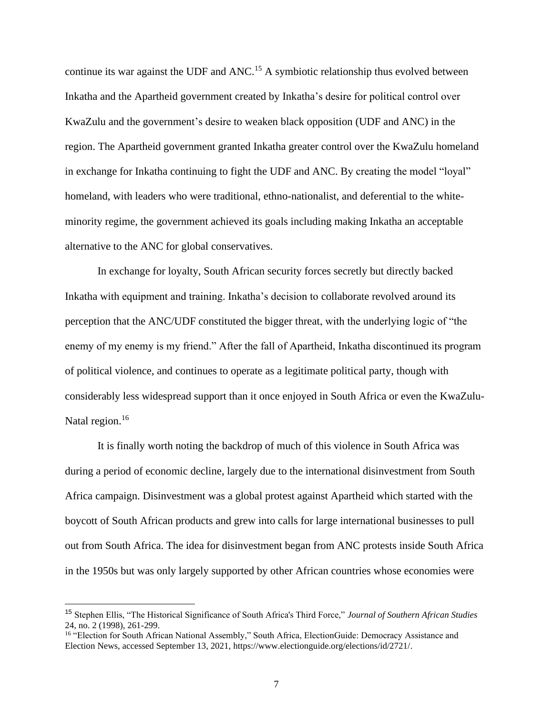continue its war against the UDF and ANC.<sup>15</sup> A symbiotic relationship thus evolved between Inkatha and the Apartheid government created by Inkatha's desire for political control over KwaZulu and the government's desire to weaken black opposition (UDF and ANC) in the region. The Apartheid government granted Inkatha greater control over the KwaZulu homeland in exchange for Inkatha continuing to fight the UDF and ANC. By creating the model "loyal" homeland, with leaders who were traditional, ethno-nationalist, and deferential to the whiteminority regime, the government achieved its goals including making Inkatha an acceptable alternative to the ANC for global conservatives.

In exchange for loyalty, South African security forces secretly but directly backed Inkatha with equipment and training. Inkatha's decision to collaborate revolved around its perception that the ANC/UDF constituted the bigger threat, with the underlying logic of "the enemy of my enemy is my friend." After the fall of Apartheid, Inkatha discontinued its program of political violence, and continues to operate as a legitimate political party, though with considerably less widespread support than it once enjoyed in South Africa or even the KwaZulu-Natal region.<sup>16</sup>

It is finally worth noting the backdrop of much of this violence in South Africa was during a period of economic decline, largely due to the international disinvestment from South Africa campaign. Disinvestment was a global protest against Apartheid which started with the boycott of South African products and grew into calls for large international businesses to pull out from South Africa. The idea for disinvestment began from ANC protests inside South Africa in the 1950s but was only largely supported by other African countries whose economies were

<sup>15</sup> Stephen Ellis, "The Historical Significance of South Africa's Third Force," *Journal of Southern African Studies* 24, no. 2 (1998), 261-299.

<sup>&</sup>lt;sup>16</sup> "Election for South African National Assembly," South Africa, ElectionGuide: Democracy Assistance and Election News, accessed September 13, 2021, https://www.electionguide.org/elections/id/2721/.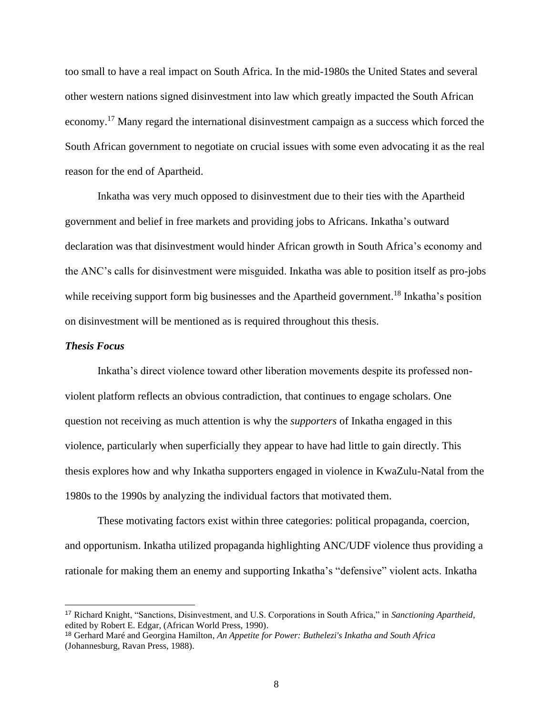too small to have a real impact on South Africa. In the mid-1980s the United States and several other western nations signed disinvestment into law which greatly impacted the South African economy.<sup>17</sup> Many regard the international disinvestment campaign as a success which forced the South African government to negotiate on crucial issues with some even advocating it as the real reason for the end of Apartheid.

Inkatha was very much opposed to disinvestment due to their ties with the Apartheid government and belief in free markets and providing jobs to Africans. Inkatha's outward declaration was that disinvestment would hinder African growth in South Africa's economy and the ANC's calls for disinvestment were misguided. Inkatha was able to position itself as pro-jobs while receiving support form big businesses and the Apartheid government.<sup>18</sup> Inkatha's position on disinvestment will be mentioned as is required throughout this thesis.

#### *Thesis Focus*

Inkatha's direct violence toward other liberation movements despite its professed nonviolent platform reflects an obvious contradiction, that continues to engage scholars. One question not receiving as much attention is why the *supporters* of Inkatha engaged in this violence, particularly when superficially they appear to have had little to gain directly. This thesis explores how and why Inkatha supporters engaged in violence in KwaZulu-Natal from the 1980s to the 1990s by analyzing the individual factors that motivated them.

These motivating factors exist within three categories: political propaganda, coercion, and opportunism. Inkatha utilized propaganda highlighting ANC/UDF violence thus providing a rationale for making them an enemy and supporting Inkatha's "defensive" violent acts. Inkatha

<sup>17</sup> Richard Knight, "Sanctions, Disinvestment, and U.S. Corporations in South Africa," in *Sanctioning Apartheid*, edited by Robert E. Edgar, (African World Press, 1990).

<sup>18</sup> Gerhard Maré and Georgina Hamilton, *An Appetite for Power: Buthelezi's Inkatha and South Africa* (Johannesburg, Ravan Press, 1988).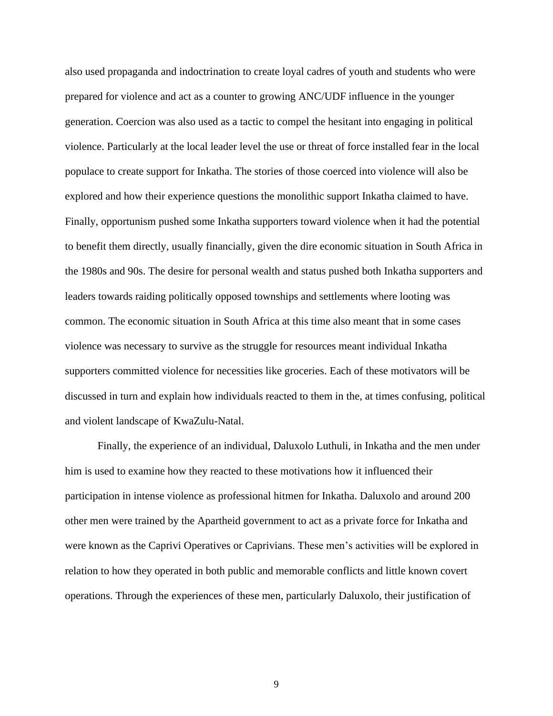also used propaganda and indoctrination to create loyal cadres of youth and students who were prepared for violence and act as a counter to growing ANC/UDF influence in the younger generation. Coercion was also used as a tactic to compel the hesitant into engaging in political violence. Particularly at the local leader level the use or threat of force installed fear in the local populace to create support for Inkatha. The stories of those coerced into violence will also be explored and how their experience questions the monolithic support Inkatha claimed to have. Finally, opportunism pushed some Inkatha supporters toward violence when it had the potential to benefit them directly, usually financially, given the dire economic situation in South Africa in the 1980s and 90s. The desire for personal wealth and status pushed both Inkatha supporters and leaders towards raiding politically opposed townships and settlements where looting was common. The economic situation in South Africa at this time also meant that in some cases violence was necessary to survive as the struggle for resources meant individual Inkatha supporters committed violence for necessities like groceries. Each of these motivators will be discussed in turn and explain how individuals reacted to them in the, at times confusing, political and violent landscape of KwaZulu-Natal.

Finally, the experience of an individual, Daluxolo Luthuli, in Inkatha and the men under him is used to examine how they reacted to these motivations how it influenced their participation in intense violence as professional hitmen for Inkatha. Daluxolo and around 200 other men were trained by the Apartheid government to act as a private force for Inkatha and were known as the Caprivi Operatives or Caprivians. These men's activities will be explored in relation to how they operated in both public and memorable conflicts and little known covert operations. Through the experiences of these men, particularly Daluxolo, their justification of

9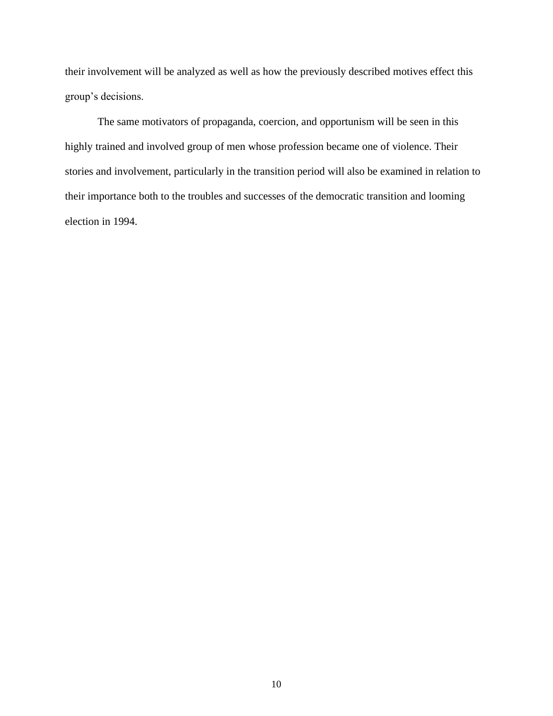their involvement will be analyzed as well as how the previously described motives effect this group's decisions.

The same motivators of propaganda, coercion, and opportunism will be seen in this highly trained and involved group of men whose profession became one of violence. Their stories and involvement, particularly in the transition period will also be examined in relation to their importance both to the troubles and successes of the democratic transition and looming election in 1994.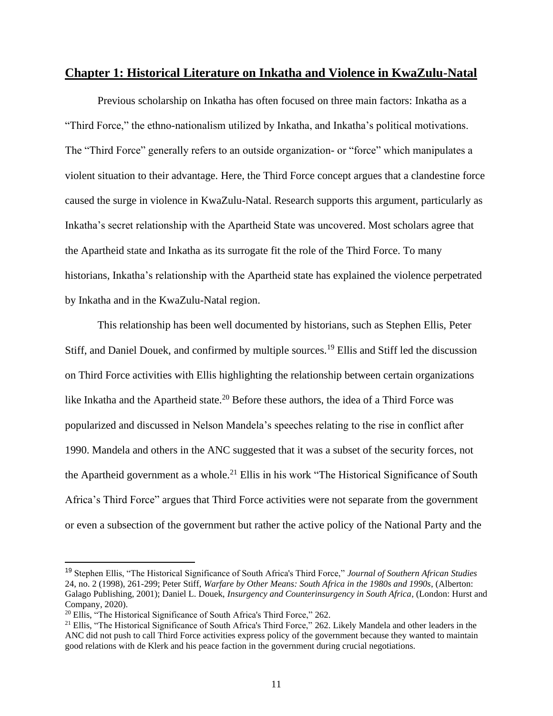### **Chapter 1: Historical Literature on Inkatha and Violence in KwaZulu-Natal**

Previous scholarship on Inkatha has often focused on three main factors: Inkatha as a "Third Force," the ethno-nationalism utilized by Inkatha, and Inkatha's political motivations. The "Third Force" generally refers to an outside organization- or "force" which manipulates a violent situation to their advantage. Here, the Third Force concept argues that a clandestine force caused the surge in violence in KwaZulu-Natal. Research supports this argument, particularly as Inkatha's secret relationship with the Apartheid State was uncovered. Most scholars agree that the Apartheid state and Inkatha as its surrogate fit the role of the Third Force. To many historians, Inkatha's relationship with the Apartheid state has explained the violence perpetrated by Inkatha and in the KwaZulu-Natal region.

This relationship has been well documented by historians, such as Stephen Ellis, Peter Stiff, and Daniel Douek, and confirmed by multiple sources.<sup>19</sup> Ellis and Stiff led the discussion on Third Force activities with Ellis highlighting the relationship between certain organizations like Inkatha and the Apartheid state.<sup>20</sup> Before these authors, the idea of a Third Force was popularized and discussed in Nelson Mandela's speeches relating to the rise in conflict after 1990. Mandela and others in the ANC suggested that it was a subset of the security forces, not the Apartheid government as a whole.<sup>21</sup> Ellis in his work "The Historical Significance of South Africa's Third Force" argues that Third Force activities were not separate from the government or even a subsection of the government but rather the active policy of the National Party and the

<sup>19</sup> Stephen Ellis, "The Historical Significance of South Africa's Third Force," *Journal of Southern African Studies* 24, no. 2 (1998), 261-299; Peter Stiff, *Warfare by Other Means: South Africa in the 1980s and 1990s*, (Alberton: Galago Publishing, 2001); Daniel L. Douek, *Insurgency and Counterinsurgency in South Africa*, (London: Hurst and Company, 2020).

 $20$  Ellis, "The Historical Significance of South Africa's Third Force," 262.

<sup>&</sup>lt;sup>21</sup> Ellis, "The Historical Significance of South Africa's Third Force," 262. Likely Mandela and other leaders in the ANC did not push to call Third Force activities express policy of the government because they wanted to maintain good relations with de Klerk and his peace faction in the government during crucial negotiations.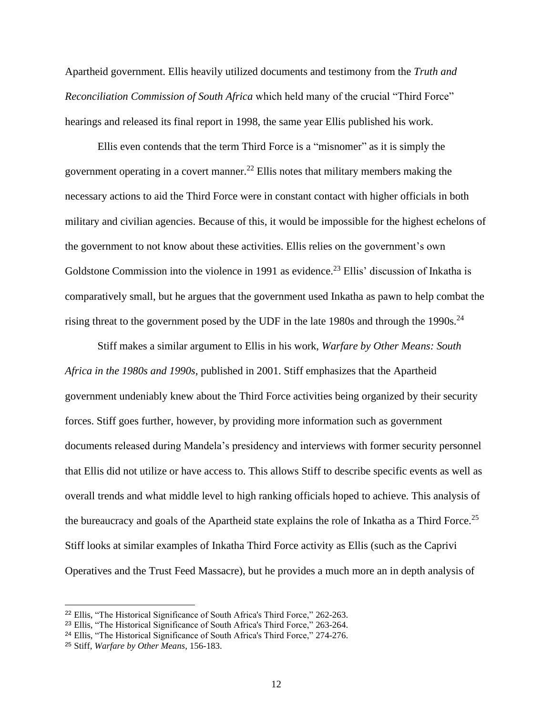Apartheid government. Ellis heavily utilized documents and testimony from the *Truth and Reconciliation Commission of South Africa* which held many of the crucial "Third Force" hearings and released its final report in 1998, the same year Ellis published his work.

Ellis even contends that the term Third Force is a "misnomer" as it is simply the government operating in a covert manner.<sup>22</sup> Ellis notes that military members making the necessary actions to aid the Third Force were in constant contact with higher officials in both military and civilian agencies. Because of this, it would be impossible for the highest echelons of the government to not know about these activities. Ellis relies on the government's own Goldstone Commission into the violence in 1991 as evidence.<sup>23</sup> Ellis' discussion of Inkatha is comparatively small, but he argues that the government used Inkatha as pawn to help combat the rising threat to the government posed by the UDF in the late 1980s and through the 1990s.<sup>24</sup>

Stiff makes a similar argument to Ellis in his work, *Warfare by Other Means: South Africa in the 1980s and 1990s*, published in 2001. Stiff emphasizes that the Apartheid government undeniably knew about the Third Force activities being organized by their security forces. Stiff goes further, however, by providing more information such as government documents released during Mandela's presidency and interviews with former security personnel that Ellis did not utilize or have access to. This allows Stiff to describe specific events as well as overall trends and what middle level to high ranking officials hoped to achieve. This analysis of the bureaucracy and goals of the Apartheid state explains the role of Inkatha as a Third Force.<sup>25</sup> Stiff looks at similar examples of Inkatha Third Force activity as Ellis (such as the Caprivi Operatives and the Trust Feed Massacre), but he provides a much more an in depth analysis of

<sup>22</sup> Ellis, "The Historical Significance of South Africa's Third Force," 262-263.

<sup>&</sup>lt;sup>23</sup> Ellis, "The Historical Significance of South Africa's Third Force," 263-264.

<sup>24</sup> Ellis, "The Historical Significance of South Africa's Third Force," 274-276.

<sup>25</sup> Stiff, *Warfare by Other Means*, 156-183.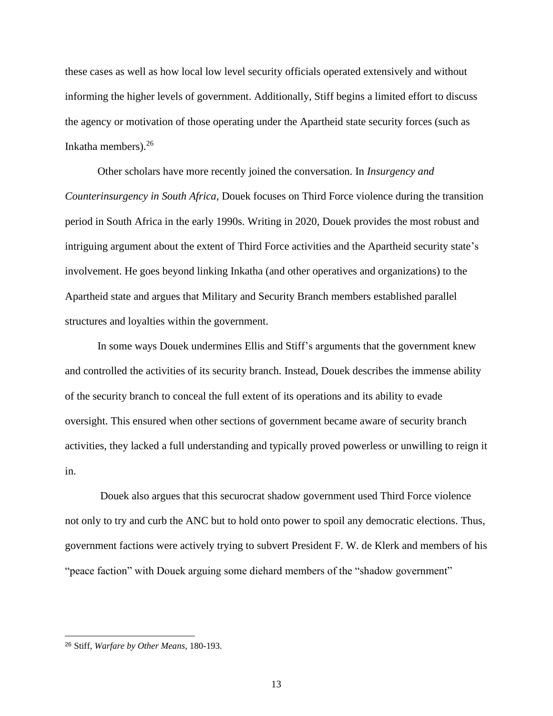these cases as well as how local low level security officials operated extensively and without informing the higher levels of government. Additionally, Stiff begins a limited effort to discuss the agency or motivation of those operating under the Apartheid state security forces (such as Inkatha members). $26$ 

Other scholars have more recently joined the conversation. In *Insurgency and Counterinsurgency in South Africa*, Douek focuses on Third Force violence during the transition period in South Africa in the early 1990s. Writing in 2020, Douek provides the most robust and intriguing argument about the extent of Third Force activities and the Apartheid security state's involvement. He goes beyond linking Inkatha (and other operatives and organizations) to the Apartheid state and argues that Military and Security Branch members established parallel structures and loyalties within the government.

In some ways Douek undermines Ellis and Stiff's arguments that the government knew and controlled the activities of its security branch. Instead, Douek describes the immense ability of the security branch to conceal the full extent of its operations and its ability to evade oversight. This ensured when other sections of government became aware of security branch activities, they lacked a full understanding and typically proved powerless or unwilling to reign it in.

Douek also argues that this securocrat shadow government used Third Force violence not only to try and curb the ANC but to hold onto power to spoil any democratic elections. Thus, government factions were actively trying to subvert President F. W. de Klerk and members of his "peace faction" with Douek arguing some diehard members of the "shadow government"

<sup>26</sup> Stiff, *Warfare by Other Means*, 180-193.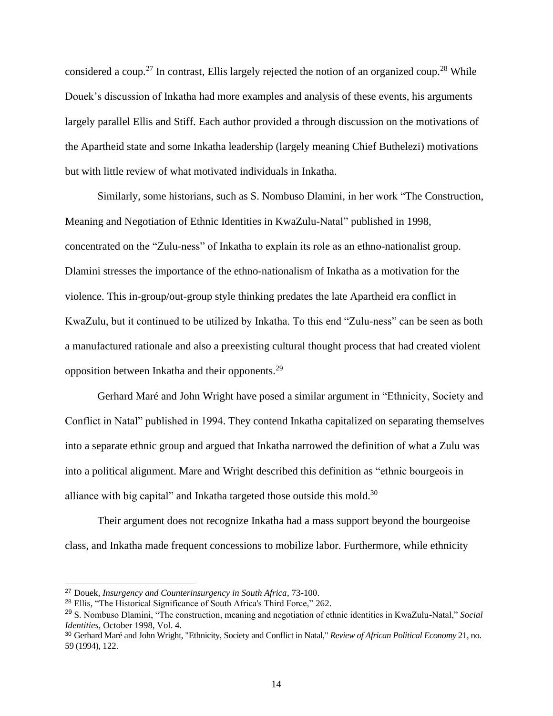considered a coup.<sup>27</sup> In contrast, Ellis largely rejected the notion of an organized coup.<sup>28</sup> While Douek's discussion of Inkatha had more examples and analysis of these events, his arguments largely parallel Ellis and Stiff. Each author provided a through discussion on the motivations of the Apartheid state and some Inkatha leadership (largely meaning Chief Buthelezi) motivations but with little review of what motivated individuals in Inkatha.

Similarly, some historians, such as S. Nombuso Dlamini, in her work "The Construction, Meaning and Negotiation of Ethnic Identities in KwaZulu-Natal" published in 1998, concentrated on the "Zulu-ness" of Inkatha to explain its role as an ethno-nationalist group. Dlamini stresses the importance of the ethno-nationalism of Inkatha as a motivation for the violence. This in-group/out-group style thinking predates the late Apartheid era conflict in KwaZulu, but it continued to be utilized by Inkatha. To this end "Zulu-ness" can be seen as both a manufactured rationale and also a preexisting cultural thought process that had created violent opposition between Inkatha and their opponents.<sup>29</sup>

Gerhard Maré and John Wright have posed a similar argument in "Ethnicity, Society and Conflict in Natal" published in 1994. They contend Inkatha capitalized on separating themselves into a separate ethnic group and argued that Inkatha narrowed the definition of what a Zulu was into a political alignment. Mare and Wright described this definition as "ethnic bourgeois in alliance with big capital" and Inkatha targeted those outside this mold.<sup>30</sup>

Their argument does not recognize Inkatha had a mass support beyond the bourgeoise class, and Inkatha made frequent concessions to mobilize labor. Furthermore, while ethnicity

<sup>27</sup> Douek, *Insurgency and Counterinsurgency in South Africa*, 73-100.

<sup>28</sup> Ellis, "The Historical Significance of South Africa's Third Force," 262.

<sup>29</sup> S. Nombuso Dlamini, "The construction, meaning and negotiation of ethnic identities in KwaZulu-Natal," *Social Identities*, October 1998, Vol. 4.

<sup>30</sup> Gerhard Maré and John Wright, "Ethnicity, Society and Conflict in Natal," *Review of African Political Economy* 21, no. 59 (1994), 122.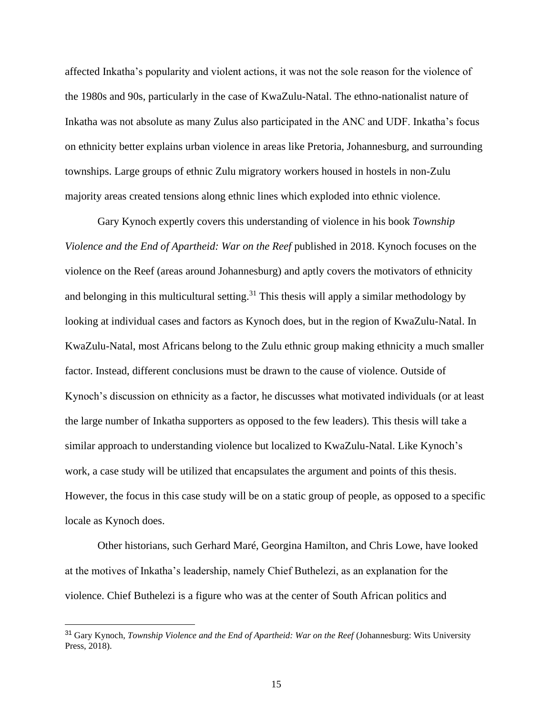affected Inkatha's popularity and violent actions, it was not the sole reason for the violence of the 1980s and 90s, particularly in the case of KwaZulu-Natal. The ethno-nationalist nature of Inkatha was not absolute as many Zulus also participated in the ANC and UDF. Inkatha's focus on ethnicity better explains urban violence in areas like Pretoria, Johannesburg, and surrounding townships. Large groups of ethnic Zulu migratory workers housed in hostels in non-Zulu majority areas created tensions along ethnic lines which exploded into ethnic violence.

Gary Kynoch expertly covers this understanding of violence in his book *Township Violence and the End of Apartheid: War on the Reef* published in 2018. Kynoch focuses on the violence on the Reef (areas around Johannesburg) and aptly covers the motivators of ethnicity and belonging in this multicultural setting.<sup>31</sup> This thesis will apply a similar methodology by looking at individual cases and factors as Kynoch does, but in the region of KwaZulu-Natal. In KwaZulu-Natal, most Africans belong to the Zulu ethnic group making ethnicity a much smaller factor. Instead, different conclusions must be drawn to the cause of violence. Outside of Kynoch's discussion on ethnicity as a factor, he discusses what motivated individuals (or at least the large number of Inkatha supporters as opposed to the few leaders). This thesis will take a similar approach to understanding violence but localized to KwaZulu-Natal. Like Kynoch's work, a case study will be utilized that encapsulates the argument and points of this thesis. However, the focus in this case study will be on a static group of people, as opposed to a specific locale as Kynoch does.

Other historians, such Gerhard Maré, Georgina Hamilton, and Chris Lowe, have looked at the motives of Inkatha's leadership, namely Chief Buthelezi, as an explanation for the violence. Chief Buthelezi is a figure who was at the center of South African politics and

<sup>31</sup> Gary Kynoch, *Township Violence and the End of Apartheid: War on the Reef* (Johannesburg: Wits University Press, 2018).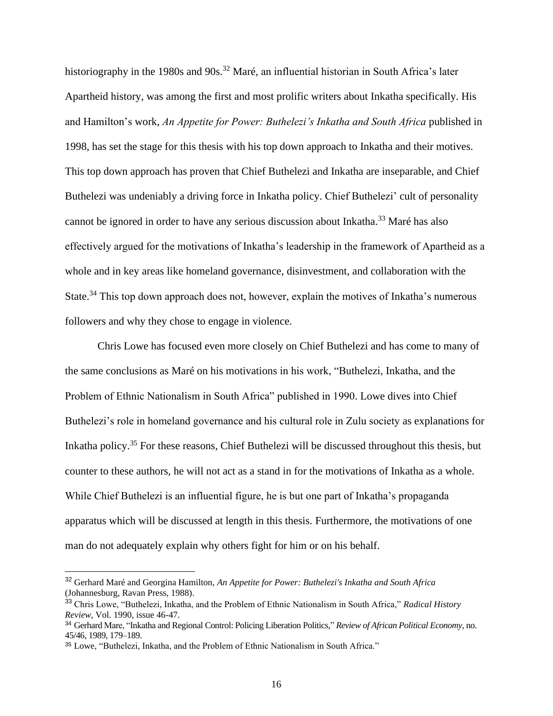historiography in the 1980s and 90s.<sup>32</sup> Maré, an influential historian in South Africa's later Apartheid history, was among the first and most prolific writers about Inkatha specifically. His and Hamilton's work, *An Appetite for Power: Buthelezi's Inkatha and South Africa* published in 1998, has set the stage for this thesis with his top down approach to Inkatha and their motives. This top down approach has proven that Chief Buthelezi and Inkatha are inseparable, and Chief Buthelezi was undeniably a driving force in Inkatha policy. Chief Buthelezi' cult of personality cannot be ignored in order to have any serious discussion about Inkatha.<sup>33</sup> Maré has also effectively argued for the motivations of Inkatha's leadership in the framework of Apartheid as a whole and in key areas like homeland governance, disinvestment, and collaboration with the State.<sup>34</sup> This top down approach does not, however, explain the motives of Inkatha's numerous followers and why they chose to engage in violence.

Chris Lowe has focused even more closely on Chief Buthelezi and has come to many of the same conclusions as Maré on his motivations in his work, "Buthelezi, Inkatha, and the Problem of Ethnic Nationalism in South Africa" published in 1990. Lowe dives into Chief Buthelezi's role in homeland governance and his cultural role in Zulu society as explanations for Inkatha policy.<sup>35</sup> For these reasons, Chief Buthelezi will be discussed throughout this thesis, but counter to these authors, he will not act as a stand in for the motivations of Inkatha as a whole. While Chief Buthelezi is an influential figure, he is but one part of Inkatha's propaganda apparatus which will be discussed at length in this thesis. Furthermore, the motivations of one man do not adequately explain why others fight for him or on his behalf.

<sup>32</sup> Gerhard Maré and Georgina Hamilton, *An Appetite for Power: Buthelezi's Inkatha and South Africa* (Johannesburg, Ravan Press, 1988).

<sup>33</sup> Chris Lowe, "Buthelezi, Inkatha, and the Problem of Ethnic Nationalism in South Africa," *Radical History Review*, Vol. 1990, issue 46-47.

<sup>34</sup> Gerhard Mare, "Inkatha and Regional Control: Policing Liberation Politics," *Review of African Political Economy*, no. 45/46, 1989, 179–189.

<sup>35</sup> Lowe, "Buthelezi, Inkatha, and the Problem of Ethnic Nationalism in South Africa."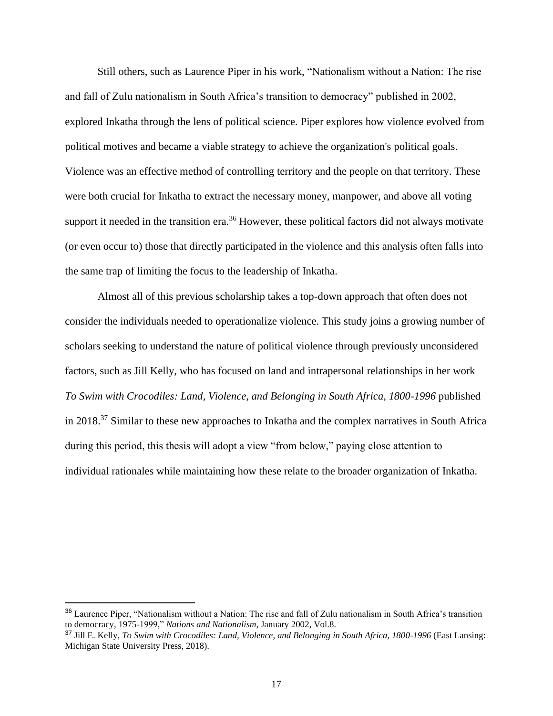Still others, such as Laurence Piper in his work, "Nationalism without a Nation: The rise and fall of Zulu nationalism in South Africa's transition to democracy" published in 2002, explored Inkatha through the lens of political science. Piper explores how violence evolved from political motives and became a viable strategy to achieve the organization's political goals. Violence was an effective method of controlling territory and the people on that territory. These were both crucial for Inkatha to extract the necessary money, manpower, and above all voting support it needed in the transition era.<sup>36</sup> However, these political factors did not always motivate (or even occur to) those that directly participated in the violence and this analysis often falls into the same trap of limiting the focus to the leadership of Inkatha.

Almost all of this previous scholarship takes a top-down approach that often does not consider the individuals needed to operationalize violence. This study joins a growing number of scholars seeking to understand the nature of political violence through previously unconsidered factors, such as Jill Kelly, who has focused on land and intrapersonal relationships in her work *To Swim with Crocodiles: Land, Violence, and Belonging in South Africa, 1800-1996* published in 2018.<sup>37</sup> Similar to these new approaches to Inkatha and the complex narratives in South Africa during this period, this thesis will adopt a view "from below," paying close attention to individual rationales while maintaining how these relate to the broader organization of Inkatha.

<sup>&</sup>lt;sup>36</sup> Laurence Piper, "Nationalism without a Nation: The rise and fall of Zulu nationalism in South Africa's transition to democracy, 1975-1999," *Nations and Nationalism*, January 2002, Vol.8.

<sup>37</sup> Jill E. Kelly, *To Swim with Crocodiles: Land, Violence, and Belonging in South Africa, 1800-1996* (East Lansing: Michigan State University Press, 2018).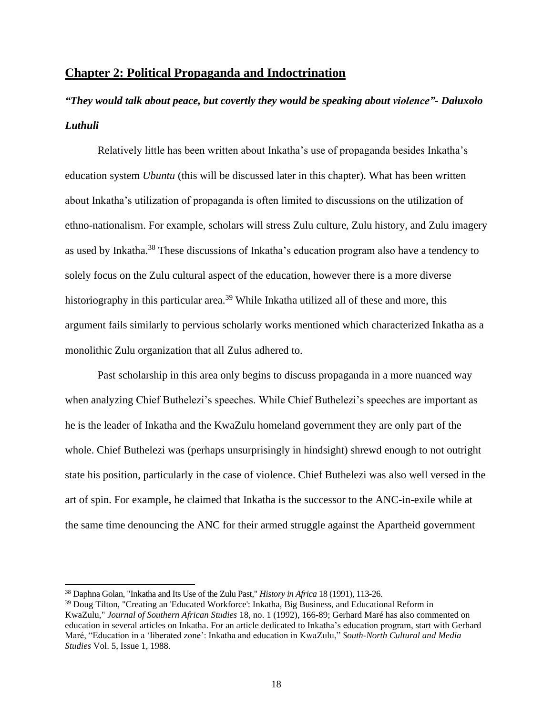## **Chapter 2: Political Propaganda and Indoctrination**

# *"They would talk about peace, but covertly they would be speaking about violence"- Daluxolo Luthuli*

Relatively little has been written about Inkatha's use of propaganda besides Inkatha's education system *Ubuntu* (this will be discussed later in this chapter). What has been written about Inkatha's utilization of propaganda is often limited to discussions on the utilization of ethno-nationalism. For example, scholars will stress Zulu culture, Zulu history, and Zulu imagery as used by Inkatha.<sup>38</sup> These discussions of Inkatha's education program also have a tendency to solely focus on the Zulu cultural aspect of the education, however there is a more diverse historiography in this particular area.<sup>39</sup> While Inkatha utilized all of these and more, this argument fails similarly to pervious scholarly works mentioned which characterized Inkatha as a monolithic Zulu organization that all Zulus adhered to.

Past scholarship in this area only begins to discuss propaganda in a more nuanced way when analyzing Chief Buthelezi's speeches. While Chief Buthelezi's speeches are important as he is the leader of Inkatha and the KwaZulu homeland government they are only part of the whole. Chief Buthelezi was (perhaps unsurprisingly in hindsight) shrewd enough to not outright state his position, particularly in the case of violence. Chief Buthelezi was also well versed in the art of spin. For example, he claimed that Inkatha is the successor to the ANC-in-exile while at the same time denouncing the ANC for their armed struggle against the Apartheid government

<sup>38</sup> Daphna Golan, "Inkatha and Its Use of the Zulu Past," *History in Africa* 18 (1991), 113-26.

<sup>39</sup> Doug Tilton, "Creating an 'Educated Workforce': Inkatha, Big Business, and Educational Reform in KwaZulu," *Journal of Southern African Studies* 18, no. 1 (1992), 166-89; Gerhard Maré has also commented on education in several articles on Inkatha. For an article dedicated to Inkatha's education program, start with Gerhard Maré, "Education in a 'liberated zone': Inkatha and education in KwaZulu," *South-North Cultural and Media Studies* Vol. 5, Issue 1, 1988.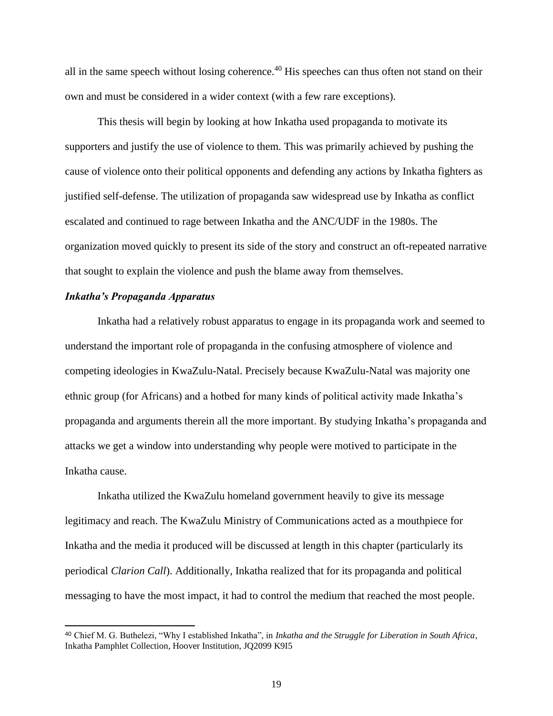all in the same speech without losing coherence.<sup>40</sup> His speeches can thus often not stand on their own and must be considered in a wider context (with a few rare exceptions).

This thesis will begin by looking at how Inkatha used propaganda to motivate its supporters and justify the use of violence to them. This was primarily achieved by pushing the cause of violence onto their political opponents and defending any actions by Inkatha fighters as justified self-defense. The utilization of propaganda saw widespread use by Inkatha as conflict escalated and continued to rage between Inkatha and the ANC/UDF in the 1980s. The organization moved quickly to present its side of the story and construct an oft-repeated narrative that sought to explain the violence and push the blame away from themselves.

#### *Inkatha's Propaganda Apparatus*

Inkatha had a relatively robust apparatus to engage in its propaganda work and seemed to understand the important role of propaganda in the confusing atmosphere of violence and competing ideologies in KwaZulu-Natal. Precisely because KwaZulu-Natal was majority one ethnic group (for Africans) and a hotbed for many kinds of political activity made Inkatha's propaganda and arguments therein all the more important. By studying Inkatha's propaganda and attacks we get a window into understanding why people were motived to participate in the Inkatha cause.

Inkatha utilized the KwaZulu homeland government heavily to give its message legitimacy and reach. The KwaZulu Ministry of Communications acted as a mouthpiece for Inkatha and the media it produced will be discussed at length in this chapter (particularly its periodical *Clarion Call*). Additionally, Inkatha realized that for its propaganda and political messaging to have the most impact, it had to control the medium that reached the most people.

<sup>40</sup> Chief M. G. Buthelezi, "Why I established Inkatha", in *Inkatha and the Struggle for Liberation in South Africa*, Inkatha Pamphlet Collection, Hoover Institution, JQ2099 K9I5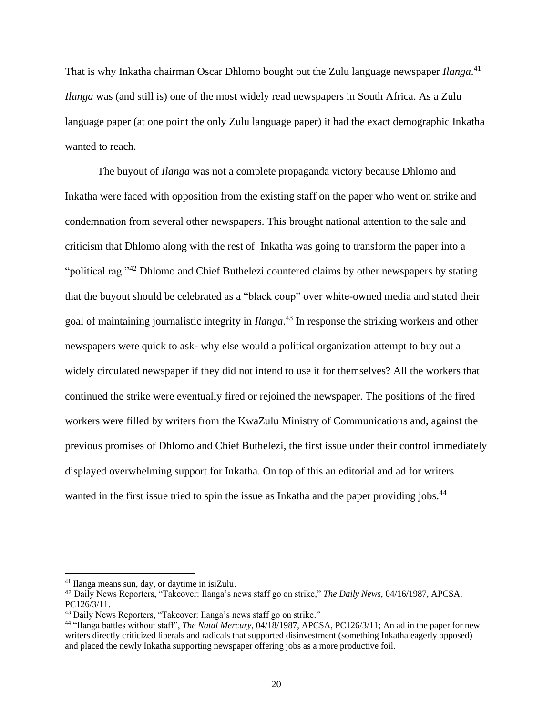That is why Inkatha chairman Oscar Dhlomo bought out the Zulu language newspaper *Ilanga*. 41 *Ilanga* was (and still is) one of the most widely read newspapers in South Africa. As a Zulu language paper (at one point the only Zulu language paper) it had the exact demographic Inkatha wanted to reach.

The buyout of *Ilanga* was not a complete propaganda victory because Dhlomo and Inkatha were faced with opposition from the existing staff on the paper who went on strike and condemnation from several other newspapers. This brought national attention to the sale and criticism that Dhlomo along with the rest of Inkatha was going to transform the paper into a "political rag."<sup>42</sup> Dhlomo and Chief Buthelezi countered claims by other newspapers by stating that the buyout should be celebrated as a "black coup" over white-owned media and stated their goal of maintaining journalistic integrity in *Ilanga*. <sup>43</sup> In response the striking workers and other newspapers were quick to ask- why else would a political organization attempt to buy out a widely circulated newspaper if they did not intend to use it for themselves? All the workers that continued the strike were eventually fired or rejoined the newspaper. The positions of the fired workers were filled by writers from the KwaZulu Ministry of Communications and, against the previous promises of Dhlomo and Chief Buthelezi, the first issue under their control immediately displayed overwhelming support for Inkatha. On top of this an editorial and ad for writers wanted in the first issue tried to spin the issue as Inkatha and the paper providing jobs.<sup>44</sup>

<sup>41</sup> Ilanga means sun, day, or daytime in isiZulu.

<sup>42</sup> Daily News Reporters, "Takeover: Ilanga's news staff go on strike," *The Daily News*, 04/16/1987, APCSA, PC126/3/11.

<sup>43</sup> Daily News Reporters, "Takeover: Ilanga's news staff go on strike."

<sup>44</sup> "Ilanga battles without staff", *The Natal Mercury*, 04/18/1987, APCSA, PC126/3/11; An ad in the paper for new writers directly criticized liberals and radicals that supported disinvestment (something Inkatha eagerly opposed) and placed the newly Inkatha supporting newspaper offering jobs as a more productive foil.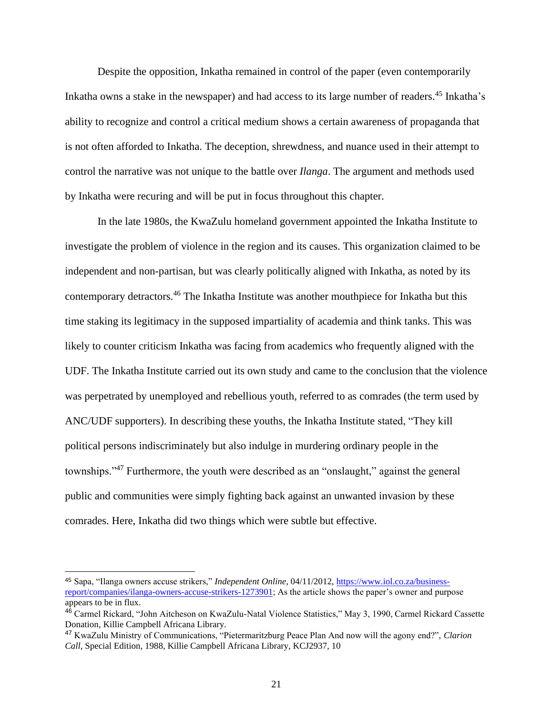Despite the opposition, Inkatha remained in control of the paper (even contemporarily Inkatha owns a stake in the newspaper) and had access to its large number of readers.<sup>45</sup> Inkatha's ability to recognize and control a critical medium shows a certain awareness of propaganda that is not often afforded to Inkatha. The deception, shrewdness, and nuance used in their attempt to control the narrative was not unique to the battle over *Ilanga*. The argument and methods used by Inkatha were recuring and will be put in focus throughout this chapter.

In the late 1980s, the KwaZulu homeland government appointed the Inkatha Institute to investigate the problem of violence in the region and its causes. This organization claimed to be independent and non-partisan, but was clearly politically aligned with Inkatha, as noted by its contemporary detractors.<sup>46</sup> The Inkatha Institute was another mouthpiece for Inkatha but this time staking its legitimacy in the supposed impartiality of academia and think tanks. This was likely to counter criticism Inkatha was facing from academics who frequently aligned with the UDF. The Inkatha Institute carried out its own study and came to the conclusion that the violence was perpetrated by unemployed and rebellious youth, referred to as comrades (the term used by ANC/UDF supporters). In describing these youths, the Inkatha Institute stated, "They kill political persons indiscriminately but also indulge in murdering ordinary people in the townships."<sup>47</sup> Furthermore, the youth were described as an "onslaught," against the general public and communities were simply fighting back against an unwanted invasion by these comrades. Here, Inkatha did two things which were subtle but effective.

<sup>45</sup> Sapa, "Ilanga owners accuse strikers," *Independent Online*, 04/11/2012, [https://www.iol.co.za/business](https://www.iol.co.za/business-report/companies/ilanga-owners-accuse-strikers-1273901)[report/companies/ilanga-owners-accuse-strikers-1273901;](https://www.iol.co.za/business-report/companies/ilanga-owners-accuse-strikers-1273901) As the article shows the paper's owner and purpose appears to be in flux.

<sup>46</sup> Carmel Rickard, "John Aitcheson on KwaZulu-Natal Violence Statistics," May 3, 1990, Carmel Rickard Cassette Donation, Killie Campbell Africana Library.

<sup>47</sup> KwaZulu Ministry of Communications, "Pietermaritzburg Peace Plan And now will the agony end?", *Clarion Call*, Special Edition, 1988, Killie Campbell Africana Library, KCJ2937, 10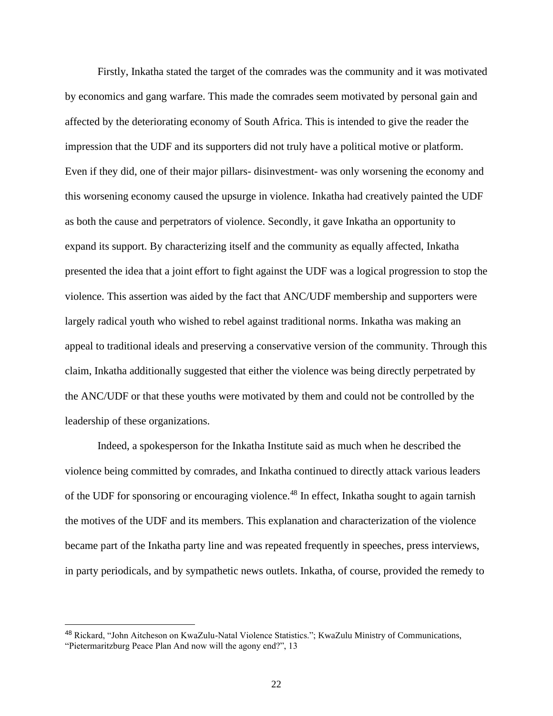Firstly, Inkatha stated the target of the comrades was the community and it was motivated by economics and gang warfare. This made the comrades seem motivated by personal gain and affected by the deteriorating economy of South Africa. This is intended to give the reader the impression that the UDF and its supporters did not truly have a political motive or platform. Even if they did, one of their major pillars- disinvestment- was only worsening the economy and this worsening economy caused the upsurge in violence. Inkatha had creatively painted the UDF as both the cause and perpetrators of violence. Secondly, it gave Inkatha an opportunity to expand its support. By characterizing itself and the community as equally affected, Inkatha presented the idea that a joint effort to fight against the UDF was a logical progression to stop the violence. This assertion was aided by the fact that ANC/UDF membership and supporters were largely radical youth who wished to rebel against traditional norms. Inkatha was making an appeal to traditional ideals and preserving a conservative version of the community. Through this claim, Inkatha additionally suggested that either the violence was being directly perpetrated by the ANC/UDF or that these youths were motivated by them and could not be controlled by the leadership of these organizations.

Indeed, a spokesperson for the Inkatha Institute said as much when he described the violence being committed by comrades, and Inkatha continued to directly attack various leaders of the UDF for sponsoring or encouraging violence.<sup>48</sup> In effect, Inkatha sought to again tarnish the motives of the UDF and its members. This explanation and characterization of the violence became part of the Inkatha party line and was repeated frequently in speeches, press interviews, in party periodicals, and by sympathetic news outlets. Inkatha, of course, provided the remedy to

<sup>48</sup> Rickard, "John Aitcheson on KwaZulu-Natal Violence Statistics."; KwaZulu Ministry of Communications, "Pietermaritzburg Peace Plan And now will the agony end?", 13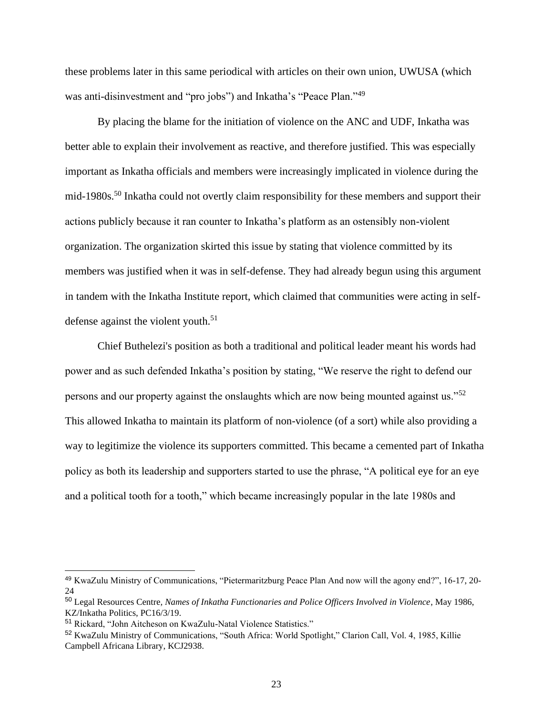these problems later in this same periodical with articles on their own union, UWUSA (which was anti-disinvestment and "pro jobs") and Inkatha's "Peace Plan."<sup>49</sup>

By placing the blame for the initiation of violence on the ANC and UDF, Inkatha was better able to explain their involvement as reactive, and therefore justified. This was especially important as Inkatha officials and members were increasingly implicated in violence during the mid-1980s.<sup>50</sup> Inkatha could not overtly claim responsibility for these members and support their actions publicly because it ran counter to Inkatha's platform as an ostensibly non-violent organization. The organization skirted this issue by stating that violence committed by its members was justified when it was in self-defense. They had already begun using this argument in tandem with the Inkatha Institute report, which claimed that communities were acting in selfdefense against the violent youth. $51$ 

Chief Buthelezi's position as both a traditional and political leader meant his words had power and as such defended Inkatha's position by stating, "We reserve the right to defend our persons and our property against the onslaughts which are now being mounted against us."<sup>52</sup> This allowed Inkatha to maintain its platform of non-violence (of a sort) while also providing a way to legitimize the violence its supporters committed. This became a cemented part of Inkatha policy as both its leadership and supporters started to use the phrase, "A political eye for an eye and a political tooth for a tooth," which became increasingly popular in the late 1980s and

<sup>49</sup> KwaZulu Ministry of Communications, "Pietermaritzburg Peace Plan And now will the agony end?", 16-17, 20- 24

<sup>50</sup> Legal Resources Centre*, Names of Inkatha Functionaries and Police Officers Involved in Violence*, May 1986, KZ/Inkatha Politics, PC16/3/19.

<sup>51</sup> Rickard, "John Aitcheson on KwaZulu-Natal Violence Statistics."

<sup>52</sup> KwaZulu Ministry of Communications, "South Africa: World Spotlight," Clarion Call, Vol. 4, 1985, Killie Campbell Africana Library, KCJ2938.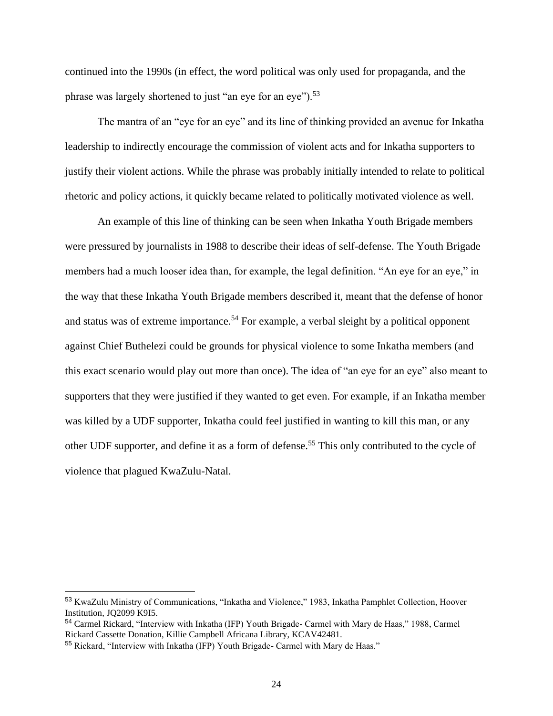continued into the 1990s (in effect, the word political was only used for propaganda, and the phrase was largely shortened to just "an eye for an eye").<sup>53</sup>

The mantra of an "eye for an eye" and its line of thinking provided an avenue for Inkatha leadership to indirectly encourage the commission of violent acts and for Inkatha supporters to justify their violent actions. While the phrase was probably initially intended to relate to political rhetoric and policy actions, it quickly became related to politically motivated violence as well.

An example of this line of thinking can be seen when Inkatha Youth Brigade members were pressured by journalists in 1988 to describe their ideas of self-defense. The Youth Brigade members had a much looser idea than, for example, the legal definition. "An eye for an eye," in the way that these Inkatha Youth Brigade members described it, meant that the defense of honor and status was of extreme importance.<sup>54</sup> For example, a verbal sleight by a political opponent against Chief Buthelezi could be grounds for physical violence to some Inkatha members (and this exact scenario would play out more than once). The idea of "an eye for an eye" also meant to supporters that they were justified if they wanted to get even. For example, if an Inkatha member was killed by a UDF supporter, Inkatha could feel justified in wanting to kill this man, or any other UDF supporter, and define it as a form of defense.<sup>55</sup> This only contributed to the cycle of violence that plagued KwaZulu-Natal.

<sup>53</sup> KwaZulu Ministry of Communications, "Inkatha and Violence," 1983, Inkatha Pamphlet Collection, Hoover Institution, JQ2099 K9I5.

<sup>54</sup> Carmel Rickard, "Interview with Inkatha (IFP) Youth Brigade- Carmel with Mary de Haas," 1988, Carmel Rickard Cassette Donation, Killie Campbell Africana Library, KCAV42481.

<sup>55</sup> Rickard, "Interview with Inkatha (IFP) Youth Brigade- Carmel with Mary de Haas."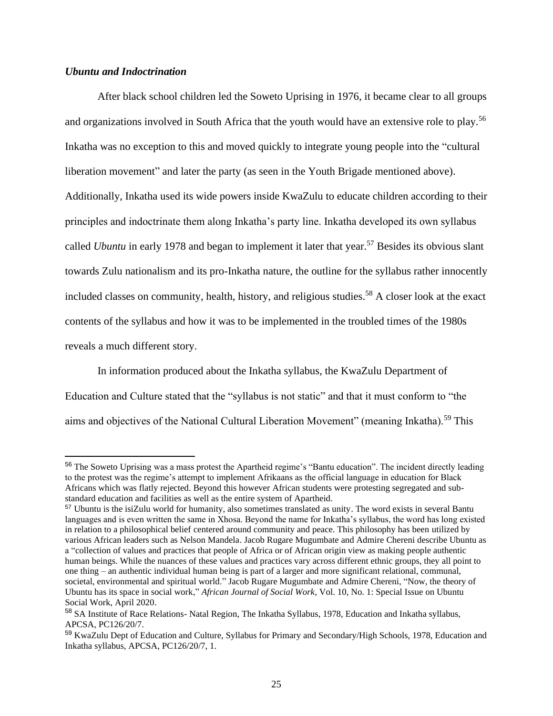### *Ubuntu and Indoctrination*

After black school children led the Soweto Uprising in 1976, it became clear to all groups and organizations involved in South Africa that the youth would have an extensive role to play.<sup>56</sup> Inkatha was no exception to this and moved quickly to integrate young people into the "cultural liberation movement" and later the party (as seen in the Youth Brigade mentioned above). Additionally, Inkatha used its wide powers inside KwaZulu to educate children according to their principles and indoctrinate them along Inkatha's party line. Inkatha developed its own syllabus called *Ubuntu* in early 1978 and began to implement it later that year.<sup>57</sup> Besides its obvious slant towards Zulu nationalism and its pro-Inkatha nature, the outline for the syllabus rather innocently included classes on community, health, history, and religious studies.<sup>58</sup> A closer look at the exact contents of the syllabus and how it was to be implemented in the troubled times of the 1980s reveals a much different story.

In information produced about the Inkatha syllabus, the KwaZulu Department of Education and Culture stated that the "syllabus is not static" and that it must conform to "the aims and objectives of the National Cultural Liberation Movement" (meaning Inkatha).<sup>59</sup> This

<sup>&</sup>lt;sup>56</sup> The Soweto Uprising was a mass protest the Apartheid regime's "Bantu education". The incident directly leading to the protest was the regime's attempt to implement Afrikaans as the official language in education for Black Africans which was flatly rejected. Beyond this however African students were protesting segregated and substandard education and facilities as well as the entire system of Apartheid.

<sup>57</sup> Ubuntu is the isiZulu world for humanity, also sometimes translated as unity. The word exists in several Bantu languages and is even written the same in Xhosa. Beyond the name for Inkatha's syllabus, the word has long existed in relation to a philosophical belief centered around community and peace. This philosophy has been utilized by various African leaders such as Nelson Mandela. Jacob Rugare Mugumbate and Admire Chereni describe Ubuntu as a "collection of values and practices that people of Africa or of African origin view as making people authentic human beings. While the nuances of these values and practices vary across different ethnic groups, they all point to one thing – an authentic individual human being is part of a larger and more significant relational, communal, societal, environmental and spiritual world." Jacob Rugare Mugumbate and Admire Chereni, "Now, the theory of Ubuntu has its space in social work," *African Journal of Social Work*, Vol. 10, No. 1: Special Issue on Ubuntu Social Work, April 2020.

<sup>58</sup> SA Institute of Race Relations- Natal Region, The Inkatha Syllabus, 1978, Education and Inkatha syllabus, APCSA, PC126/20/7.

<sup>59</sup> KwaZulu Dept of Education and Culture, Syllabus for Primary and Secondary/High Schools, 1978, Education and Inkatha syllabus, APCSA, PC126/20/7, 1.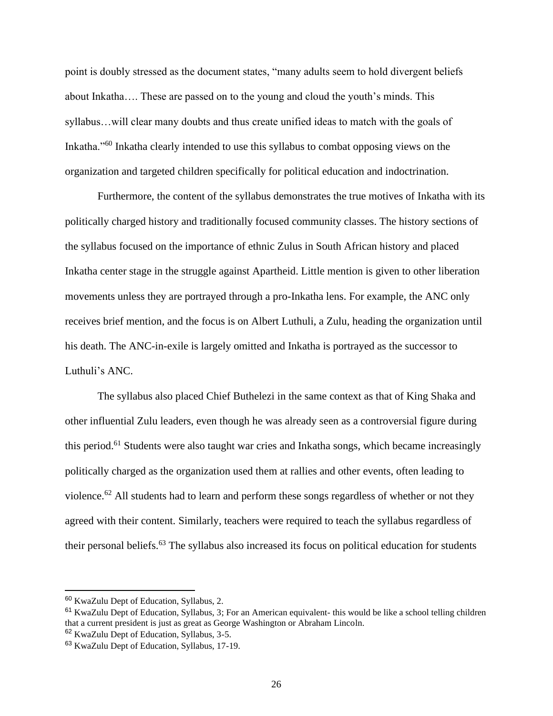point is doubly stressed as the document states, "many adults seem to hold divergent beliefs about Inkatha…. These are passed on to the young and cloud the youth's minds. This syllabus…will clear many doubts and thus create unified ideas to match with the goals of Inkatha."<sup>60</sup> Inkatha clearly intended to use this syllabus to combat opposing views on the organization and targeted children specifically for political education and indoctrination.

Furthermore, the content of the syllabus demonstrates the true motives of Inkatha with its politically charged history and traditionally focused community classes. The history sections of the syllabus focused on the importance of ethnic Zulus in South African history and placed Inkatha center stage in the struggle against Apartheid. Little mention is given to other liberation movements unless they are portrayed through a pro-Inkatha lens. For example, the ANC only receives brief mention, and the focus is on Albert Luthuli, a Zulu, heading the organization until his death. The ANC-in-exile is largely omitted and Inkatha is portrayed as the successor to Luthuli's ANC.

The syllabus also placed Chief Buthelezi in the same context as that of King Shaka and other influential Zulu leaders, even though he was already seen as a controversial figure during this period.<sup>61</sup> Students were also taught war cries and Inkatha songs, which became increasingly politically charged as the organization used them at rallies and other events, often leading to violence.<sup>62</sup> All students had to learn and perform these songs regardless of whether or not they agreed with their content. Similarly, teachers were required to teach the syllabus regardless of their personal beliefs.<sup>63</sup> The syllabus also increased its focus on political education for students

<sup>60</sup> KwaZulu Dept of Education, Syllabus, 2.

<sup>&</sup>lt;sup>61</sup> KwaZulu Dept of Education, Syllabus, 3; For an American equivalent- this would be like a school telling children that a current president is just as great as George Washington or Abraham Lincoln.

<sup>62</sup> KwaZulu Dept of Education, Syllabus, 3-5.

<sup>63</sup> KwaZulu Dept of Education, Syllabus, 17-19.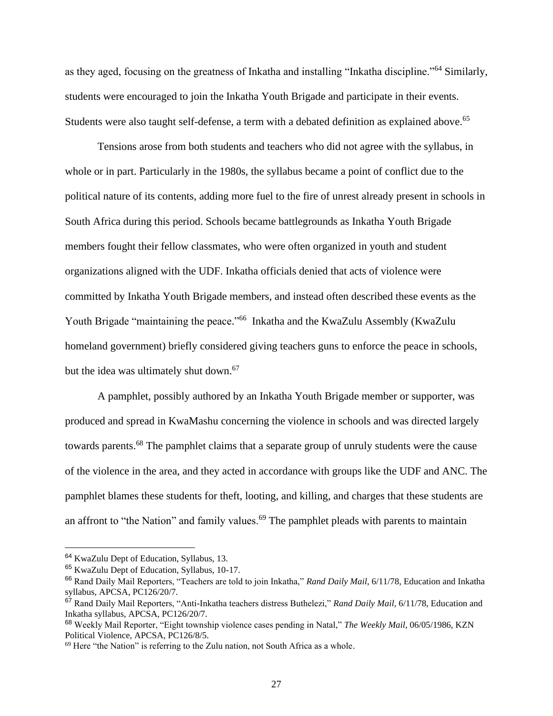as they aged, focusing on the greatness of Inkatha and installing "Inkatha discipline."<sup>64</sup> Similarly, students were encouraged to join the Inkatha Youth Brigade and participate in their events. Students were also taught self-defense, a term with a debated definition as explained above.<sup>65</sup>

Tensions arose from both students and teachers who did not agree with the syllabus, in whole or in part. Particularly in the 1980s, the syllabus became a point of conflict due to the political nature of its contents, adding more fuel to the fire of unrest already present in schools in South Africa during this period. Schools became battlegrounds as Inkatha Youth Brigade members fought their fellow classmates, who were often organized in youth and student organizations aligned with the UDF. Inkatha officials denied that acts of violence were committed by Inkatha Youth Brigade members, and instead often described these events as the Youth Brigade "maintaining the peace."<sup>66</sup> Inkatha and the KwaZulu Assembly (KwaZulu homeland government) briefly considered giving teachers guns to enforce the peace in schools, but the idea was ultimately shut down.<sup>67</sup>

A pamphlet, possibly authored by an Inkatha Youth Brigade member or supporter, was produced and spread in KwaMashu concerning the violence in schools and was directed largely towards parents.<sup>68</sup> The pamphlet claims that a separate group of unruly students were the cause of the violence in the area, and they acted in accordance with groups like the UDF and ANC. The pamphlet blames these students for theft, looting, and killing, and charges that these students are an affront to "the Nation" and family values.<sup>69</sup> The pamphlet pleads with parents to maintain

<sup>64</sup> KwaZulu Dept of Education, Syllabus, 13.

<sup>65</sup> KwaZulu Dept of Education, Syllabus, 10-17.

<sup>66</sup> Rand Daily Mail Reporters, "Teachers are told to join Inkatha," *Rand Daily Mail*, 6/11/78, Education and Inkatha syllabus, APCSA, PC126/20/7.

<sup>67</sup> Rand Daily Mail Reporters, "Anti-Inkatha teachers distress Buthelezi," *Rand Daily Mail,* 6/11/78, Education and Inkatha syllabus, APCSA, PC126/20/7.

<sup>68</sup> Weekly Mail Reporter, "Eight township violence cases pending in Natal," *The Weekly Mail*, 06/05/1986, KZN Political Violence, APCSA, PC126/8/5.

<sup>&</sup>lt;sup>69</sup> Here "the Nation" is referring to the Zulu nation, not South Africa as a whole.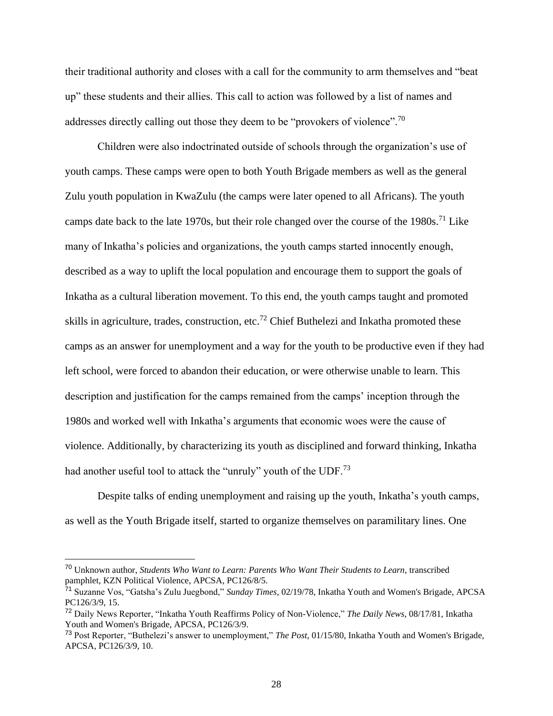their traditional authority and closes with a call for the community to arm themselves and "beat up" these students and their allies. This call to action was followed by a list of names and addresses directly calling out those they deem to be "provokers of violence".<sup>70</sup>

Children were also indoctrinated outside of schools through the organization's use of youth camps. These camps were open to both Youth Brigade members as well as the general Zulu youth population in KwaZulu (the camps were later opened to all Africans). The youth camps date back to the late 1970s, but their role changed over the course of the  $1980s$ .<sup>71</sup> Like many of Inkatha's policies and organizations, the youth camps started innocently enough, described as a way to uplift the local population and encourage them to support the goals of Inkatha as a cultural liberation movement. To this end, the youth camps taught and promoted skills in agriculture, trades, construction, etc.<sup>72</sup> Chief Buthelezi and Inkatha promoted these camps as an answer for unemployment and a way for the youth to be productive even if they had left school, were forced to abandon their education, or were otherwise unable to learn. This description and justification for the camps remained from the camps' inception through the 1980s and worked well with Inkatha's arguments that economic woes were the cause of violence. Additionally, by characterizing its youth as disciplined and forward thinking, Inkatha had another useful tool to attack the "unruly" youth of the UDF.<sup>73</sup>

Despite talks of ending unemployment and raising up the youth, Inkatha's youth camps, as well as the Youth Brigade itself, started to organize themselves on paramilitary lines. One

<sup>70</sup> Unknown author, *Students Who Want to Learn: Parents Who Want Their Students to Learn*, transcribed pamphlet, KZN Political Violence, APCSA, PC126/8/5.

<sup>71</sup> Suzanne Vos, "Gatsha's Zulu Juegbond," *Sunday Times*, 02/19/78, Inkatha Youth and Women's Brigade, APCSA PC126/3/9, 15.

<sup>72</sup> Daily News Reporter, "Inkatha Youth Reaffirms Policy of Non-Violence," *The Daily News*, 08/17/81, Inkatha Youth and Women's Brigade, APCSA, PC126/3/9.

<sup>73</sup> Post Reporter, "Buthelezi's answer to unemployment," *The Post*, 01/15/80, Inkatha Youth and Women's Brigade, APCSA, PC126/3/9, 10.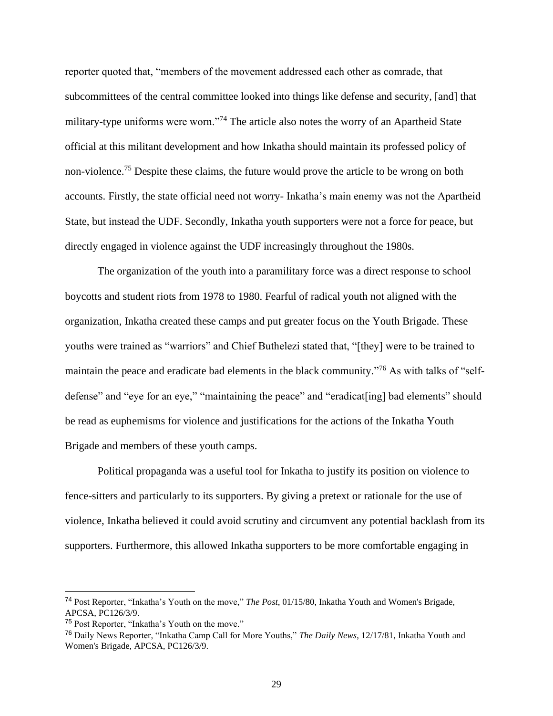reporter quoted that, "members of the movement addressed each other as comrade, that subcommittees of the central committee looked into things like defense and security, [and] that military-type uniforms were worn."<sup>74</sup> The article also notes the worry of an Apartheid State official at this militant development and how Inkatha should maintain its professed policy of non-violence.<sup>75</sup> Despite these claims, the future would prove the article to be wrong on both accounts. Firstly, the state official need not worry- Inkatha's main enemy was not the Apartheid State, but instead the UDF. Secondly, Inkatha youth supporters were not a force for peace, but directly engaged in violence against the UDF increasingly throughout the 1980s.

The organization of the youth into a paramilitary force was a direct response to school boycotts and student riots from 1978 to 1980. Fearful of radical youth not aligned with the organization, Inkatha created these camps and put greater focus on the Youth Brigade. These youths were trained as "warriors" and Chief Buthelezi stated that, "[they] were to be trained to maintain the peace and eradicate bad elements in the black community."<sup>76</sup> As with talks of "selfdefense" and "eye for an eye," "maintaining the peace" and "eradicat[ing] bad elements" should be read as euphemisms for violence and justifications for the actions of the Inkatha Youth Brigade and members of these youth camps.

Political propaganda was a useful tool for Inkatha to justify its position on violence to fence-sitters and particularly to its supporters. By giving a pretext or rationale for the use of violence, Inkatha believed it could avoid scrutiny and circumvent any potential backlash from its supporters. Furthermore, this allowed Inkatha supporters to be more comfortable engaging in

<sup>74</sup> Post Reporter, "Inkatha's Youth on the move," *The Post*, 01/15/80, Inkatha Youth and Women's Brigade, APCSA, PC126/3/9.

<sup>75</sup> Post Reporter, "Inkatha's Youth on the move."

<sup>76</sup> Daily News Reporter, "Inkatha Camp Call for More Youths," *The Daily News*, 12/17/81, Inkatha Youth and Women's Brigade, APCSA, PC126/3/9.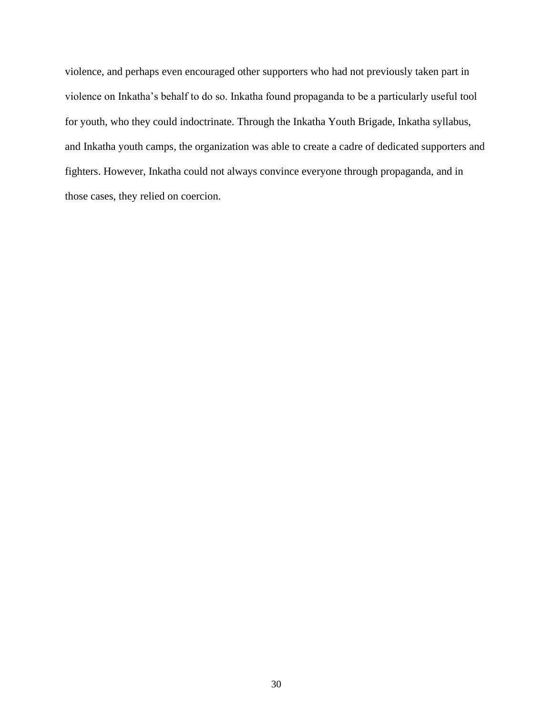violence, and perhaps even encouraged other supporters who had not previously taken part in violence on Inkatha's behalf to do so. Inkatha found propaganda to be a particularly useful tool for youth, who they could indoctrinate. Through the Inkatha Youth Brigade, Inkatha syllabus, and Inkatha youth camps, the organization was able to create a cadre of dedicated supporters and fighters. However, Inkatha could not always convince everyone through propaganda, and in those cases, they relied on coercion.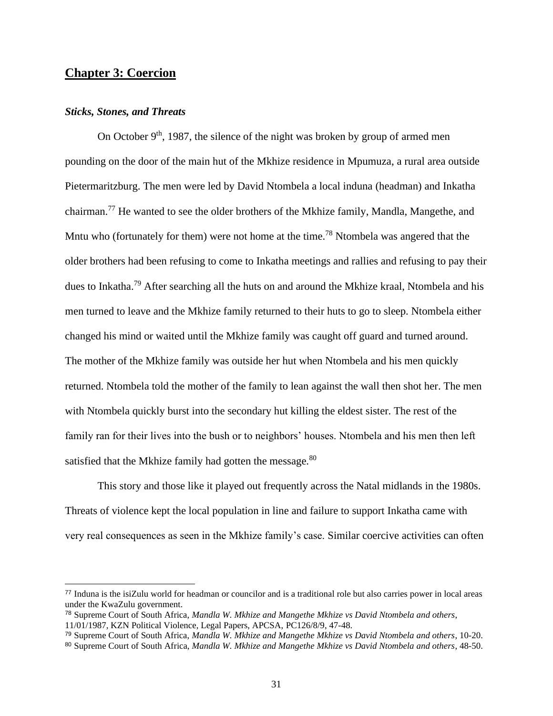# **Chapter 3: Coercion**

### *Sticks, Stones, and Threats*

On October  $9<sup>th</sup>$ , 1987, the silence of the night was broken by group of armed men pounding on the door of the main hut of the Mkhize residence in Mpumuza, a rural area outside Pietermaritzburg. The men were led by David Ntombela a local induna (headman) and Inkatha chairman.<sup>77</sup> He wanted to see the older brothers of the Mkhize family, Mandla, Mangethe, and Mntu who (fortunately for them) were not home at the time.<sup>78</sup> Ntombela was angered that the older brothers had been refusing to come to Inkatha meetings and rallies and refusing to pay their dues to Inkatha.<sup>79</sup> After searching all the huts on and around the Mkhize kraal, Ntombela and his men turned to leave and the Mkhize family returned to their huts to go to sleep. Ntombela either changed his mind or waited until the Mkhize family was caught off guard and turned around. The mother of the Mkhize family was outside her hut when Ntombela and his men quickly returned. Ntombela told the mother of the family to lean against the wall then shot her. The men with Ntombela quickly burst into the secondary hut killing the eldest sister. The rest of the family ran for their lives into the bush or to neighbors' houses. Ntombela and his men then left satisfied that the Mkhize family had gotten the message.<sup>80</sup>

This story and those like it played out frequently across the Natal midlands in the 1980s. Threats of violence kept the local population in line and failure to support Inkatha came with very real consequences as seen in the Mkhize family's case. Similar coercive activities can often

<sup>77</sup> Induna is the isiZulu world for headman or councilor and is a traditional role but also carries power in local areas under the KwaZulu government.

<sup>78</sup> Supreme Court of South Africa, *Mandla W. Mkhize and Mangethe Mkhize vs David Ntombela and others*, 11/01/1987, KZN Political Violence, Legal Papers, APCSA, PC126/8/9, 47-48.

<sup>79</sup> Supreme Court of South Africa, *Mandla W. Mkhize and Mangethe Mkhize vs David Ntombela and others*, 10-20.

<sup>80</sup> Supreme Court of South Africa, *Mandla W. Mkhize and Mangethe Mkhize vs David Ntombela and others*, 48-50.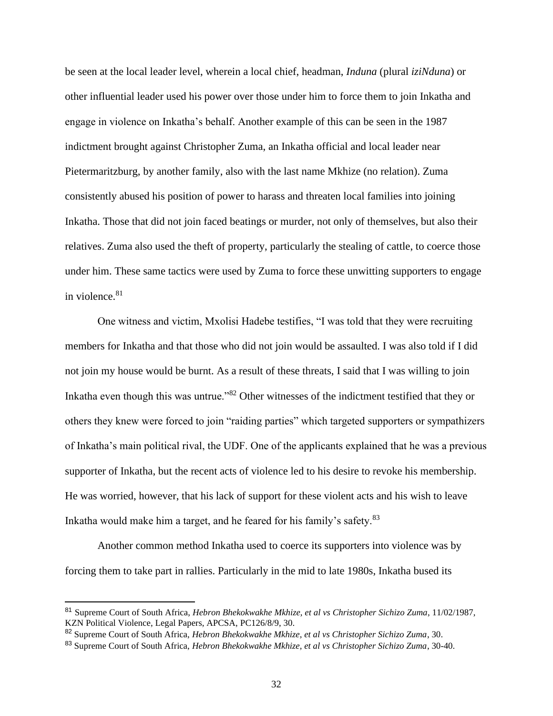be seen at the local leader level, wherein a local chief, headman, *Induna* (plural *iziNduna*) or other influential leader used his power over those under him to force them to join Inkatha and engage in violence on Inkatha's behalf. Another example of this can be seen in the 1987 indictment brought against Christopher Zuma, an Inkatha official and local leader near Pietermaritzburg, by another family, also with the last name Mkhize (no relation). Zuma consistently abused his position of power to harass and threaten local families into joining Inkatha. Those that did not join faced beatings or murder, not only of themselves, but also their relatives. Zuma also used the theft of property, particularly the stealing of cattle, to coerce those under him. These same tactics were used by Zuma to force these unwitting supporters to engage in violence. $81$ 

One witness and victim, Mxolisi Hadebe testifies, "I was told that they were recruiting members for Inkatha and that those who did not join would be assaulted. I was also told if I did not join my house would be burnt. As a result of these threats, I said that I was willing to join Inkatha even though this was untrue."<sup>82</sup> Other witnesses of the indictment testified that they or others they knew were forced to join "raiding parties" which targeted supporters or sympathizers of Inkatha's main political rival, the UDF. One of the applicants explained that he was a previous supporter of Inkatha, but the recent acts of violence led to his desire to revoke his membership. He was worried, however, that his lack of support for these violent acts and his wish to leave Inkatha would make him a target, and he feared for his family's safety.<sup>83</sup>

Another common method Inkatha used to coerce its supporters into violence was by forcing them to take part in rallies. Particularly in the mid to late 1980s, Inkatha bused its

<sup>81</sup> Supreme Court of South Africa, *Hebron Bhekokwakhe Mkhize, et al vs Christopher Sichizo Zuma*, 11/02/1987, KZN Political Violence, Legal Papers, APCSA, PC126/8/9, 30.

<sup>82</sup> Supreme Court of South Africa, *Hebron Bhekokwakhe Mkhize, et al vs Christopher Sichizo Zuma*, 30.

<sup>83</sup> Supreme Court of South Africa, *Hebron Bhekokwakhe Mkhize, et al vs Christopher Sichizo Zuma*, 30-40.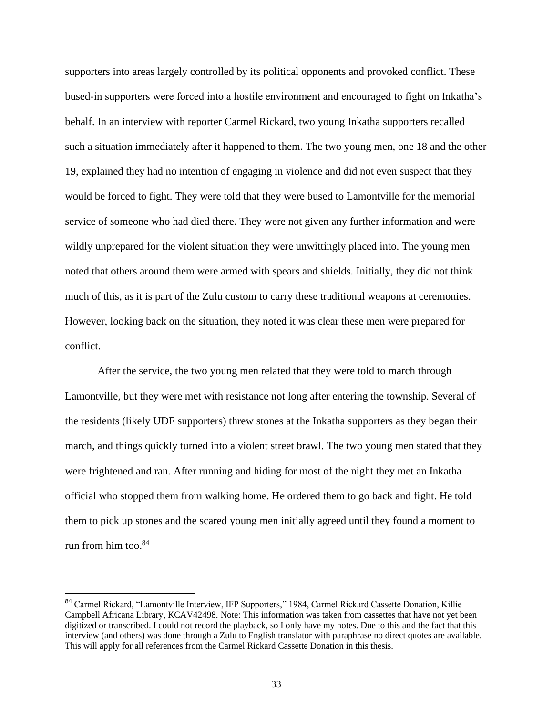supporters into areas largely controlled by its political opponents and provoked conflict. These bused-in supporters were forced into a hostile environment and encouraged to fight on Inkatha's behalf. In an interview with reporter Carmel Rickard, two young Inkatha supporters recalled such a situation immediately after it happened to them. The two young men, one 18 and the other 19, explained they had no intention of engaging in violence and did not even suspect that they would be forced to fight. They were told that they were bused to Lamontville for the memorial service of someone who had died there. They were not given any further information and were wildly unprepared for the violent situation they were unwittingly placed into. The young men noted that others around them were armed with spears and shields. Initially, they did not think much of this, as it is part of the Zulu custom to carry these traditional weapons at ceremonies. However, looking back on the situation, they noted it was clear these men were prepared for conflict.

After the service, the two young men related that they were told to march through Lamontville, but they were met with resistance not long after entering the township. Several of the residents (likely UDF supporters) threw stones at the Inkatha supporters as they began their march, and things quickly turned into a violent street brawl. The two young men stated that they were frightened and ran. After running and hiding for most of the night they met an Inkatha official who stopped them from walking home. He ordered them to go back and fight. He told them to pick up stones and the scared young men initially agreed until they found a moment to run from him too. $84$ 

<sup>84</sup> Carmel Rickard, "Lamontville Interview, IFP Supporters," 1984, Carmel Rickard Cassette Donation, Killie Campbell Africana Library, KCAV42498. Note: This information was taken from cassettes that have not yet been digitized or transcribed. I could not record the playback, so I only have my notes. Due to this and the fact that this interview (and others) was done through a Zulu to English translator with paraphrase no direct quotes are available. This will apply for all references from the Carmel Rickard Cassette Donation in this thesis.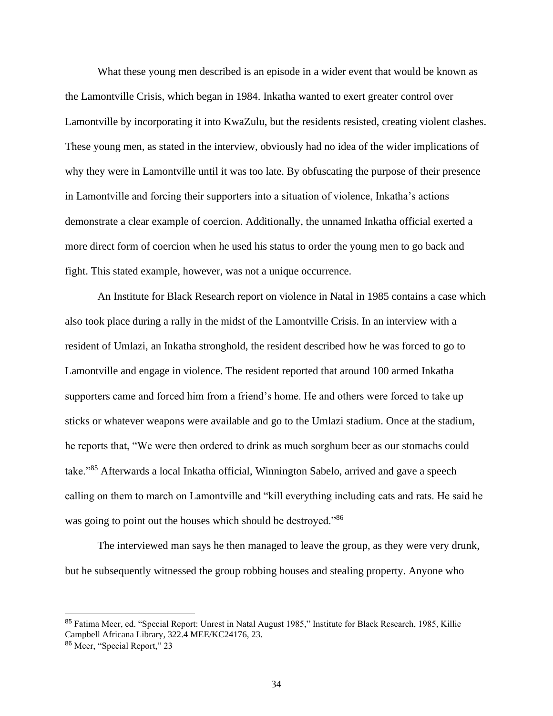What these young men described is an episode in a wider event that would be known as the Lamontville Crisis, which began in 1984. Inkatha wanted to exert greater control over Lamontville by incorporating it into KwaZulu, but the residents resisted, creating violent clashes. These young men, as stated in the interview, obviously had no idea of the wider implications of why they were in Lamontville until it was too late. By obfuscating the purpose of their presence in Lamontville and forcing their supporters into a situation of violence, Inkatha's actions demonstrate a clear example of coercion. Additionally, the unnamed Inkatha official exerted a more direct form of coercion when he used his status to order the young men to go back and fight. This stated example, however, was not a unique occurrence.

An Institute for Black Research report on violence in Natal in 1985 contains a case which also took place during a rally in the midst of the Lamontville Crisis. In an interview with a resident of Umlazi, an Inkatha stronghold, the resident described how he was forced to go to Lamontville and engage in violence. The resident reported that around 100 armed Inkatha supporters came and forced him from a friend's home. He and others were forced to take up sticks or whatever weapons were available and go to the Umlazi stadium. Once at the stadium, he reports that, "We were then ordered to drink as much sorghum beer as our stomachs could take."<sup>85</sup> Afterwards a local Inkatha official, Winnington Sabelo, arrived and gave a speech calling on them to march on Lamontville and "kill everything including cats and rats. He said he was going to point out the houses which should be destroyed."<sup>86</sup>

The interviewed man says he then managed to leave the group, as they were very drunk, but he subsequently witnessed the group robbing houses and stealing property. Anyone who

<sup>85</sup> Fatima Meer, ed. "Special Report: Unrest in Natal August 1985," Institute for Black Research, 1985, Killie Campbell Africana Library, 322.4 MEE/KC24176, 23.

<sup>86</sup> Meer, "Special Report," 23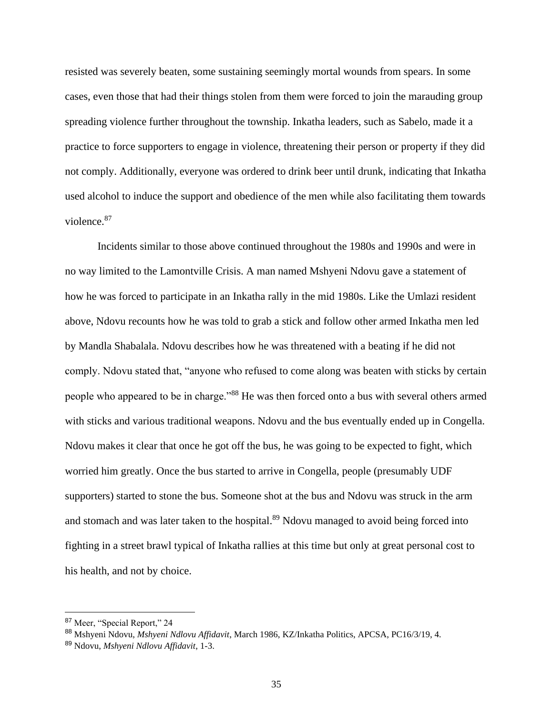resisted was severely beaten, some sustaining seemingly mortal wounds from spears. In some cases, even those that had their things stolen from them were forced to join the marauding group spreading violence further throughout the township. Inkatha leaders, such as Sabelo, made it a practice to force supporters to engage in violence, threatening their person or property if they did not comply. Additionally, everyone was ordered to drink beer until drunk, indicating that Inkatha used alcohol to induce the support and obedience of the men while also facilitating them towards violence.<sup>87</sup>

Incidents similar to those above continued throughout the 1980s and 1990s and were in no way limited to the Lamontville Crisis. A man named Mshyeni Ndovu gave a statement of how he was forced to participate in an Inkatha rally in the mid 1980s. Like the Umlazi resident above, Ndovu recounts how he was told to grab a stick and follow other armed Inkatha men led by Mandla Shabalala. Ndovu describes how he was threatened with a beating if he did not comply. Ndovu stated that, "anyone who refused to come along was beaten with sticks by certain people who appeared to be in charge."<sup>88</sup> He was then forced onto a bus with several others armed with sticks and various traditional weapons. Ndovu and the bus eventually ended up in Congella. Ndovu makes it clear that once he got off the bus, he was going to be expected to fight, which worried him greatly. Once the bus started to arrive in Congella, people (presumably UDF supporters) started to stone the bus. Someone shot at the bus and Ndovu was struck in the arm and stomach and was later taken to the hospital.<sup>89</sup> Ndovu managed to avoid being forced into fighting in a street brawl typical of Inkatha rallies at this time but only at great personal cost to his health, and not by choice.

<sup>87</sup> Meer, "Special Report," 24

<sup>88</sup> Mshyeni Ndovu, *Mshyeni Ndlovu Affidavit*, March 1986, KZ/Inkatha Politics, APCSA, PC16/3/19, 4.

<sup>89</sup> Ndovu, *Mshyeni Ndlovu Affidavit*, 1-3.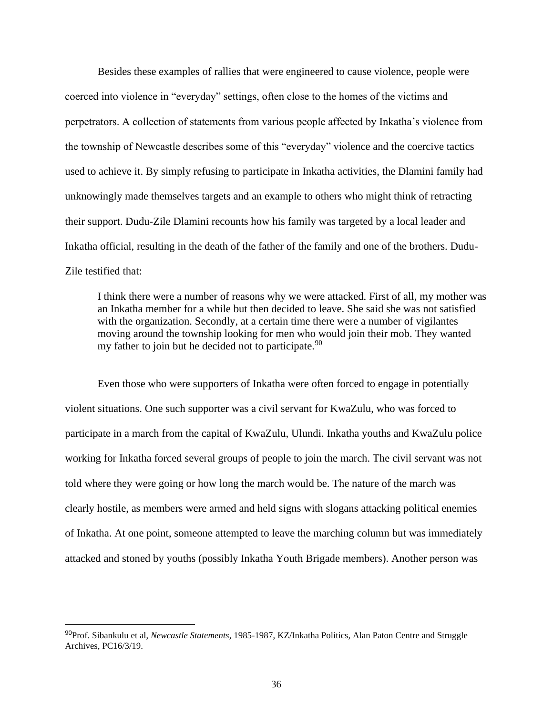Besides these examples of rallies that were engineered to cause violence, people were coerced into violence in "everyday" settings, often close to the homes of the victims and perpetrators. A collection of statements from various people affected by Inkatha's violence from the township of Newcastle describes some of this "everyday" violence and the coercive tactics used to achieve it. By simply refusing to participate in Inkatha activities, the Dlamini family had unknowingly made themselves targets and an example to others who might think of retracting their support. Dudu-Zile Dlamini recounts how his family was targeted by a local leader and Inkatha official, resulting in the death of the father of the family and one of the brothers. Dudu-Zile testified that:

I think there were a number of reasons why we were attacked. First of all, my mother was an Inkatha member for a while but then decided to leave. She said she was not satisfied with the organization. Secondly, at a certain time there were a number of vigilantes moving around the township looking for men who would join their mob. They wanted my father to join but he decided not to participate.<sup>90</sup>

Even those who were supporters of Inkatha were often forced to engage in potentially violent situations. One such supporter was a civil servant for KwaZulu, who was forced to participate in a march from the capital of KwaZulu, Ulundi. Inkatha youths and KwaZulu police working for Inkatha forced several groups of people to join the march. The civil servant was not told where they were going or how long the march would be. The nature of the march was clearly hostile, as members were armed and held signs with slogans attacking political enemies of Inkatha. At one point, someone attempted to leave the marching column but was immediately attacked and stoned by youths (possibly Inkatha Youth Brigade members). Another person was

<sup>90</sup>Prof. Sibankulu et al, *Newcastle Statements*, 1985-1987, KZ/Inkatha Politics, Alan Paton Centre and Struggle Archives, PC16/3/19.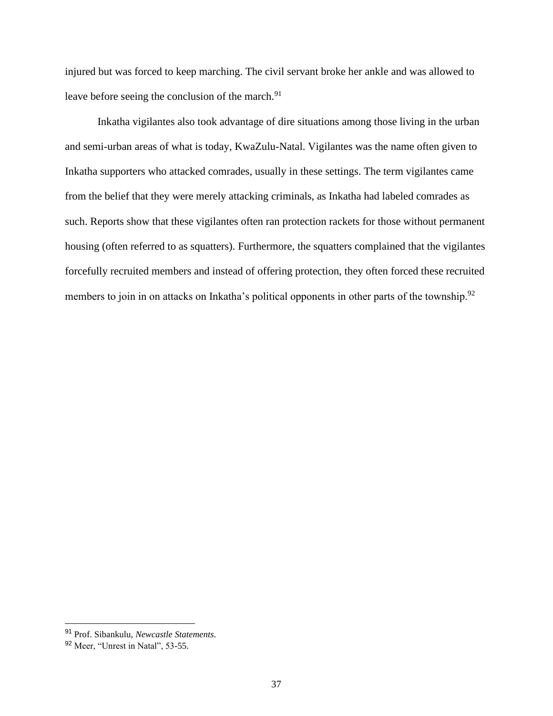injured but was forced to keep marching. The civil servant broke her ankle and was allowed to leave before seeing the conclusion of the march.<sup>91</sup>

Inkatha vigilantes also took advantage of dire situations among those living in the urban and semi-urban areas of what is today, KwaZulu-Natal. Vigilantes was the name often given to Inkatha supporters who attacked comrades, usually in these settings. The term vigilantes came from the belief that they were merely attacking criminals, as Inkatha had labeled comrades as such. Reports show that these vigilantes often ran protection rackets for those without permanent housing (often referred to as squatters). Furthermore, the squatters complained that the vigilantes forcefully recruited members and instead of offering protection, they often forced these recruited members to join in on attacks on Inkatha's political opponents in other parts of the township.<sup>92</sup>

<sup>91</sup> Prof. Sibankulu, *Newcastle Statements*.

<sup>92</sup> Meer, "Unrest in Natal", 53-55.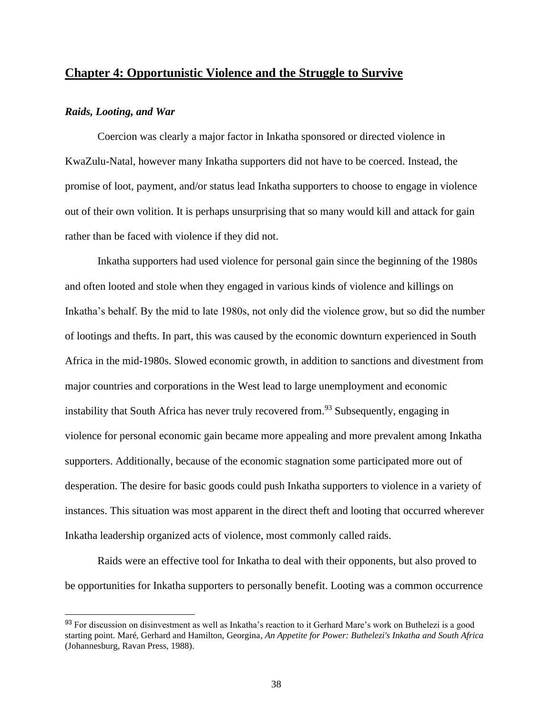# **Chapter 4: Opportunistic Violence and the Struggle to Survive**

### *Raids, Looting, and War*

Coercion was clearly a major factor in Inkatha sponsored or directed violence in KwaZulu-Natal, however many Inkatha supporters did not have to be coerced. Instead, the promise of loot, payment, and/or status lead Inkatha supporters to choose to engage in violence out of their own volition. It is perhaps unsurprising that so many would kill and attack for gain rather than be faced with violence if they did not.

Inkatha supporters had used violence for personal gain since the beginning of the 1980s and often looted and stole when they engaged in various kinds of violence and killings on Inkatha's behalf. By the mid to late 1980s, not only did the violence grow, but so did the number of lootings and thefts. In part, this was caused by the economic downturn experienced in South Africa in the mid-1980s. Slowed economic growth, in addition to sanctions and divestment from major countries and corporations in the West lead to large unemployment and economic instability that South Africa has never truly recovered from.<sup>93</sup> Subsequently, engaging in violence for personal economic gain became more appealing and more prevalent among Inkatha supporters. Additionally, because of the economic stagnation some participated more out of desperation. The desire for basic goods could push Inkatha supporters to violence in a variety of instances. This situation was most apparent in the direct theft and looting that occurred wherever Inkatha leadership organized acts of violence, most commonly called raids.

Raids were an effective tool for Inkatha to deal with their opponents, but also proved to be opportunities for Inkatha supporters to personally benefit. Looting was a common occurrence

<sup>93</sup> For discussion on disinvestment as well as Inkatha's reaction to it Gerhard Mare's work on Buthelezi is a good starting point. Maré, Gerhard and Hamilton, Georgina*, An Appetite for Power: Buthelezi's Inkatha and South Africa* (Johannesburg, Ravan Press, 1988).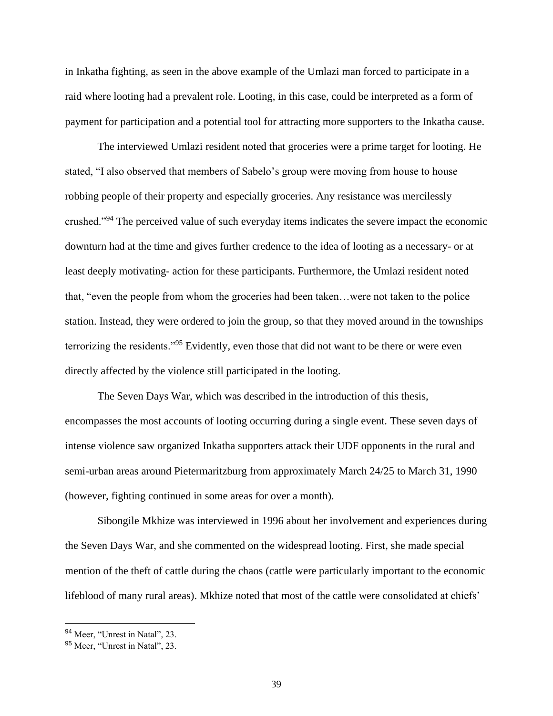in Inkatha fighting, as seen in the above example of the Umlazi man forced to participate in a raid where looting had a prevalent role. Looting, in this case, could be interpreted as a form of payment for participation and a potential tool for attracting more supporters to the Inkatha cause.

The interviewed Umlazi resident noted that groceries were a prime target for looting. He stated, "I also observed that members of Sabelo's group were moving from house to house robbing people of their property and especially groceries. Any resistance was mercilessly crushed."<sup>94</sup> The perceived value of such everyday items indicates the severe impact the economic downturn had at the time and gives further credence to the idea of looting as a necessary- or at least deeply motivating- action for these participants. Furthermore, the Umlazi resident noted that, "even the people from whom the groceries had been taken…were not taken to the police station. Instead, they were ordered to join the group, so that they moved around in the townships terrorizing the residents."<sup>95</sup> Evidently, even those that did not want to be there or were even directly affected by the violence still participated in the looting.

The Seven Days War, which was described in the introduction of this thesis, encompasses the most accounts of looting occurring during a single event. These seven days of intense violence saw organized Inkatha supporters attack their UDF opponents in the rural and semi-urban areas around Pietermaritzburg from approximately March 24/25 to March 31, 1990 (however, fighting continued in some areas for over a month).

Sibongile Mkhize was interviewed in 1996 about her involvement and experiences during the Seven Days War, and she commented on the widespread looting. First, she made special mention of the theft of cattle during the chaos (cattle were particularly important to the economic lifeblood of many rural areas). Mkhize noted that most of the cattle were consolidated at chiefs'

<sup>94</sup> Meer, "Unrest in Natal", 23.

<sup>95</sup> Meer, "Unrest in Natal", 23.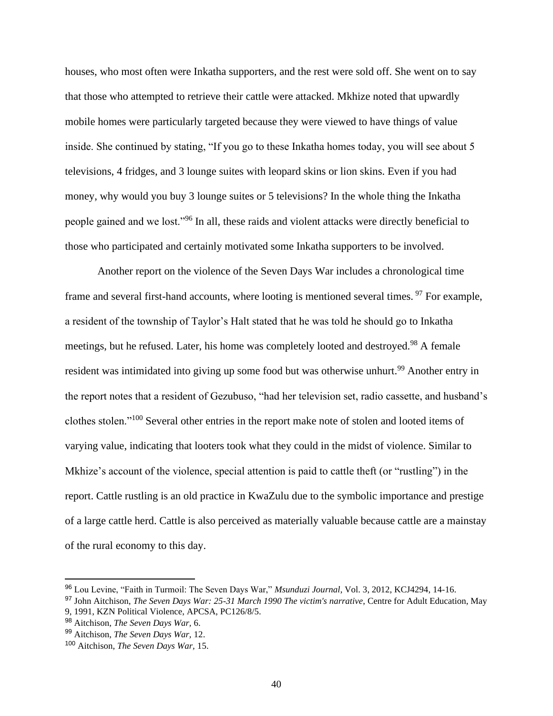houses, who most often were Inkatha supporters, and the rest were sold off. She went on to say that those who attempted to retrieve their cattle were attacked. Mkhize noted that upwardly mobile homes were particularly targeted because they were viewed to have things of value inside. She continued by stating, "If you go to these Inkatha homes today, you will see about 5 televisions, 4 fridges, and 3 lounge suites with leopard skins or lion skins. Even if you had money, why would you buy 3 lounge suites or 5 televisions? In the whole thing the Inkatha people gained and we lost."<sup>96</sup> In all, these raids and violent attacks were directly beneficial to those who participated and certainly motivated some Inkatha supporters to be involved.

Another report on the violence of the Seven Days War includes a chronological time frame and several first-hand accounts, where looting is mentioned several times. <sup>97</sup> For example, a resident of the township of Taylor's Halt stated that he was told he should go to Inkatha meetings, but he refused. Later, his home was completely looted and destroyed.<sup>98</sup> A female resident was intimidated into giving up some food but was otherwise unhurt.<sup>99</sup> Another entry in the report notes that a resident of Gezubuso, "had her television set, radio cassette, and husband's clothes stolen."<sup>100</sup> Several other entries in the report make note of stolen and looted items of varying value, indicating that looters took what they could in the midst of violence. Similar to Mkhize's account of the violence, special attention is paid to cattle theft (or "rustling") in the report. Cattle rustling is an old practice in KwaZulu due to the symbolic importance and prestige of a large cattle herd. Cattle is also perceived as materially valuable because cattle are a mainstay of the rural economy to this day.

<sup>96</sup> Lou Levine, "Faith in Turmoil: The Seven Days War," *Msunduzi Journal*, Vol. 3, 2012, KCJ4294, 14-16.

<sup>97</sup> John Aitchison, *The Seven Days War: 25-31 March 1990 The victim's narrative*, Centre for Adult Education, May

<sup>9, 1991,</sup> KZN Political Violence, APCSA, PC126/8/5.

<sup>98</sup> Aitchison, *The Seven Days War,* 6.

<sup>99</sup> Aitchison, *The Seven Days War,* 12.

<sup>100</sup> Aitchison, *The Seven Days War,* 15.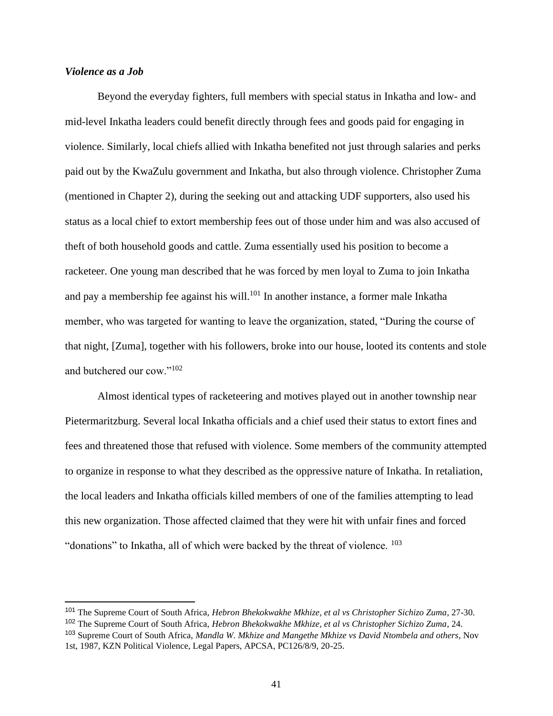# *Violence as a Job*

Beyond the everyday fighters, full members with special status in Inkatha and low- and mid-level Inkatha leaders could benefit directly through fees and goods paid for engaging in violence. Similarly, local chiefs allied with Inkatha benefited not just through salaries and perks paid out by the KwaZulu government and Inkatha, but also through violence. Christopher Zuma (mentioned in Chapter 2), during the seeking out and attacking UDF supporters, also used his status as a local chief to extort membership fees out of those under him and was also accused of theft of both household goods and cattle. Zuma essentially used his position to become a racketeer. One young man described that he was forced by men loyal to Zuma to join Inkatha and pay a membership fee against his will.<sup>101</sup> In another instance, a former male Inkatha member, who was targeted for wanting to leave the organization, stated, "During the course of that night, [Zuma], together with his followers, broke into our house, looted its contents and stole and butchered our cow."<sup>102</sup>

Almost identical types of racketeering and motives played out in another township near Pietermaritzburg. Several local Inkatha officials and a chief used their status to extort fines and fees and threatened those that refused with violence. Some members of the community attempted to organize in response to what they described as the oppressive nature of Inkatha. In retaliation, the local leaders and Inkatha officials killed members of one of the families attempting to lead this new organization. Those affected claimed that they were hit with unfair fines and forced "donations" to Inkatha, all of which were backed by the threat of violence.  $^{103}$ 

<sup>101</sup> The Supreme Court of South Africa, *Hebron Bhekokwakhe Mkhize, et al vs Christopher Sichizo Zuma*, 27-30.

<sup>102</sup> The Supreme Court of South Africa, *Hebron Bhekokwakhe Mkhize, et al vs Christopher Sichizo Zuma*, 24.

<sup>103</sup> Supreme Court of South Africa, *Mandla W. Mkhize and Mangethe Mkhize vs David Ntombela and others*, Nov 1st, 1987, KZN Political Violence, Legal Papers, APCSA, PC126/8/9, 20-25.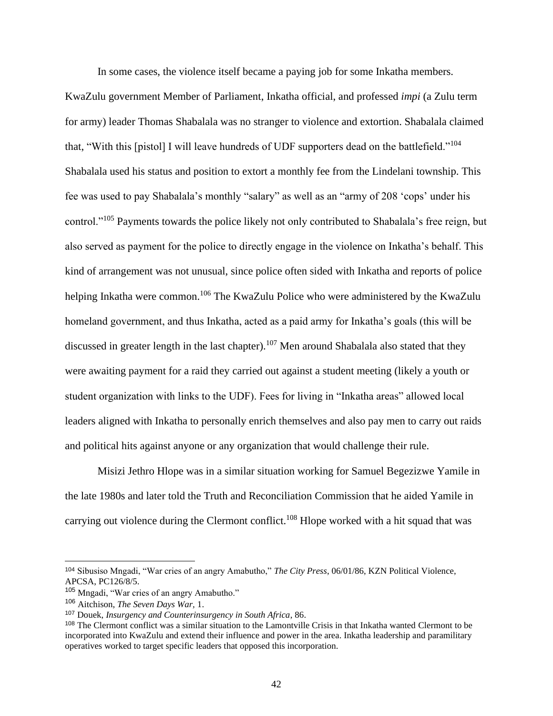In some cases, the violence itself became a paying job for some Inkatha members.

KwaZulu government Member of Parliament, Inkatha official, and professed *impi* (a Zulu term for army) leader Thomas Shabalala was no stranger to violence and extortion. Shabalala claimed that, "With this [pistol] I will leave hundreds of UDF supporters dead on the battlefield."<sup>104</sup> Shabalala used his status and position to extort a monthly fee from the Lindelani township. This fee was used to pay Shabalala's monthly "salary" as well as an "army of 208 'cops' under his control."<sup>105</sup> Payments towards the police likely not only contributed to Shabalala's free reign, but also served as payment for the police to directly engage in the violence on Inkatha's behalf. This kind of arrangement was not unusual, since police often sided with Inkatha and reports of police helping Inkatha were common.<sup>106</sup> The KwaZulu Police who were administered by the KwaZulu homeland government, and thus Inkatha, acted as a paid army for Inkatha's goals (this will be discussed in greater length in the last chapter).<sup>107</sup> Men around Shabalala also stated that they were awaiting payment for a raid they carried out against a student meeting (likely a youth or student organization with links to the UDF). Fees for living in "Inkatha areas" allowed local leaders aligned with Inkatha to personally enrich themselves and also pay men to carry out raids and political hits against anyone or any organization that would challenge their rule.

Misizi Jethro Hlope was in a similar situation working for Samuel Begezizwe Yamile in the late 1980s and later told the Truth and Reconciliation Commission that he aided Yamile in carrying out violence during the Clermont conflict.<sup>108</sup> Hlope worked with a hit squad that was

<sup>104</sup> Sibusiso Mngadi, "War cries of an angry Amabutho," *The City Press*, 06/01/86, KZN Political Violence, APCSA, PC126/8/5.

<sup>105</sup> Mngadi, "War cries of an angry Amabutho."

<sup>106</sup> Aitchison, *The Seven Days War,* 1.

<sup>107</sup> Douek, *Insurgency and Counterinsurgency in South Africa*, 86.

<sup>108</sup> The Clermont conflict was a similar situation to the Lamontville Crisis in that Inkatha wanted Clermont to be incorporated into KwaZulu and extend their influence and power in the area. Inkatha leadership and paramilitary operatives worked to target specific leaders that opposed this incorporation.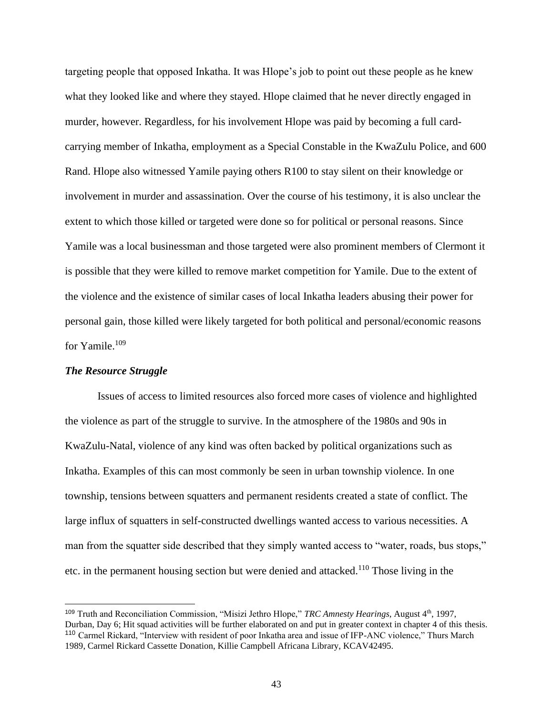targeting people that opposed Inkatha. It was Hlope's job to point out these people as he knew what they looked like and where they stayed. Hlope claimed that he never directly engaged in murder, however. Regardless, for his involvement Hlope was paid by becoming a full cardcarrying member of Inkatha, employment as a Special Constable in the KwaZulu Police, and 600 Rand. Hlope also witnessed Yamile paying others R100 to stay silent on their knowledge or involvement in murder and assassination. Over the course of his testimony, it is also unclear the extent to which those killed or targeted were done so for political or personal reasons. Since Yamile was a local businessman and those targeted were also prominent members of Clermont it is possible that they were killed to remove market competition for Yamile. Due to the extent of the violence and the existence of similar cases of local Inkatha leaders abusing their power for personal gain, those killed were likely targeted for both political and personal/economic reasons for Yamile. 109

#### *The Resource Struggle*

Issues of access to limited resources also forced more cases of violence and highlighted the violence as part of the struggle to survive. In the atmosphere of the 1980s and 90s in KwaZulu-Natal, violence of any kind was often backed by political organizations such as Inkatha. Examples of this can most commonly be seen in urban township violence. In one township, tensions between squatters and permanent residents created a state of conflict. The large influx of squatters in self-constructed dwellings wanted access to various necessities. A man from the squatter side described that they simply wanted access to "water, roads, bus stops," etc. in the permanent housing section but were denied and attacked.<sup>110</sup> Those living in the

<sup>109</sup> Truth and Reconciliation Commission, "Misizi Jethro Hlope," *TRC Amnesty Hearings*, August 4th, 1997, Durban, Day 6; Hit squad activities will be further elaborated on and put in greater context in chapter 4 of this thesis. <sup>110</sup> Carmel Rickard, "Interview with resident of poor Inkatha area and issue of IFP-ANC violence," Thurs March 1989, Carmel Rickard Cassette Donation, Killie Campbell Africana Library, KCAV42495.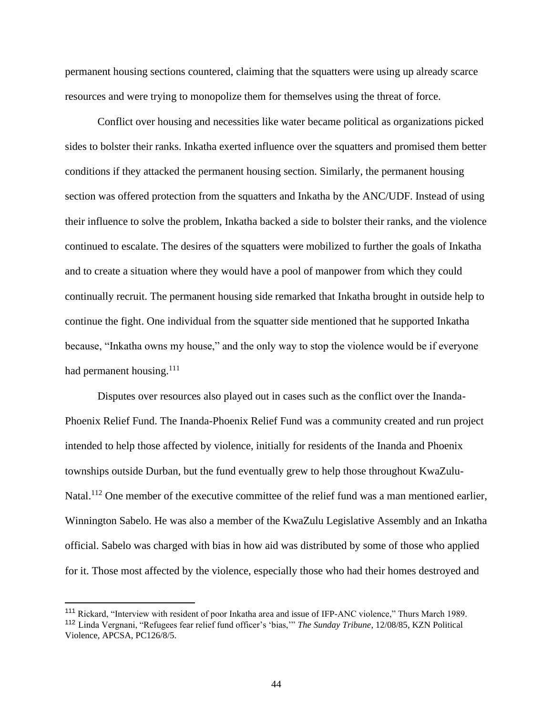permanent housing sections countered, claiming that the squatters were using up already scarce resources and were trying to monopolize them for themselves using the threat of force.

Conflict over housing and necessities like water became political as organizations picked sides to bolster their ranks. Inkatha exerted influence over the squatters and promised them better conditions if they attacked the permanent housing section. Similarly, the permanent housing section was offered protection from the squatters and Inkatha by the ANC/UDF. Instead of using their influence to solve the problem, Inkatha backed a side to bolster their ranks, and the violence continued to escalate. The desires of the squatters were mobilized to further the goals of Inkatha and to create a situation where they would have a pool of manpower from which they could continually recruit. The permanent housing side remarked that Inkatha brought in outside help to continue the fight. One individual from the squatter side mentioned that he supported Inkatha because, "Inkatha owns my house," and the only way to stop the violence would be if everyone had permanent housing. $^{111}$ 

Disputes over resources also played out in cases such as the conflict over the Inanda-Phoenix Relief Fund. The Inanda-Phoenix Relief Fund was a community created and run project intended to help those affected by violence, initially for residents of the Inanda and Phoenix townships outside Durban, but the fund eventually grew to help those throughout KwaZulu-Natal.<sup>112</sup> One member of the executive committee of the relief fund was a man mentioned earlier, Winnington Sabelo. He was also a member of the KwaZulu Legislative Assembly and an Inkatha official. Sabelo was charged with bias in how aid was distributed by some of those who applied for it. Those most affected by the violence, especially those who had their homes destroyed and

<sup>111</sup> Rickard, "Interview with resident of poor Inkatha area and issue of IFP-ANC violence," Thurs March 1989. <sup>112</sup> Linda Vergnani, "Refugees fear relief fund officer's 'bias,'" *The Sunday Tribune*, 12/08/85, KZN Political Violence, APCSA, PC126/8/5.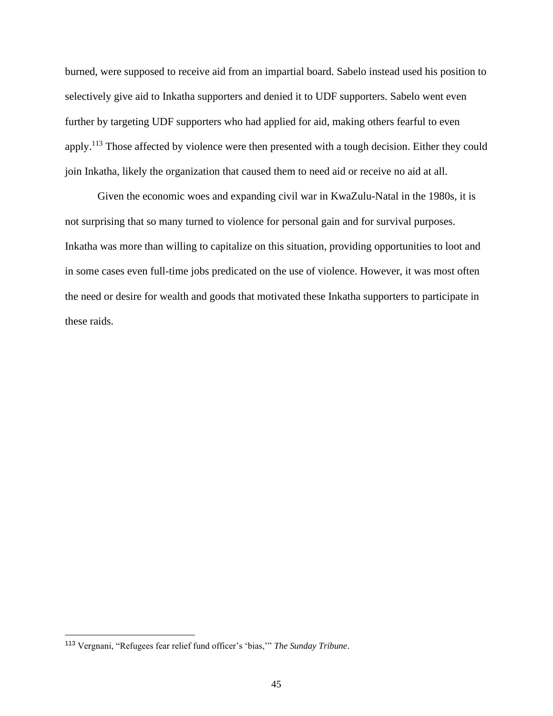burned, were supposed to receive aid from an impartial board. Sabelo instead used his position to selectively give aid to Inkatha supporters and denied it to UDF supporters. Sabelo went even further by targeting UDF supporters who had applied for aid, making others fearful to even apply.<sup>113</sup> Those affected by violence were then presented with a tough decision. Either they could join Inkatha, likely the organization that caused them to need aid or receive no aid at all.

Given the economic woes and expanding civil war in KwaZulu-Natal in the 1980s, it is not surprising that so many turned to violence for personal gain and for survival purposes. Inkatha was more than willing to capitalize on this situation, providing opportunities to loot and in some cases even full-time jobs predicated on the use of violence. However, it was most often the need or desire for wealth and goods that motivated these Inkatha supporters to participate in these raids.

<sup>113</sup> Vergnani, "Refugees fear relief fund officer's 'bias,'" *The Sunday Tribune*.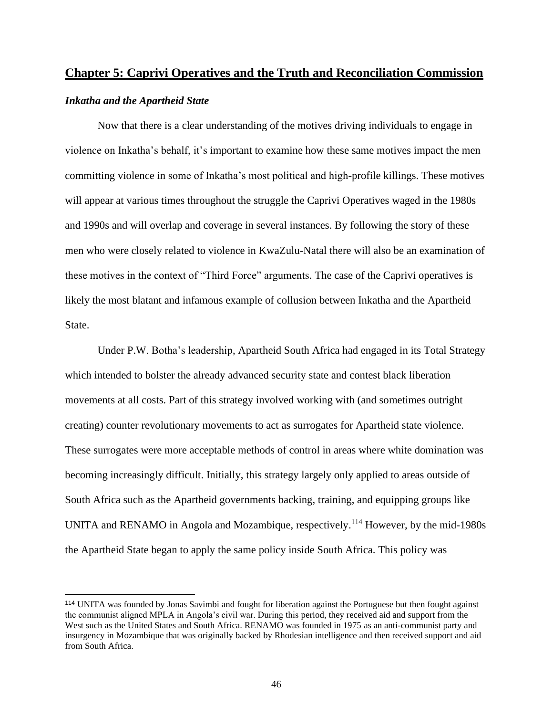# **Chapter 5: Caprivi Operatives and the Truth and Reconciliation Commission**

# *Inkatha and the Apartheid State*

Now that there is a clear understanding of the motives driving individuals to engage in violence on Inkatha's behalf, it's important to examine how these same motives impact the men committing violence in some of Inkatha's most political and high-profile killings. These motives will appear at various times throughout the struggle the Caprivi Operatives waged in the 1980s and 1990s and will overlap and coverage in several instances. By following the story of these men who were closely related to violence in KwaZulu-Natal there will also be an examination of these motives in the context of "Third Force" arguments. The case of the Caprivi operatives is likely the most blatant and infamous example of collusion between Inkatha and the Apartheid State.

Under P.W. Botha's leadership, Apartheid South Africa had engaged in its Total Strategy which intended to bolster the already advanced security state and contest black liberation movements at all costs. Part of this strategy involved working with (and sometimes outright creating) counter revolutionary movements to act as surrogates for Apartheid state violence. These surrogates were more acceptable methods of control in areas where white domination was becoming increasingly difficult. Initially, this strategy largely only applied to areas outside of South Africa such as the Apartheid governments backing, training, and equipping groups like UNITA and RENAMO in Angola and Mozambique, respectively.<sup>114</sup> However, by the mid-1980s the Apartheid State began to apply the same policy inside South Africa. This policy was

<sup>114</sup> UNITA was founded by Jonas Savimbi and fought for liberation against the Portuguese but then fought against the communist aligned MPLA in Angola's civil war. During this period, they received aid and support from the West such as the United States and South Africa. RENAMO was founded in 1975 as an anti-communist party and insurgency in Mozambique that was originally backed by Rhodesian intelligence and then received support and aid from South Africa.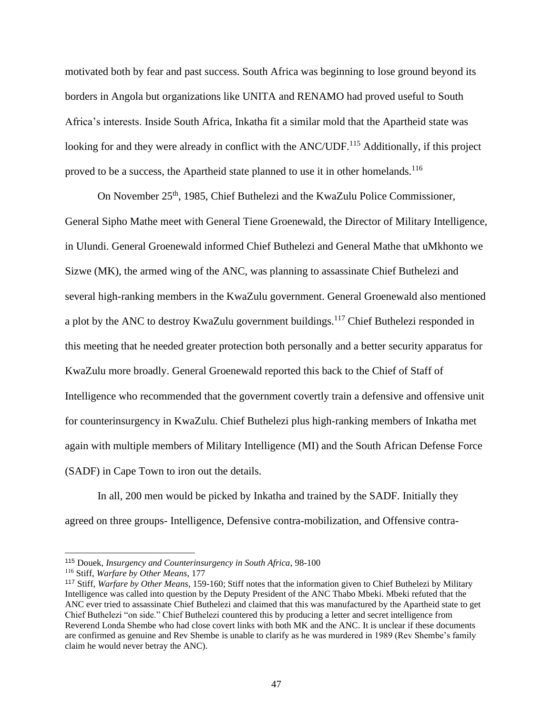motivated both by fear and past success. South Africa was beginning to lose ground beyond its borders in Angola but organizations like UNITA and RENAMO had proved useful to South Africa's interests. Inside South Africa, Inkatha fit a similar mold that the Apartheid state was looking for and they were already in conflict with the ANC/UDF.<sup>115</sup> Additionally, if this project proved to be a success, the Apartheid state planned to use it in other homelands.<sup>116</sup>

On November 25<sup>th</sup>, 1985, Chief Buthelezi and the KwaZulu Police Commissioner, General Sipho Mathe meet with General Tiene Groenewald, the Director of Military Intelligence, in Ulundi. General Groenewald informed Chief Buthelezi and General Mathe that uMkhonto we Sizwe (MK), the armed wing of the ANC, was planning to assassinate Chief Buthelezi and several high-ranking members in the KwaZulu government. General Groenewald also mentioned a plot by the ANC to destroy KwaZulu government buildings.<sup>117</sup> Chief Buthelezi responded in this meeting that he needed greater protection both personally and a better security apparatus for KwaZulu more broadly. General Groenewald reported this back to the Chief of Staff of Intelligence who recommended that the government covertly train a defensive and offensive unit for counterinsurgency in KwaZulu. Chief Buthelezi plus high-ranking members of Inkatha met again with multiple members of Military Intelligence (MI) and the South African Defense Force (SADF) in Cape Town to iron out the details.

In all, 200 men would be picked by Inkatha and trained by the SADF. Initially they agreed on three groups- Intelligence, Defensive contra-mobilization, and Offensive contra-

<sup>115</sup> Douek, *Insurgency and Counterinsurgency in South Africa*, 98-100

<sup>116</sup> Stiff, *Warfare by Other Means*, 177

<sup>117</sup> Stiff, *Warfare by Other Means*, 159-160; Stiff notes that the information given to Chief Buthelezi by Military Intelligence was called into question by the Deputy President of the ANC Thabo Mbeki. Mbeki refuted that the ANC ever tried to assassinate Chief Buthelezi and claimed that this was manufactured by the Apartheid state to get Chief Buthelezi "on side." Chief Buthelezi countered this by producing a letter and secret intelligence from Reverend Londa Shembe who had close covert links with both MK and the ANC. It is unclear if these documents are confirmed as genuine and Rev Shembe is unable to clarify as he was murdered in 1989 (Rev Shembe's family claim he would never betray the ANC).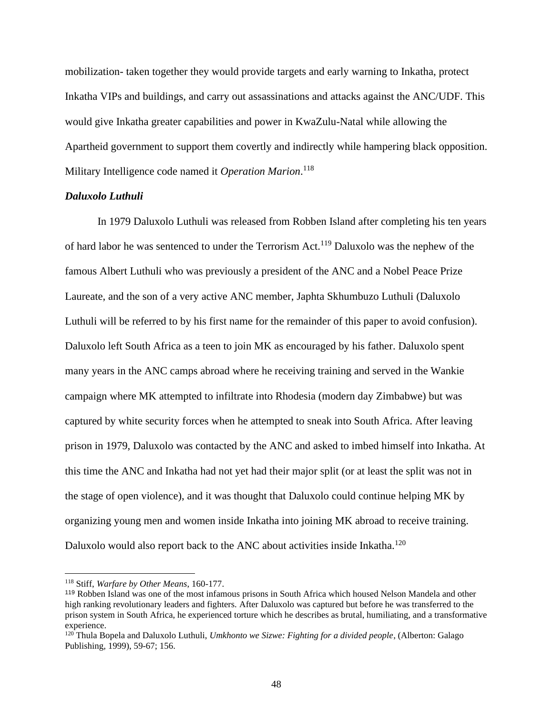mobilization- taken together they would provide targets and early warning to Inkatha, protect Inkatha VIPs and buildings, and carry out assassinations and attacks against the ANC/UDF. This would give Inkatha greater capabilities and power in KwaZulu-Natal while allowing the Apartheid government to support them covertly and indirectly while hampering black opposition. Military Intelligence code named it *Operation Marion*. 118

### *Daluxolo Luthuli*

In 1979 Daluxolo Luthuli was released from Robben Island after completing his ten years of hard labor he was sentenced to under the Terrorism Act.<sup>119</sup> Daluxolo was the nephew of the famous Albert Luthuli who was previously a president of the ANC and a Nobel Peace Prize Laureate, and the son of a very active ANC member, Japhta Skhumbuzo Luthuli (Daluxolo Luthuli will be referred to by his first name for the remainder of this paper to avoid confusion). Daluxolo left South Africa as a teen to join MK as encouraged by his father. Daluxolo spent many years in the ANC camps abroad where he receiving training and served in the Wankie campaign where MK attempted to infiltrate into Rhodesia (modern day Zimbabwe) but was captured by white security forces when he attempted to sneak into South Africa. After leaving prison in 1979, Daluxolo was contacted by the ANC and asked to imbed himself into Inkatha. At this time the ANC and Inkatha had not yet had their major split (or at least the split was not in the stage of open violence), and it was thought that Daluxolo could continue helping MK by organizing young men and women inside Inkatha into joining MK abroad to receive training. Daluxolo would also report back to the ANC about activities inside Inkatha.<sup>120</sup>

<sup>118</sup> Stiff, *Warfare by Other Means*, 160-177.

<sup>119</sup> Robben Island was one of the most infamous prisons in South Africa which housed Nelson Mandela and other high ranking revolutionary leaders and fighters. After Daluxolo was captured but before he was transferred to the prison system in South Africa, he experienced torture which he describes as brutal, humiliating, and a transformative experience.

<sup>120</sup> Thula Bopela and Daluxolo Luthuli, *Umkhonto we Sizwe: Fighting for a divided people*, (Alberton: Galago Publishing, 1999), 59-67; 156.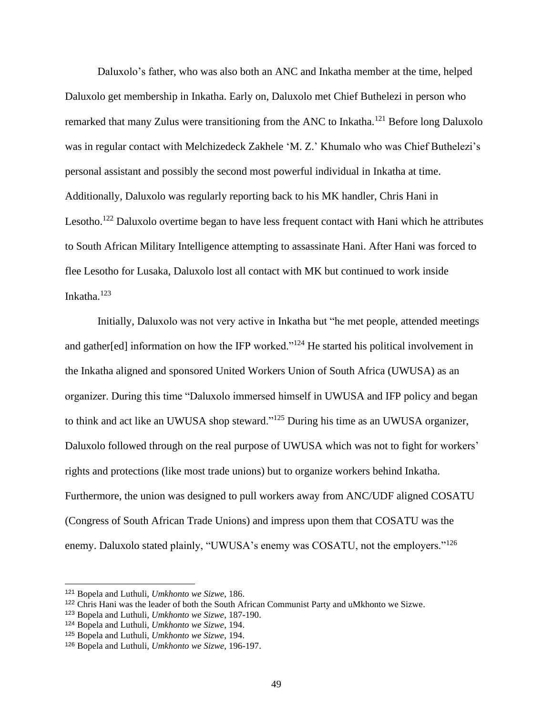Daluxolo's father, who was also both an ANC and Inkatha member at the time, helped Daluxolo get membership in Inkatha. Early on, Daluxolo met Chief Buthelezi in person who remarked that many Zulus were transitioning from the ANC to Inkatha.<sup>121</sup> Before long Daluxolo was in regular contact with Melchizedeck Zakhele 'M. Z.' Khumalo who was Chief Buthelezi's personal assistant and possibly the second most powerful individual in Inkatha at time. Additionally, Daluxolo was regularly reporting back to his MK handler, Chris Hani in Lesotho.<sup>122</sup> Daluxolo overtime began to have less frequent contact with Hani which he attributes to South African Military Intelligence attempting to assassinate Hani. After Hani was forced to flee Lesotho for Lusaka, Daluxolo lost all contact with MK but continued to work inside Inkatha. $123$ 

Initially, Daluxolo was not very active in Inkatha but "he met people, attended meetings and gather[ed] information on how the IFP worked."<sup>124</sup> He started his political involvement in the Inkatha aligned and sponsored United Workers Union of South Africa (UWUSA) as an organizer. During this time "Daluxolo immersed himself in UWUSA and IFP policy and began to think and act like an UWUSA shop steward."<sup>125</sup> During his time as an UWUSA organizer, Daluxolo followed through on the real purpose of UWUSA which was not to fight for workers' rights and protections (like most trade unions) but to organize workers behind Inkatha. Furthermore, the union was designed to pull workers away from ANC/UDF aligned COSATU (Congress of South African Trade Unions) and impress upon them that COSATU was the enemy. Daluxolo stated plainly, "UWUSA's enemy was COSATU, not the employers."<sup>126</sup>

<sup>121</sup> Bopela and Luthuli, *Umkhonto we Sizwe*, 186.

<sup>122</sup> Chris Hani was the leader of both the South African Communist Party and uMkhonto we Sizwe.

<sup>123</sup> Bopela and Luthuli, *Umkhonto we Sizwe*, 187-190.

<sup>124</sup> Bopela and Luthuli, *Umkhonto we Sizwe*, 194.

<sup>125</sup> Bopela and Luthuli, *Umkhonto we Sizwe*, 194.

<sup>126</sup> Bopela and Luthuli, *Umkhonto we Sizwe*, 196-197.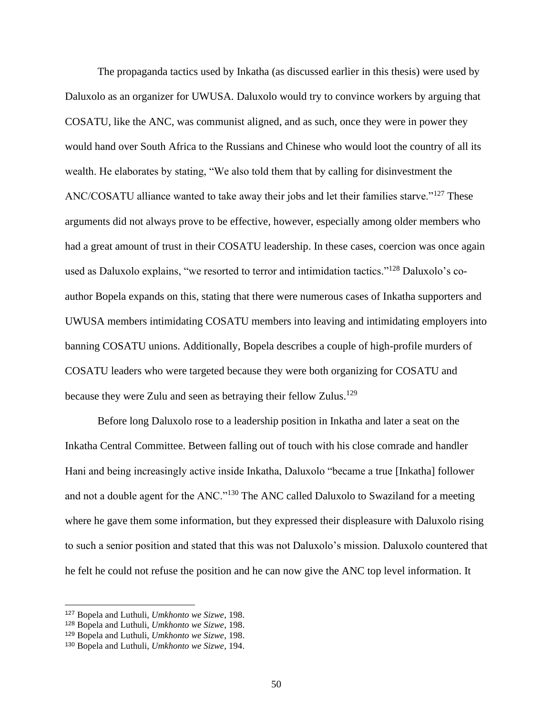The propaganda tactics used by Inkatha (as discussed earlier in this thesis) were used by Daluxolo as an organizer for UWUSA. Daluxolo would try to convince workers by arguing that COSATU, like the ANC, was communist aligned, and as such, once they were in power they would hand over South Africa to the Russians and Chinese who would loot the country of all its wealth. He elaborates by stating, "We also told them that by calling for disinvestment the ANC/COSATU alliance wanted to take away their jobs and let their families starve."<sup>127</sup> These arguments did not always prove to be effective, however, especially among older members who had a great amount of trust in their COSATU leadership. In these cases, coercion was once again used as Daluxolo explains, "we resorted to terror and intimidation tactics."<sup>128</sup> Daluxolo's coauthor Bopela expands on this, stating that there were numerous cases of Inkatha supporters and UWUSA members intimidating COSATU members into leaving and intimidating employers into banning COSATU unions. Additionally, Bopela describes a couple of high-profile murders of COSATU leaders who were targeted because they were both organizing for COSATU and because they were Zulu and seen as betraying their fellow Zulus.<sup>129</sup>

Before long Daluxolo rose to a leadership position in Inkatha and later a seat on the Inkatha Central Committee. Between falling out of touch with his close comrade and handler Hani and being increasingly active inside Inkatha, Daluxolo "became a true [Inkatha] follower and not a double agent for the ANC."<sup>130</sup> The ANC called Daluxolo to Swaziland for a meeting where he gave them some information, but they expressed their displeasure with Daluxolo rising to such a senior position and stated that this was not Daluxolo's mission. Daluxolo countered that he felt he could not refuse the position and he can now give the ANC top level information. It

<sup>127</sup> Bopela and Luthuli, *Umkhonto we Sizwe*, 198.

<sup>128</sup> Bopela and Luthuli, *Umkhonto we Sizwe*, 198.

<sup>129</sup> Bopela and Luthuli, *Umkhonto we Sizwe*, 198.

<sup>130</sup> Bopela and Luthuli, *Umkhonto we Sizwe*, 194.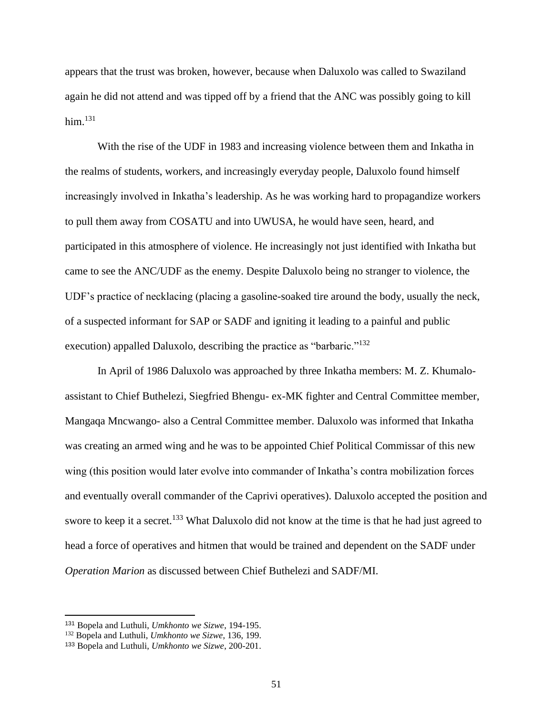appears that the trust was broken, however, because when Daluxolo was called to Swaziland again he did not attend and was tipped off by a friend that the ANC was possibly going to kill him. $131$ 

With the rise of the UDF in 1983 and increasing violence between them and Inkatha in the realms of students, workers, and increasingly everyday people, Daluxolo found himself increasingly involved in Inkatha's leadership. As he was working hard to propagandize workers to pull them away from COSATU and into UWUSA, he would have seen, heard, and participated in this atmosphere of violence. He increasingly not just identified with Inkatha but came to see the ANC/UDF as the enemy. Despite Daluxolo being no stranger to violence, the UDF's practice of necklacing (placing a gasoline-soaked tire around the body, usually the neck, of a suspected informant for SAP or SADF and igniting it leading to a painful and public execution) appalled Daluxolo, describing the practice as "barbaric."<sup>132</sup>

In April of 1986 Daluxolo was approached by three Inkatha members: M. Z. Khumaloassistant to Chief Buthelezi, Siegfried Bhengu- ex-MK fighter and Central Committee member, Mangaqa Mncwango- also a Central Committee member. Daluxolo was informed that Inkatha was creating an armed wing and he was to be appointed Chief Political Commissar of this new wing (this position would later evolve into commander of Inkatha's contra mobilization forces and eventually overall commander of the Caprivi operatives). Daluxolo accepted the position and swore to keep it a secret.<sup>133</sup> What Daluxolo did not know at the time is that he had just agreed to head a force of operatives and hitmen that would be trained and dependent on the SADF under *Operation Marion* as discussed between Chief Buthelezi and SADF/MI.

<sup>131</sup> Bopela and Luthuli, *Umkhonto we Sizwe*, 194-195.

<sup>132</sup> Bopela and Luthuli, *Umkhonto we Sizwe*, 136, 199.

<sup>133</sup> Bopela and Luthuli, *Umkhonto we Sizwe*, 200-201.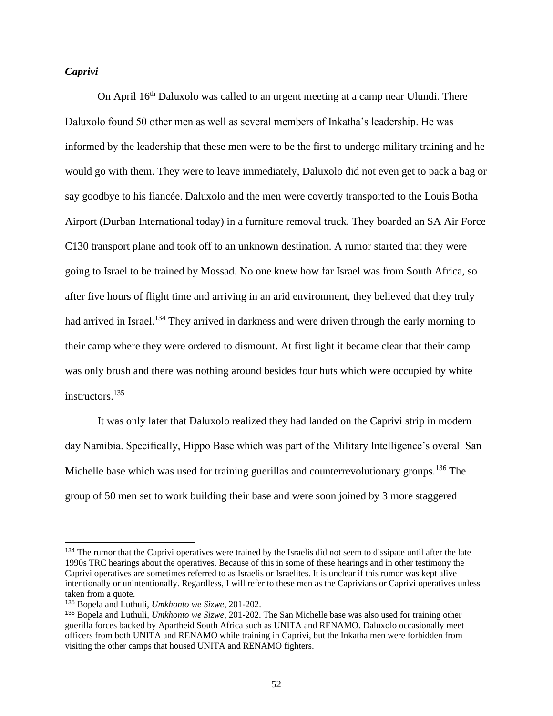# *Caprivi*

On April 16th Daluxolo was called to an urgent meeting at a camp near Ulundi. There Daluxolo found 50 other men as well as several members of Inkatha's leadership. He was informed by the leadership that these men were to be the first to undergo military training and he would go with them. They were to leave immediately, Daluxolo did not even get to pack a bag or say goodbye to his fiancée. Daluxolo and the men were covertly transported to the Louis Botha Airport (Durban International today) in a furniture removal truck. They boarded an SA Air Force C130 transport plane and took off to an unknown destination. A rumor started that they were going to Israel to be trained by Mossad. No one knew how far Israel was from South Africa, so after five hours of flight time and arriving in an arid environment, they believed that they truly had arrived in Israel.<sup>134</sup> They arrived in darkness and were driven through the early morning to their camp where they were ordered to dismount. At first light it became clear that their camp was only brush and there was nothing around besides four huts which were occupied by white instructors.<sup>135</sup>

It was only later that Daluxolo realized they had landed on the Caprivi strip in modern day Namibia. Specifically, Hippo Base which was part of the Military Intelligence's overall San Michelle base which was used for training guerillas and counterrevolutionary groups.<sup>136</sup> The group of 50 men set to work building their base and were soon joined by 3 more staggered

<sup>&</sup>lt;sup>134</sup> The rumor that the Caprivi operatives were trained by the Israelis did not seem to dissipate until after the late 1990s TRC hearings about the operatives. Because of this in some of these hearings and in other testimony the Caprivi operatives are sometimes referred to as Israelis or Israelites. It is unclear if this rumor was kept alive intentionally or unintentionally. Regardless, I will refer to these men as the Caprivians or Caprivi operatives unless taken from a quote.

<sup>135</sup> Bopela and Luthuli, *Umkhonto we Sizwe*, 201-202.

<sup>136</sup> Bopela and Luthuli, *Umkhonto we Sizwe*, 201-202. The San Michelle base was also used for training other guerilla forces backed by Apartheid South Africa such as UNITA and RENAMO. Daluxolo occasionally meet officers from both UNITA and RENAMO while training in Caprivi, but the Inkatha men were forbidden from visiting the other camps that housed UNITA and RENAMO fighters.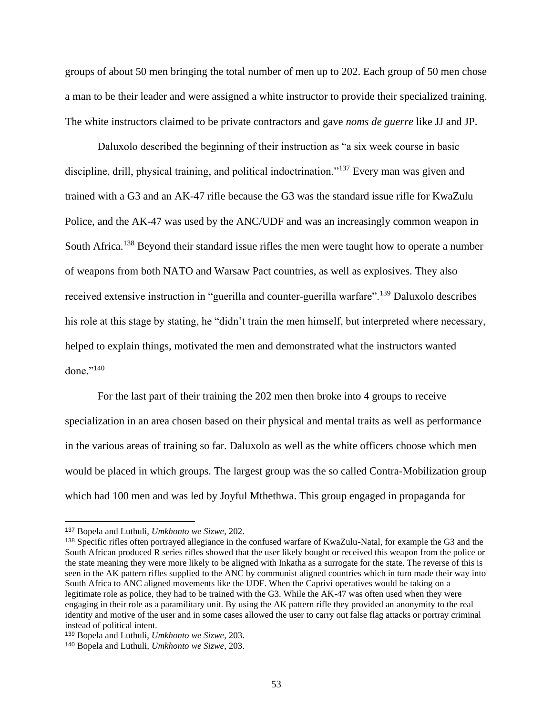groups of about 50 men bringing the total number of men up to 202. Each group of 50 men chose a man to be their leader and were assigned a white instructor to provide their specialized training. The white instructors claimed to be private contractors and gave *noms de guerre* like JJ and JP.

Daluxolo described the beginning of their instruction as "a six week course in basic discipline, drill, physical training, and political indoctrination."<sup>137</sup> Every man was given and trained with a G3 and an AK-47 rifle because the G3 was the standard issue rifle for KwaZulu Police, and the AK-47 was used by the ANC/UDF and was an increasingly common weapon in South Africa.<sup>138</sup> Beyond their standard issue rifles the men were taught how to operate a number of weapons from both NATO and Warsaw Pact countries, as well as explosives. They also received extensive instruction in "guerilla and counter-guerilla warfare".<sup>139</sup> Daluxolo describes his role at this stage by stating, he "didn't train the men himself, but interpreted where necessary, helped to explain things, motivated the men and demonstrated what the instructors wanted done."<sup>140</sup>

For the last part of their training the 202 men then broke into 4 groups to receive specialization in an area chosen based on their physical and mental traits as well as performance in the various areas of training so far. Daluxolo as well as the white officers choose which men would be placed in which groups. The largest group was the so called Contra-Mobilization group which had 100 men and was led by Joyful Mthethwa. This group engaged in propaganda for

<sup>137</sup> Bopela and Luthuli, *Umkhonto we Sizwe*, 202.

<sup>138</sup> Specific rifles often portrayed allegiance in the confused warfare of KwaZulu-Natal, for example the G3 and the South African produced R series rifles showed that the user likely bought or received this weapon from the police or the state meaning they were more likely to be aligned with Inkatha as a surrogate for the state. The reverse of this is seen in the AK pattern rifles supplied to the ANC by communist aligned countries which in turn made their way into South Africa to ANC aligned movements like the UDF. When the Caprivi operatives would be taking on a legitimate role as police, they had to be trained with the G3. While the AK-47 was often used when they were engaging in their role as a paramilitary unit. By using the AK pattern rifle they provided an anonymity to the real identity and motive of the user and in some cases allowed the user to carry out false flag attacks or portray criminal instead of political intent.

<sup>139</sup> Bopela and Luthuli, *Umkhonto we Sizwe*, 203.

<sup>140</sup> Bopela and Luthuli, *Umkhonto we Sizwe*, 203.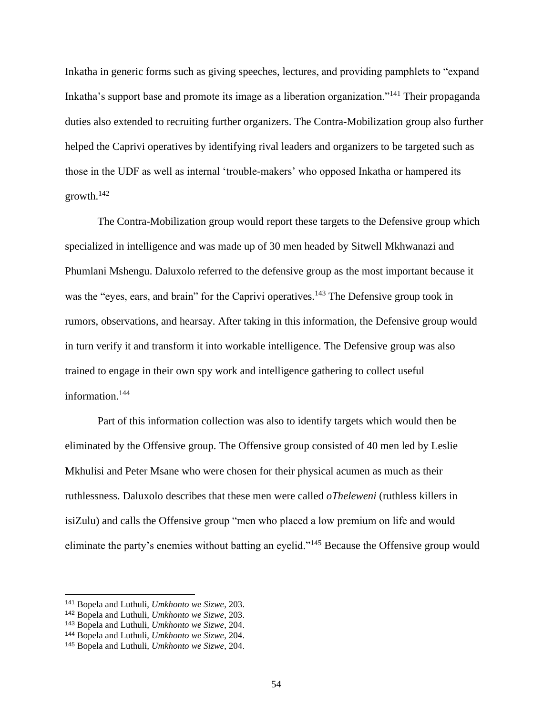Inkatha in generic forms such as giving speeches, lectures, and providing pamphlets to "expand Inkatha's support base and promote its image as a liberation organization."<sup>141</sup> Their propaganda duties also extended to recruiting further organizers. The Contra-Mobilization group also further helped the Caprivi operatives by identifying rival leaders and organizers to be targeted such as those in the UDF as well as internal 'trouble-makers' who opposed Inkatha or hampered its growth. $142$ 

The Contra-Mobilization group would report these targets to the Defensive group which specialized in intelligence and was made up of 30 men headed by Sitwell Mkhwanazi and Phumlani Mshengu. Daluxolo referred to the defensive group as the most important because it was the "eyes, ears, and brain" for the Caprivi operatives.<sup>143</sup> The Defensive group took in rumors, observations, and hearsay. After taking in this information, the Defensive group would in turn verify it and transform it into workable intelligence. The Defensive group was also trained to engage in their own spy work and intelligence gathering to collect useful information.<sup>144</sup>

Part of this information collection was also to identify targets which would then be eliminated by the Offensive group. The Offensive group consisted of 40 men led by Leslie Mkhulisi and Peter Msane who were chosen for their physical acumen as much as their ruthlessness. Daluxolo describes that these men were called *oTheleweni* (ruthless killers in isiZulu) and calls the Offensive group "men who placed a low premium on life and would eliminate the party's enemies without batting an eyelid."<sup>145</sup> Because the Offensive group would

<sup>141</sup> Bopela and Luthuli, *Umkhonto we Sizwe*, 203.

<sup>142</sup> Bopela and Luthuli, *Umkhonto we Sizwe*, 203.

<sup>143</sup> Bopela and Luthuli, *Umkhonto we Sizwe*, 204.

<sup>144</sup> Bopela and Luthuli, *Umkhonto we Sizwe*, 204.

<sup>145</sup> Bopela and Luthuli, *Umkhonto we Sizwe*, 204.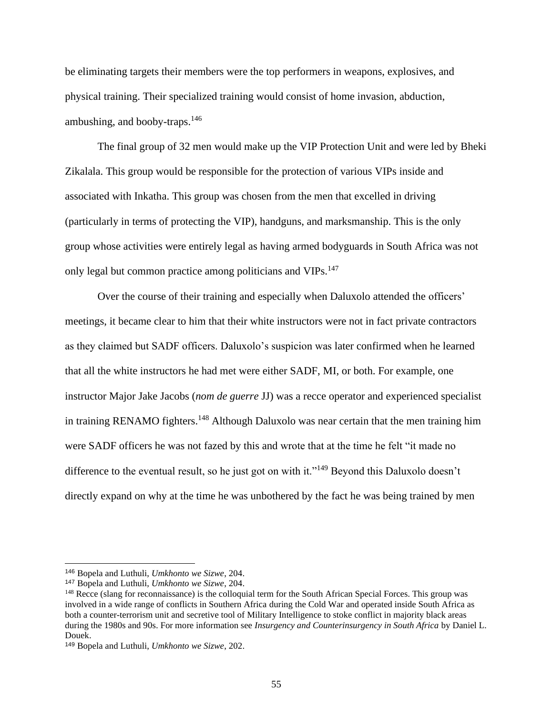be eliminating targets their members were the top performers in weapons, explosives, and physical training. Their specialized training would consist of home invasion, abduction, ambushing, and booby-traps. $146$ 

The final group of 32 men would make up the VIP Protection Unit and were led by Bheki Zikalala. This group would be responsible for the protection of various VIPs inside and associated with Inkatha. This group was chosen from the men that excelled in driving (particularly in terms of protecting the VIP), handguns, and marksmanship. This is the only group whose activities were entirely legal as having armed bodyguards in South Africa was not only legal but common practice among politicians and VIPs.<sup>147</sup>

Over the course of their training and especially when Daluxolo attended the officers' meetings, it became clear to him that their white instructors were not in fact private contractors as they claimed but SADF officers. Daluxolo's suspicion was later confirmed when he learned that all the white instructors he had met were either SADF, MI, or both. For example, one instructor Major Jake Jacobs (*nom de guerre* JJ) was a recce operator and experienced specialist in training RENAMO fighters.<sup>148</sup> Although Daluxolo was near certain that the men training him were SADF officers he was not fazed by this and wrote that at the time he felt "it made no difference to the eventual result, so he just got on with it."<sup>149</sup> Beyond this Daluxolo doesn't directly expand on why at the time he was unbothered by the fact he was being trained by men

<sup>146</sup> Bopela and Luthuli, *Umkhonto we Sizwe*, 204.

<sup>147</sup> Bopela and Luthuli, *Umkhonto we Sizwe*, 204.

<sup>&</sup>lt;sup>148</sup> Recce (slang for reconnaissance) is the colloquial term for the South African Special Forces. This group was involved in a wide range of conflicts in Southern Africa during the Cold War and operated inside South Africa as both a counter-terrorism unit and secretive tool of Military Intelligence to stoke conflict in majority black areas during the 1980s and 90s. For more information see *Insurgency and Counterinsurgency in South Africa* by Daniel L. Douek.

<sup>149</sup> Bopela and Luthuli, *Umkhonto we Sizwe*, 202.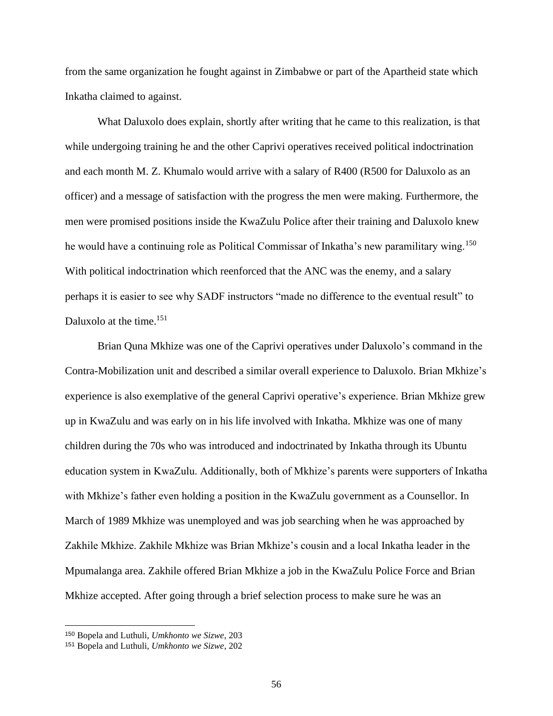from the same organization he fought against in Zimbabwe or part of the Apartheid state which Inkatha claimed to against.

What Daluxolo does explain, shortly after writing that he came to this realization, is that while undergoing training he and the other Caprivi operatives received political indoctrination and each month M. Z. Khumalo would arrive with a salary of R400 (R500 for Daluxolo as an officer) and a message of satisfaction with the progress the men were making. Furthermore, the men were promised positions inside the KwaZulu Police after their training and Daluxolo knew he would have a continuing role as Political Commissar of Inkatha's new paramilitary wing.<sup>150</sup> With political indoctrination which reenforced that the ANC was the enemy, and a salary perhaps it is easier to see why SADF instructors "made no difference to the eventual result" to Daluxolo at the time. $151$ 

Brian Quna Mkhize was one of the Caprivi operatives under Daluxolo's command in the Contra-Mobilization unit and described a similar overall experience to Daluxolo. Brian Mkhize's experience is also exemplative of the general Caprivi operative's experience. Brian Mkhize grew up in KwaZulu and was early on in his life involved with Inkatha. Mkhize was one of many children during the 70s who was introduced and indoctrinated by Inkatha through its Ubuntu education system in KwaZulu. Additionally, both of Mkhize's parents were supporters of Inkatha with Mkhize's father even holding a position in the KwaZulu government as a Counsellor. In March of 1989 Mkhize was unemployed and was job searching when he was approached by Zakhile Mkhize. Zakhile Mkhize was Brian Mkhize's cousin and a local Inkatha leader in the Mpumalanga area. Zakhile offered Brian Mkhize a job in the KwaZulu Police Force and Brian Mkhize accepted. After going through a brief selection process to make sure he was an

<sup>150</sup> Bopela and Luthuli, *Umkhonto we Sizwe*, 203

<sup>151</sup> Bopela and Luthuli, *Umkhonto we Sizwe*, 202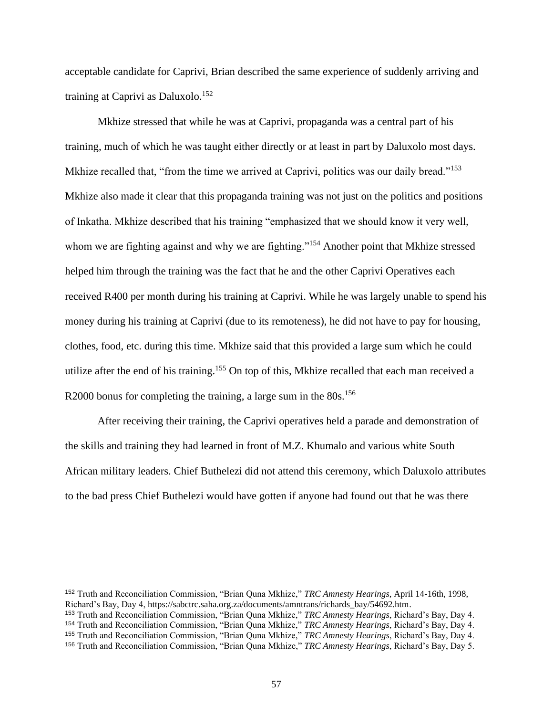acceptable candidate for Caprivi, Brian described the same experience of suddenly arriving and training at Caprivi as Daluxolo.<sup>152</sup>

Mkhize stressed that while he was at Caprivi, propaganda was a central part of his training, much of which he was taught either directly or at least in part by Daluxolo most days. Mkhize recalled that, "from the time we arrived at Caprivi, politics was our daily bread."<sup>153</sup> Mkhize also made it clear that this propaganda training was not just on the politics and positions of Inkatha. Mkhize described that his training "emphasized that we should know it very well, whom we are fighting against and why we are fighting."<sup>154</sup> Another point that Mkhize stressed helped him through the training was the fact that he and the other Caprivi Operatives each received R400 per month during his training at Caprivi. While he was largely unable to spend his money during his training at Caprivi (due to its remoteness), he did not have to pay for housing, clothes, food, etc. during this time. Mkhize said that this provided a large sum which he could utilize after the end of his training.<sup>155</sup> On top of this, Mkhize recalled that each man received a R2000 bonus for completing the training, a large sum in the 80s.<sup>156</sup>

After receiving their training, the Caprivi operatives held a parade and demonstration of the skills and training they had learned in front of M.Z. Khumalo and various white South African military leaders. Chief Buthelezi did not attend this ceremony, which Daluxolo attributes to the bad press Chief Buthelezi would have gotten if anyone had found out that he was there

<sup>152</sup> Truth and Reconciliation Commission, "Brian Quna Mkhize," *TRC Amnesty Hearings*, April 14-16th, 1998, Richard's Bay, Day 4, https://sabctrc.saha.org.za/documents/amntrans/richards\_bay/54692.htm.

<sup>153</sup> Truth and Reconciliation Commission, "Brian Quna Mkhize," *TRC Amnesty Hearings*, Richard's Bay, Day 4.

<sup>154</sup> Truth and Reconciliation Commission, "Brian Quna Mkhize," *TRC Amnesty Hearings*, Richard's Bay, Day 4.

<sup>155</sup> Truth and Reconciliation Commission, "Brian Quna Mkhize," *TRC Amnesty Hearings*, Richard's Bay, Day 4.

<sup>156</sup> Truth and Reconciliation Commission, "Brian Quna Mkhize," *TRC Amnesty Hearings*, Richard's Bay, Day 5.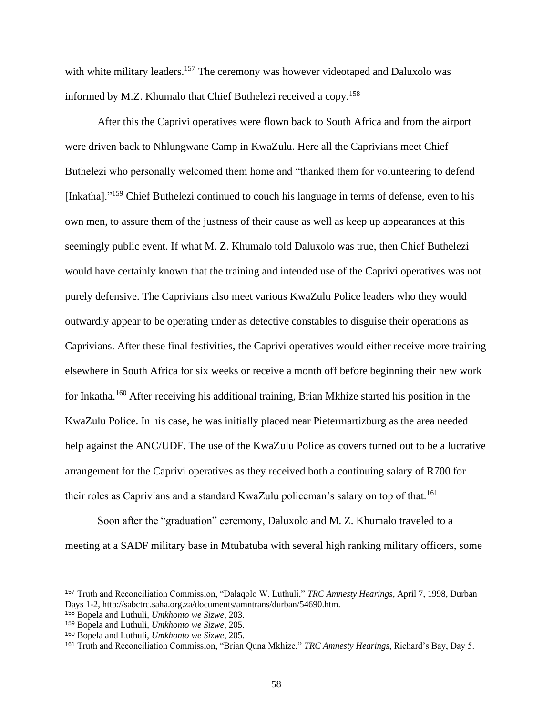with white military leaders.<sup>157</sup> The ceremony was however videotaped and Daluxolo was informed by M.Z. Khumalo that Chief Buthelezi received a copy.<sup>158</sup>

After this the Caprivi operatives were flown back to South Africa and from the airport were driven back to Nhlungwane Camp in KwaZulu. Here all the Caprivians meet Chief Buthelezi who personally welcomed them home and "thanked them for volunteering to defend [Inkatha]."<sup>159</sup> Chief Buthelezi continued to couch his language in terms of defense, even to his own men, to assure them of the justness of their cause as well as keep up appearances at this seemingly public event. If what M. Z. Khumalo told Daluxolo was true, then Chief Buthelezi would have certainly known that the training and intended use of the Caprivi operatives was not purely defensive. The Caprivians also meet various KwaZulu Police leaders who they would outwardly appear to be operating under as detective constables to disguise their operations as Caprivians. After these final festivities, the Caprivi operatives would either receive more training elsewhere in South Africa for six weeks or receive a month off before beginning their new work for Inkatha.<sup>160</sup> After receiving his additional training, Brian Mkhize started his position in the KwaZulu Police. In his case, he was initially placed near Pietermartizburg as the area needed help against the ANC/UDF. The use of the KwaZulu Police as covers turned out to be a lucrative arrangement for the Caprivi operatives as they received both a continuing salary of R700 for their roles as Caprivians and a standard KwaZulu policeman's salary on top of that.<sup>161</sup>

Soon after the "graduation" ceremony, Daluxolo and M. Z. Khumalo traveled to a meeting at a SADF military base in Mtubatuba with several high ranking military officers, some

<sup>157</sup> Truth and Reconciliation Commission, "Dalaqolo W. Luthuli," *TRC Amnesty Hearings*, April 7, 1998, Durban Days 1-2, http://sabctrc.saha.org.za/documents/amntrans/durban/54690.htm.

<sup>158</sup> Bopela and Luthuli, *Umkhonto we Sizwe*, 203.

<sup>159</sup> Bopela and Luthuli, *Umkhonto we Sizwe*, 205.

<sup>160</sup> Bopela and Luthuli, *Umkhonto we Sizwe*, 205.

<sup>161</sup> Truth and Reconciliation Commission, "Brian Quna Mkhize," *TRC Amnesty Hearings*, Richard's Bay, Day 5.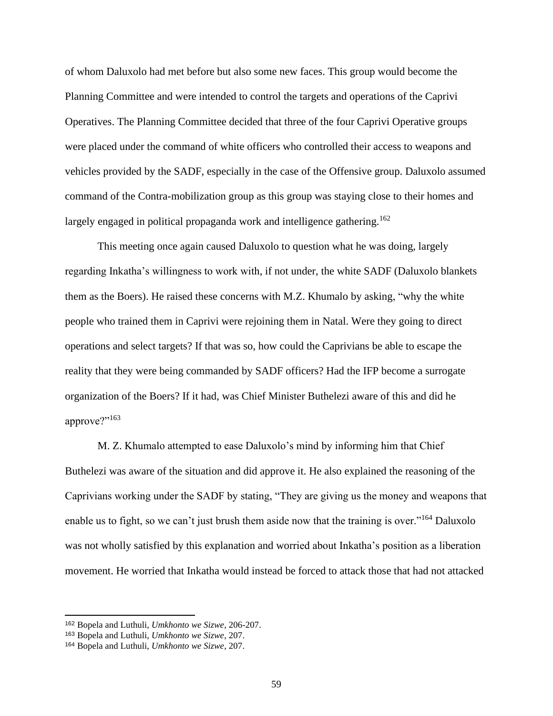of whom Daluxolo had met before but also some new faces. This group would become the Planning Committee and were intended to control the targets and operations of the Caprivi Operatives. The Planning Committee decided that three of the four Caprivi Operative groups were placed under the command of white officers who controlled their access to weapons and vehicles provided by the SADF, especially in the case of the Offensive group. Daluxolo assumed command of the Contra-mobilization group as this group was staying close to their homes and largely engaged in political propaganda work and intelligence gathering.<sup>162</sup>

This meeting once again caused Daluxolo to question what he was doing, largely regarding Inkatha's willingness to work with, if not under, the white SADF (Daluxolo blankets them as the Boers). He raised these concerns with M.Z. Khumalo by asking, "why the white people who trained them in Caprivi were rejoining them in Natal. Were they going to direct operations and select targets? If that was so, how could the Caprivians be able to escape the reality that they were being commanded by SADF officers? Had the IFP become a surrogate organization of the Boers? If it had, was Chief Minister Buthelezi aware of this and did he approve?"163

M. Z. Khumalo attempted to ease Daluxolo's mind by informing him that Chief Buthelezi was aware of the situation and did approve it. He also explained the reasoning of the Caprivians working under the SADF by stating, "They are giving us the money and weapons that enable us to fight, so we can't just brush them aside now that the training is over."<sup>164</sup> Daluxolo was not wholly satisfied by this explanation and worried about Inkatha's position as a liberation movement. He worried that Inkatha would instead be forced to attack those that had not attacked

<sup>162</sup> Bopela and Luthuli, *Umkhonto we Sizwe*, 206-207.

<sup>163</sup> Bopela and Luthuli, *Umkhonto we Sizwe*, 207.

<sup>164</sup> Bopela and Luthuli, *Umkhonto we Sizwe*, 207.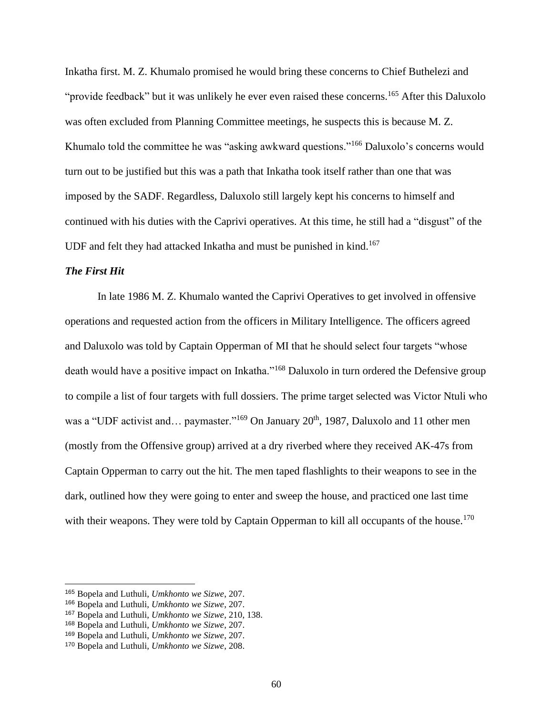Inkatha first. M. Z. Khumalo promised he would bring these concerns to Chief Buthelezi and "provide feedback" but it was unlikely he ever even raised these concerns.<sup>165</sup> After this Daluxolo was often excluded from Planning Committee meetings, he suspects this is because M. Z. Khumalo told the committee he was "asking awkward questions."<sup>166</sup> Daluxolo's concerns would turn out to be justified but this was a path that Inkatha took itself rather than one that was imposed by the SADF. Regardless, Daluxolo still largely kept his concerns to himself and continued with his duties with the Caprivi operatives. At this time, he still had a "disgust" of the UDF and felt they had attacked Inkatha and must be punished in kind.<sup>167</sup>

# *The First Hit*

In late 1986 M. Z. Khumalo wanted the Caprivi Operatives to get involved in offensive operations and requested action from the officers in Military Intelligence. The officers agreed and Daluxolo was told by Captain Opperman of MI that he should select four targets "whose death would have a positive impact on Inkatha."<sup>168</sup> Daluxolo in turn ordered the Defensive group to compile a list of four targets with full dossiers. The prime target selected was Victor Ntuli who was a "UDF activist and... paymaster."<sup>169</sup> On January 20<sup>th</sup>, 1987, Daluxolo and 11 other men (mostly from the Offensive group) arrived at a dry riverbed where they received AK-47s from Captain Opperman to carry out the hit. The men taped flashlights to their weapons to see in the dark, outlined how they were going to enter and sweep the house, and practiced one last time with their weapons. They were told by Captain Opperman to kill all occupants of the house.<sup>170</sup>

<sup>165</sup> Bopela and Luthuli, *Umkhonto we Sizwe*, 207.

<sup>166</sup> Bopela and Luthuli, *Umkhonto we Sizwe*, 207.

<sup>167</sup> Bopela and Luthuli, *Umkhonto we Sizwe*, 210, 138.

<sup>168</sup> Bopela and Luthuli, *Umkhonto we Sizwe*, 207.

<sup>169</sup> Bopela and Luthuli, *Umkhonto we Sizwe*, 207.

<sup>170</sup> Bopela and Luthuli, *Umkhonto we Sizwe*, 208.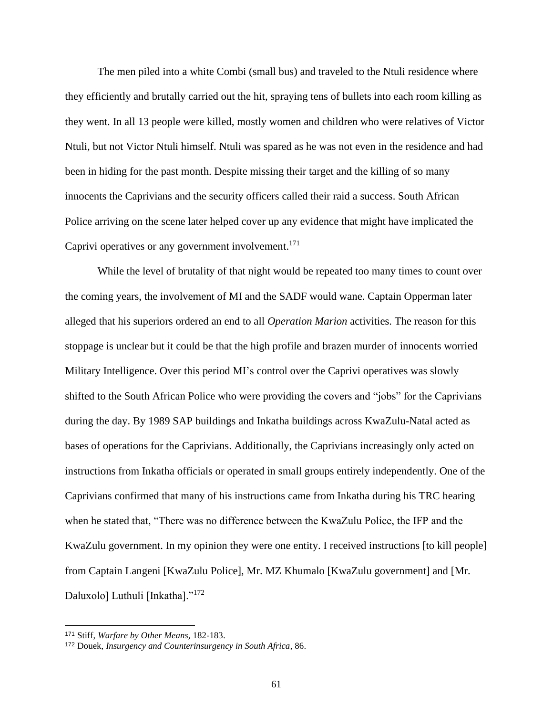The men piled into a white Combi (small bus) and traveled to the Ntuli residence where they efficiently and brutally carried out the hit, spraying tens of bullets into each room killing as they went. In all 13 people were killed, mostly women and children who were relatives of Victor Ntuli, but not Victor Ntuli himself. Ntuli was spared as he was not even in the residence and had been in hiding for the past month. Despite missing their target and the killing of so many innocents the Caprivians and the security officers called their raid a success. South African Police arriving on the scene later helped cover up any evidence that might have implicated the Caprivi operatives or any government involvement.<sup>171</sup>

While the level of brutality of that night would be repeated too many times to count over the coming years, the involvement of MI and the SADF would wane. Captain Opperman later alleged that his superiors ordered an end to all *Operation Marion* activities. The reason for this stoppage is unclear but it could be that the high profile and brazen murder of innocents worried Military Intelligence. Over this period MI's control over the Caprivi operatives was slowly shifted to the South African Police who were providing the covers and "jobs" for the Caprivians during the day. By 1989 SAP buildings and Inkatha buildings across KwaZulu-Natal acted as bases of operations for the Caprivians. Additionally, the Caprivians increasingly only acted on instructions from Inkatha officials or operated in small groups entirely independently. One of the Caprivians confirmed that many of his instructions came from Inkatha during his TRC hearing when he stated that, "There was no difference between the KwaZulu Police, the IFP and the KwaZulu government. In my opinion they were one entity. I received instructions [to kill people] from Captain Langeni [KwaZulu Police], Mr. MZ Khumalo [KwaZulu government] and [Mr. Daluxolo] Luthuli [Inkatha]."<sup>172</sup>

<sup>171</sup> Stiff, *Warfare by Other Means,* 182-183.

<sup>172</sup> Douek, *Insurgency and Counterinsurgency in South Africa*, 86.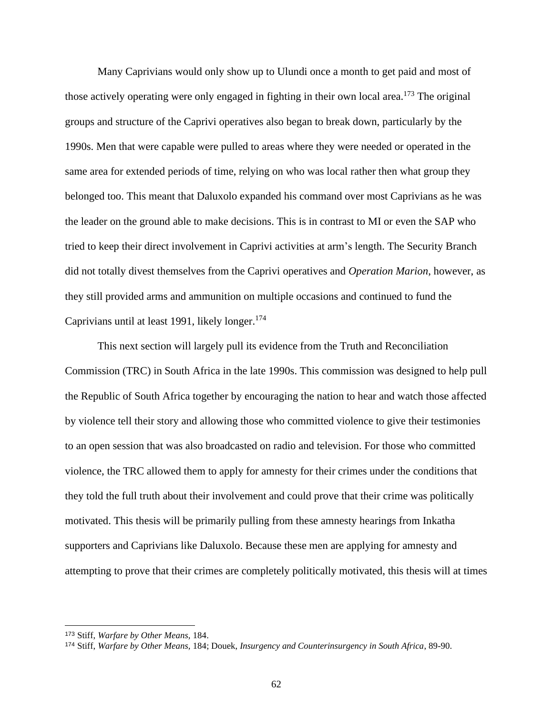Many Caprivians would only show up to Ulundi once a month to get paid and most of those actively operating were only engaged in fighting in their own local area. <sup>173</sup> The original groups and structure of the Caprivi operatives also began to break down, particularly by the 1990s. Men that were capable were pulled to areas where they were needed or operated in the same area for extended periods of time, relying on who was local rather then what group they belonged too. This meant that Daluxolo expanded his command over most Caprivians as he was the leader on the ground able to make decisions. This is in contrast to MI or even the SAP who tried to keep their direct involvement in Caprivi activities at arm's length. The Security Branch did not totally divest themselves from the Caprivi operatives and *Operation Marion*, however, as they still provided arms and ammunition on multiple occasions and continued to fund the Caprivians until at least 1991, likely longer. $174$ 

This next section will largely pull its evidence from the Truth and Reconciliation Commission (TRC) in South Africa in the late 1990s. This commission was designed to help pull the Republic of South Africa together by encouraging the nation to hear and watch those affected by violence tell their story and allowing those who committed violence to give their testimonies to an open session that was also broadcasted on radio and television. For those who committed violence, the TRC allowed them to apply for amnesty for their crimes under the conditions that they told the full truth about their involvement and could prove that their crime was politically motivated. This thesis will be primarily pulling from these amnesty hearings from Inkatha supporters and Caprivians like Daluxolo. Because these men are applying for amnesty and attempting to prove that their crimes are completely politically motivated, this thesis will at times

<sup>173</sup> Stiff, *Warfare by Other Means,* 184.

<sup>174</sup> Stiff, *Warfare by Other Means,* 184; Douek, *Insurgency and Counterinsurgency in South Africa*, 89-90.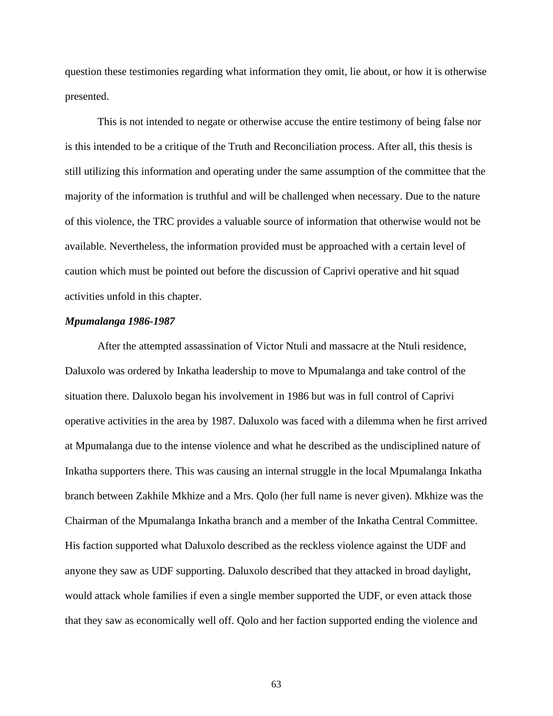question these testimonies regarding what information they omit, lie about, or how it is otherwise presented.

This is not intended to negate or otherwise accuse the entire testimony of being false nor is this intended to be a critique of the Truth and Reconciliation process. After all, this thesis is still utilizing this information and operating under the same assumption of the committee that the majority of the information is truthful and will be challenged when necessary. Due to the nature of this violence, the TRC provides a valuable source of information that otherwise would not be available. Nevertheless, the information provided must be approached with a certain level of caution which must be pointed out before the discussion of Caprivi operative and hit squad activities unfold in this chapter.

# *Mpumalanga 1986-1987*

After the attempted assassination of Victor Ntuli and massacre at the Ntuli residence, Daluxolo was ordered by Inkatha leadership to move to Mpumalanga and take control of the situation there. Daluxolo began his involvement in 1986 but was in full control of Caprivi operative activities in the area by 1987. Daluxolo was faced with a dilemma when he first arrived at Mpumalanga due to the intense violence and what he described as the undisciplined nature of Inkatha supporters there. This was causing an internal struggle in the local Mpumalanga Inkatha branch between Zakhile Mkhize and a Mrs. Qolo (her full name is never given). Mkhize was the Chairman of the Mpumalanga Inkatha branch and a member of the Inkatha Central Committee. His faction supported what Daluxolo described as the reckless violence against the UDF and anyone they saw as UDF supporting. Daluxolo described that they attacked in broad daylight, would attack whole families if even a single member supported the UDF, or even attack those that they saw as economically well off. Qolo and her faction supported ending the violence and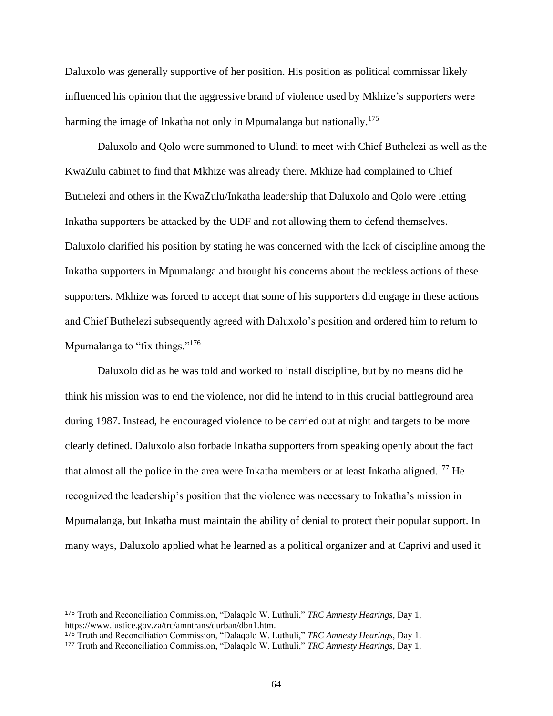Daluxolo was generally supportive of her position. His position as political commissar likely influenced his opinion that the aggressive brand of violence used by Mkhize's supporters were harming the image of Inkatha not only in Mpumalanga but nationally.<sup>175</sup>

Daluxolo and Qolo were summoned to Ulundi to meet with Chief Buthelezi as well as the KwaZulu cabinet to find that Mkhize was already there. Mkhize had complained to Chief Buthelezi and others in the KwaZulu/Inkatha leadership that Daluxolo and Qolo were letting Inkatha supporters be attacked by the UDF and not allowing them to defend themselves. Daluxolo clarified his position by stating he was concerned with the lack of discipline among the Inkatha supporters in Mpumalanga and brought his concerns about the reckless actions of these supporters. Mkhize was forced to accept that some of his supporters did engage in these actions and Chief Buthelezi subsequently agreed with Daluxolo's position and ordered him to return to Mpumalanga to "fix things."<sup>176</sup>

Daluxolo did as he was told and worked to install discipline, but by no means did he think his mission was to end the violence, nor did he intend to in this crucial battleground area during 1987. Instead, he encouraged violence to be carried out at night and targets to be more clearly defined. Daluxolo also forbade Inkatha supporters from speaking openly about the fact that almost all the police in the area were Inkatha members or at least Inkatha aligned.<sup>177</sup> He recognized the leadership's position that the violence was necessary to Inkatha's mission in Mpumalanga, but Inkatha must maintain the ability of denial to protect their popular support. In many ways, Daluxolo applied what he learned as a political organizer and at Caprivi and used it

<sup>175</sup> Truth and Reconciliation Commission, "Dalaqolo W. Luthuli," *TRC Amnesty Hearings*, Day 1, https://www.justice.gov.za/trc/amntrans/durban/dbn1.htm.

<sup>176</sup> Truth and Reconciliation Commission, "Dalaqolo W. Luthuli," *TRC Amnesty Hearings*, Day 1.

<sup>177</sup> Truth and Reconciliation Commission, "Dalaqolo W. Luthuli," *TRC Amnesty Hearings*, Day 1.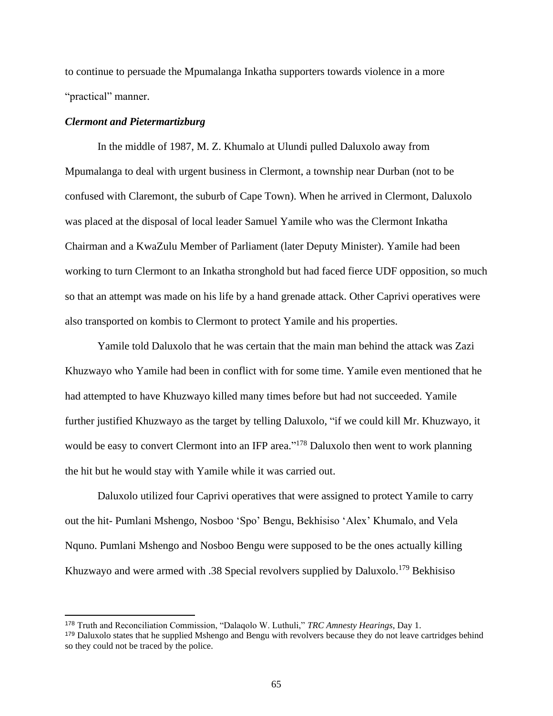to continue to persuade the Mpumalanga Inkatha supporters towards violence in a more "practical" manner.

# *Clermont and Pietermartizburg*

In the middle of 1987, M. Z. Khumalo at Ulundi pulled Daluxolo away from Mpumalanga to deal with urgent business in Clermont, a township near Durban (not to be confused with Claremont, the suburb of Cape Town). When he arrived in Clermont, Daluxolo was placed at the disposal of local leader Samuel Yamile who was the Clermont Inkatha Chairman and a KwaZulu Member of Parliament (later Deputy Minister). Yamile had been working to turn Clermont to an Inkatha stronghold but had faced fierce UDF opposition, so much so that an attempt was made on his life by a hand grenade attack. Other Caprivi operatives were also transported on kombis to Clermont to protect Yamile and his properties.

Yamile told Daluxolo that he was certain that the main man behind the attack was Zazi Khuzwayo who Yamile had been in conflict with for some time. Yamile even mentioned that he had attempted to have Khuzwayo killed many times before but had not succeeded. Yamile further justified Khuzwayo as the target by telling Daluxolo, "if we could kill Mr. Khuzwayo, it would be easy to convert Clermont into an IFP area."<sup>178</sup> Daluxolo then went to work planning the hit but he would stay with Yamile while it was carried out.

Daluxolo utilized four Caprivi operatives that were assigned to protect Yamile to carry out the hit- Pumlani Mshengo, Nosboo 'Spo' Bengu, Bekhisiso 'Alex' Khumalo, and Vela Nquno. Pumlani Mshengo and Nosboo Bengu were supposed to be the ones actually killing Khuzwayo and were armed with .38 Special revolvers supplied by Daluxolo.<sup>179</sup> Bekhisiso

<sup>178</sup> Truth and Reconciliation Commission, "Dalaqolo W. Luthuli," *TRC Amnesty Hearings*, Day 1.

<sup>&</sup>lt;sup>179</sup> Daluxolo states that he supplied Mshengo and Bengu with revolvers because they do not leave cartridges behind so they could not be traced by the police.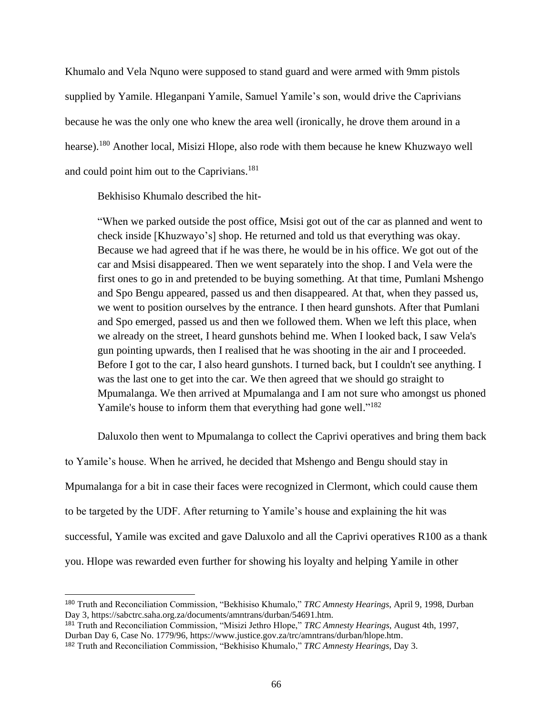Khumalo and Vela Nquno were supposed to stand guard and were armed with 9mm pistols supplied by Yamile. Hleganpani Yamile, Samuel Yamile's son, would drive the Caprivians because he was the only one who knew the area well (ironically, he drove them around in a hearse).<sup>180</sup> Another local, Misizi Hlope, also rode with them because he knew Khuzwayo well and could point him out to the Caprivians.<sup>181</sup>

Bekhisiso Khumalo described the hit-

"When we parked outside the post office, Msisi got out of the car as planned and went to check inside [Khuzwayo's] shop. He returned and told us that everything was okay. Because we had agreed that if he was there, he would be in his office. We got out of the car and Msisi disappeared. Then we went separately into the shop. I and Vela were the first ones to go in and pretended to be buying something. At that time, Pumlani Mshengo and Spo Bengu appeared, passed us and then disappeared. At that, when they passed us, we went to position ourselves by the entrance. I then heard gunshots. After that Pumlani and Spo emerged, passed us and then we followed them. When we left this place, when we already on the street, I heard gunshots behind me. When I looked back, I saw Vela's gun pointing upwards, then I realised that he was shooting in the air and I proceeded. Before I got to the car, I also heard gunshots. I turned back, but I couldn't see anything. I was the last one to get into the car. We then agreed that we should go straight to Mpumalanga. We then arrived at Mpumalanga and I am not sure who amongst us phoned Yamile's house to inform them that everything had gone well."<sup>182</sup>

Daluxolo then went to Mpumalanga to collect the Caprivi operatives and bring them back

to Yamile's house. When he arrived, he decided that Mshengo and Bengu should stay in Mpumalanga for a bit in case their faces were recognized in Clermont, which could cause them to be targeted by the UDF. After returning to Yamile's house and explaining the hit was successful, Yamile was excited and gave Daluxolo and all the Caprivi operatives R100 as a thank you. Hlope was rewarded even further for showing his loyalty and helping Yamile in other

<sup>180</sup> Truth and Reconciliation Commission, "Bekhisiso Khumalo," *TRC Amnesty Hearings*, April 9, 1998, Durban Day 3, https://sabctrc.saha.org.za/documents/amntrans/durban/54691.htm.

<sup>181</sup> Truth and Reconciliation Commission, "Misizi Jethro Hlope," *TRC Amnesty Hearings*, August 4th, 1997, Durban Day 6, Case No. 1779/96, https://www.justice.gov.za/trc/amntrans/durban/hlope.htm.

<sup>182</sup> Truth and Reconciliation Commission, "Bekhisiso Khumalo," *TRC Amnesty Hearings*, Day 3.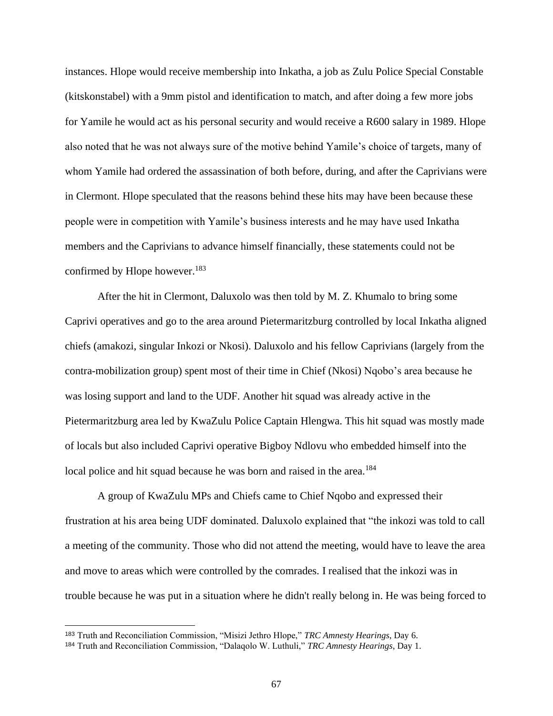instances. Hlope would receive membership into Inkatha, a job as Zulu Police Special Constable (kitskonstabel) with a 9mm pistol and identification to match, and after doing a few more jobs for Yamile he would act as his personal security and would receive a R600 salary in 1989. Hlope also noted that he was not always sure of the motive behind Yamile's choice of targets, many of whom Yamile had ordered the assassination of both before, during, and after the Caprivians were in Clermont. Hlope speculated that the reasons behind these hits may have been because these people were in competition with Yamile's business interests and he may have used Inkatha members and the Caprivians to advance himself financially, these statements could not be confirmed by Hlope however.<sup>183</sup>

After the hit in Clermont, Daluxolo was then told by M. Z. Khumalo to bring some Caprivi operatives and go to the area around Pietermaritzburg controlled by local Inkatha aligned chiefs (amakozi, singular Inkozi or Nkosi). Daluxolo and his fellow Caprivians (largely from the contra-mobilization group) spent most of their time in Chief (Nkosi) Nqobo's area because he was losing support and land to the UDF. Another hit squad was already active in the Pietermaritzburg area led by KwaZulu Police Captain Hlengwa. This hit squad was mostly made of locals but also included Caprivi operative Bigboy Ndlovu who embedded himself into the local police and hit squad because he was born and raised in the area.<sup>184</sup>

A group of KwaZulu MPs and Chiefs came to Chief Nqobo and expressed their frustration at his area being UDF dominated. Daluxolo explained that "the inkozi was told to call a meeting of the community. Those who did not attend the meeting, would have to leave the area and move to areas which were controlled by the comrades. I realised that the inkozi was in trouble because he was put in a situation where he didn't really belong in. He was being forced to

<sup>183</sup> Truth and Reconciliation Commission, "Misizi Jethro Hlope," *TRC Amnesty Hearings*, Day 6.

<sup>184</sup> Truth and Reconciliation Commission, "Dalaqolo W. Luthuli," *TRC Amnesty Hearings*, Day 1.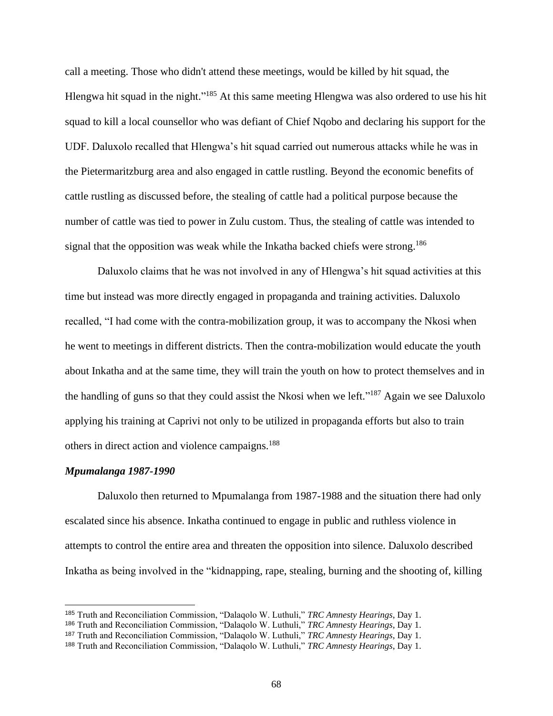call a meeting. Those who didn't attend these meetings, would be killed by hit squad, the Hlengwa hit squad in the night."<sup>185</sup> At this same meeting Hlengwa was also ordered to use his hit squad to kill a local counsellor who was defiant of Chief Nqobo and declaring his support for the UDF. Daluxolo recalled that Hlengwa's hit squad carried out numerous attacks while he was in the Pietermaritzburg area and also engaged in cattle rustling. Beyond the economic benefits of cattle rustling as discussed before, the stealing of cattle had a political purpose because the number of cattle was tied to power in Zulu custom. Thus, the stealing of cattle was intended to signal that the opposition was weak while the Inkatha backed chiefs were strong.<sup>186</sup>

Daluxolo claims that he was not involved in any of Hlengwa's hit squad activities at this time but instead was more directly engaged in propaganda and training activities. Daluxolo recalled, "I had come with the contra-mobilization group, it was to accompany the Nkosi when he went to meetings in different districts. Then the contra-mobilization would educate the youth about Inkatha and at the same time, they will train the youth on how to protect themselves and in the handling of guns so that they could assist the Nkosi when we left."<sup>187</sup> Again we see Daluxolo applying his training at Caprivi not only to be utilized in propaganda efforts but also to train others in direct action and violence campaigns.<sup>188</sup>

# *Mpumalanga 1987-1990*

Daluxolo then returned to Mpumalanga from 1987-1988 and the situation there had only escalated since his absence. Inkatha continued to engage in public and ruthless violence in attempts to control the entire area and threaten the opposition into silence. Daluxolo described Inkatha as being involved in the "kidnapping, rape, stealing, burning and the shooting of, killing

<sup>185</sup> Truth and Reconciliation Commission, "Dalaqolo W. Luthuli," *TRC Amnesty Hearings*, Day 1.

<sup>186</sup> Truth and Reconciliation Commission, "Dalaqolo W. Luthuli," *TRC Amnesty Hearings*, Day 1.

<sup>187</sup> Truth and Reconciliation Commission, "Dalaqolo W. Luthuli," *TRC Amnesty Hearings*, Day 1.

<sup>188</sup> Truth and Reconciliation Commission, "Dalaqolo W. Luthuli," *TRC Amnesty Hearings*, Day 1.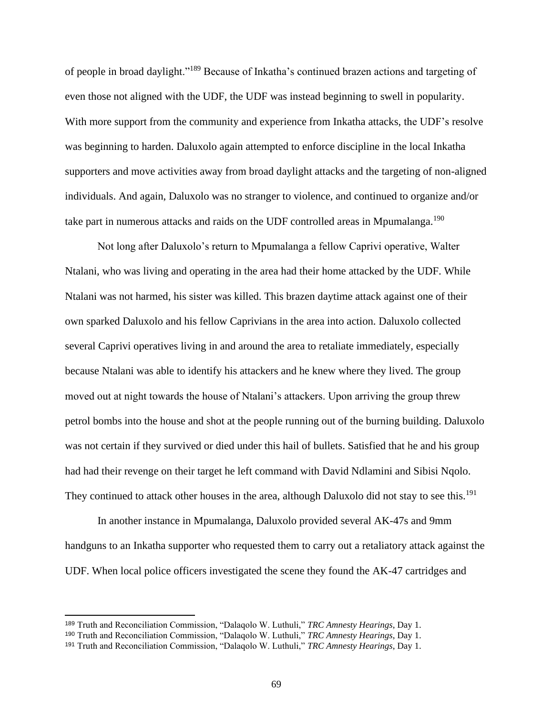of people in broad daylight."<sup>189</sup> Because of Inkatha's continued brazen actions and targeting of even those not aligned with the UDF, the UDF was instead beginning to swell in popularity. With more support from the community and experience from Inkatha attacks, the UDF's resolve was beginning to harden. Daluxolo again attempted to enforce discipline in the local Inkatha supporters and move activities away from broad daylight attacks and the targeting of non-aligned individuals. And again, Daluxolo was no stranger to violence, and continued to organize and/or take part in numerous attacks and raids on the UDF controlled areas in Mpumalanga.<sup>190</sup>

Not long after Daluxolo's return to Mpumalanga a fellow Caprivi operative, Walter Ntalani, who was living and operating in the area had their home attacked by the UDF. While Ntalani was not harmed, his sister was killed. This brazen daytime attack against one of their own sparked Daluxolo and his fellow Caprivians in the area into action. Daluxolo collected several Caprivi operatives living in and around the area to retaliate immediately, especially because Ntalani was able to identify his attackers and he knew where they lived. The group moved out at night towards the house of Ntalani's attackers. Upon arriving the group threw petrol bombs into the house and shot at the people running out of the burning building. Daluxolo was not certain if they survived or died under this hail of bullets. Satisfied that he and his group had had their revenge on their target he left command with David Ndlamini and Sibisi Nqolo. They continued to attack other houses in the area, although Daluxolo did not stay to see this.<sup>191</sup>

In another instance in Mpumalanga, Daluxolo provided several AK-47s and 9mm handguns to an Inkatha supporter who requested them to carry out a retaliatory attack against the UDF. When local police officers investigated the scene they found the AK-47 cartridges and

<sup>189</sup> Truth and Reconciliation Commission, "Dalaqolo W. Luthuli," *TRC Amnesty Hearings*, Day 1.

<sup>190</sup> Truth and Reconciliation Commission, "Dalaqolo W. Luthuli," *TRC Amnesty Hearings*, Day 1.

<sup>191</sup> Truth and Reconciliation Commission, "Dalaqolo W. Luthuli," *TRC Amnesty Hearings*, Day 1.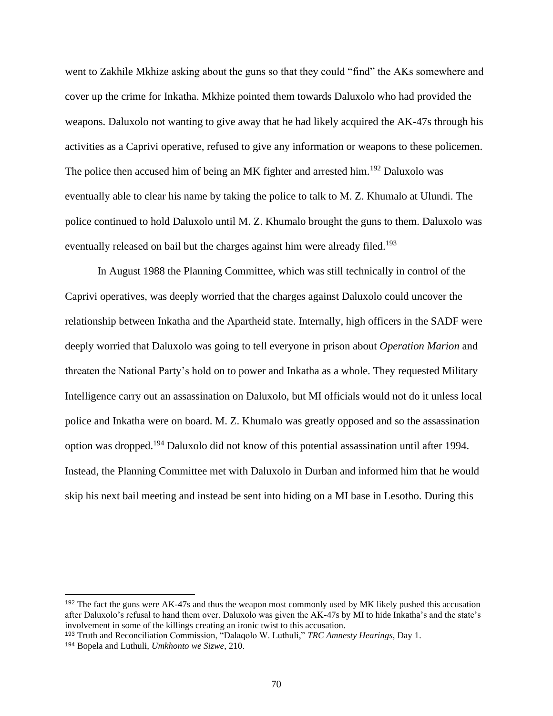went to Zakhile Mkhize asking about the guns so that they could "find" the AKs somewhere and cover up the crime for Inkatha. Mkhize pointed them towards Daluxolo who had provided the weapons. Daluxolo not wanting to give away that he had likely acquired the AK-47s through his activities as a Caprivi operative, refused to give any information or weapons to these policemen. The police then accused him of being an MK fighter and arrested him.<sup>192</sup> Daluxolo was eventually able to clear his name by taking the police to talk to M. Z. Khumalo at Ulundi. The police continued to hold Daluxolo until M. Z. Khumalo brought the guns to them. Daluxolo was eventually released on bail but the charges against him were already filed.<sup>193</sup>

In August 1988 the Planning Committee, which was still technically in control of the Caprivi operatives, was deeply worried that the charges against Daluxolo could uncover the relationship between Inkatha and the Apartheid state. Internally, high officers in the SADF were deeply worried that Daluxolo was going to tell everyone in prison about *Operation Marion* and threaten the National Party's hold on to power and Inkatha as a whole. They requested Military Intelligence carry out an assassination on Daluxolo, but MI officials would not do it unless local police and Inkatha were on board. M. Z. Khumalo was greatly opposed and so the assassination option was dropped.<sup>194</sup> Daluxolo did not know of this potential assassination until after 1994. Instead, the Planning Committee met with Daluxolo in Durban and informed him that he would skip his next bail meeting and instead be sent into hiding on a MI base in Lesotho. During this

<sup>192</sup> The fact the guns were AK-47s and thus the weapon most commonly used by MK likely pushed this accusation after Daluxolo's refusal to hand them over. Daluxolo was given the AK-47s by MI to hide Inkatha's and the state's involvement in some of the killings creating an ironic twist to this accusation.

<sup>193</sup> Truth and Reconciliation Commission, "Dalaqolo W. Luthuli," *TRC Amnesty Hearings*, Day 1.

<sup>194</sup> Bopela and Luthuli, *Umkhonto we Sizwe*, 210.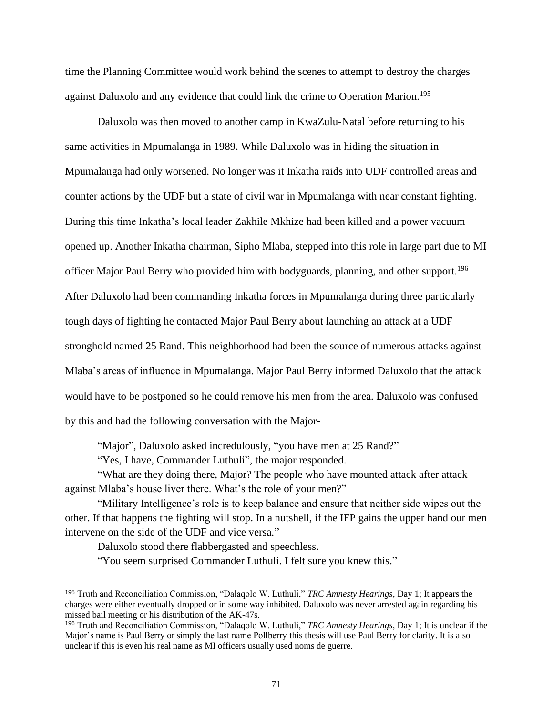time the Planning Committee would work behind the scenes to attempt to destroy the charges against Daluxolo and any evidence that could link the crime to Operation Marion.<sup>195</sup>

Daluxolo was then moved to another camp in KwaZulu-Natal before returning to his same activities in Mpumalanga in 1989. While Daluxolo was in hiding the situation in Mpumalanga had only worsened. No longer was it Inkatha raids into UDF controlled areas and counter actions by the UDF but a state of civil war in Mpumalanga with near constant fighting. During this time Inkatha's local leader Zakhile Mkhize had been killed and a power vacuum opened up. Another Inkatha chairman, Sipho Mlaba, stepped into this role in large part due to MI officer Major Paul Berry who provided him with bodyguards, planning, and other support.<sup>196</sup> After Daluxolo had been commanding Inkatha forces in Mpumalanga during three particularly tough days of fighting he contacted Major Paul Berry about launching an attack at a UDF stronghold named 25 Rand. This neighborhood had been the source of numerous attacks against Mlaba's areas of influence in Mpumalanga. Major Paul Berry informed Daluxolo that the attack would have to be postponed so he could remove his men from the area. Daluxolo was confused by this and had the following conversation with the Major-

"Major", Daluxolo asked incredulously, "you have men at 25 Rand?"

"Yes, I have, Commander Luthuli", the major responded.

"What are they doing there, Major? The people who have mounted attack after attack against Mlaba's house liver there. What's the role of your men?"

"Military Intelligence's role is to keep balance and ensure that neither side wipes out the other. If that happens the fighting will stop. In a nutshell, if the IFP gains the upper hand our men intervene on the side of the UDF and vice versa."

Daluxolo stood there flabbergasted and speechless.

"You seem surprised Commander Luthuli. I felt sure you knew this."

<sup>195</sup> Truth and Reconciliation Commission, "Dalaqolo W. Luthuli," *TRC Amnesty Hearings*, Day 1; It appears the charges were either eventually dropped or in some way inhibited. Daluxolo was never arrested again regarding his missed bail meeting or his distribution of the AK-47s.

<sup>196</sup> Truth and Reconciliation Commission, "Dalaqolo W. Luthuli," *TRC Amnesty Hearings*, Day 1; It is unclear if the Major's name is Paul Berry or simply the last name Pollberry this thesis will use Paul Berry for clarity. It is also unclear if this is even his real name as MI officers usually used noms de guerre.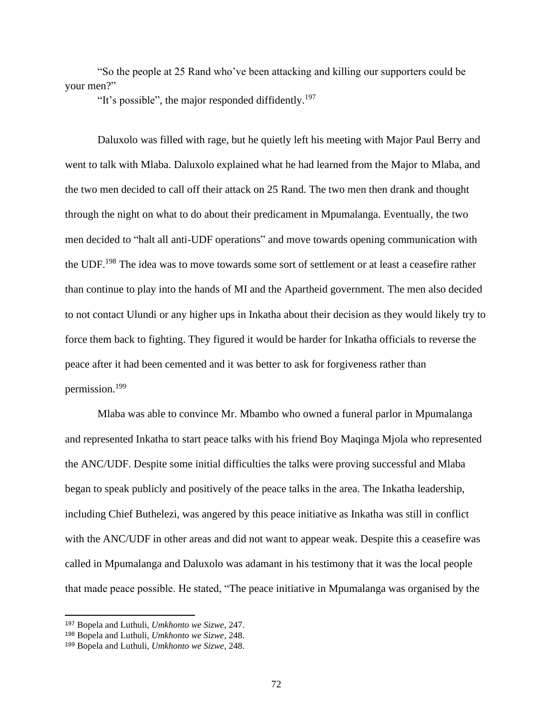"So the people at 25 Rand who've been attacking and killing our supporters could be your men?"

"It's possible", the major responded diffidently.<sup>197</sup>

Daluxolo was filled with rage, but he quietly left his meeting with Major Paul Berry and went to talk with Mlaba. Daluxolo explained what he had learned from the Major to Mlaba, and the two men decided to call off their attack on 25 Rand. The two men then drank and thought through the night on what to do about their predicament in Mpumalanga. Eventually, the two men decided to "halt all anti-UDF operations" and move towards opening communication with the UDF.<sup>198</sup> The idea was to move towards some sort of settlement or at least a ceasefire rather than continue to play into the hands of MI and the Apartheid government. The men also decided to not contact Ulundi or any higher ups in Inkatha about their decision as they would likely try to force them back to fighting. They figured it would be harder for Inkatha officials to reverse the peace after it had been cemented and it was better to ask for forgiveness rather than permission.<sup>199</sup>

Mlaba was able to convince Mr. Mbambo who owned a funeral parlor in Mpumalanga and represented Inkatha to start peace talks with his friend Boy Maqinga Mjola who represented the ANC/UDF. Despite some initial difficulties the talks were proving successful and Mlaba began to speak publicly and positively of the peace talks in the area. The Inkatha leadership, including Chief Buthelezi, was angered by this peace initiative as Inkatha was still in conflict with the ANC/UDF in other areas and did not want to appear weak. Despite this a ceasefire was called in Mpumalanga and Daluxolo was adamant in his testimony that it was the local people that made peace possible. He stated, "The peace initiative in Mpumalanga was organised by the

<sup>197</sup> Bopela and Luthuli, *Umkhonto we Sizwe*, 247.

<sup>198</sup> Bopela and Luthuli, *Umkhonto we Sizwe*, 248.

<sup>199</sup> Bopela and Luthuli, *Umkhonto we Sizwe*, 248.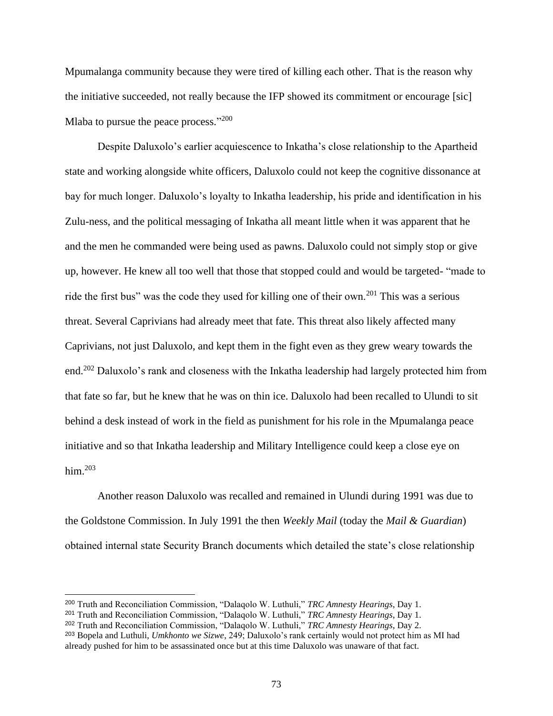Mpumalanga community because they were tired of killing each other. That is the reason why the initiative succeeded, not really because the IFP showed its commitment or encourage [sic] Mlaba to pursue the peace process."<sup>200</sup>

Despite Daluxolo's earlier acquiescence to Inkatha's close relationship to the Apartheid state and working alongside white officers, Daluxolo could not keep the cognitive dissonance at bay for much longer. Daluxolo's loyalty to Inkatha leadership, his pride and identification in his Zulu-ness, and the political messaging of Inkatha all meant little when it was apparent that he and the men he commanded were being used as pawns. Daluxolo could not simply stop or give up, however. He knew all too well that those that stopped could and would be targeted- "made to ride the first bus" was the code they used for killing one of their own.<sup>201</sup> This was a serious threat. Several Caprivians had already meet that fate. This threat also likely affected many Caprivians, not just Daluxolo, and kept them in the fight even as they grew weary towards the end.<sup>202</sup> Daluxolo's rank and closeness with the Inkatha leadership had largely protected him from that fate so far, but he knew that he was on thin ice. Daluxolo had been recalled to Ulundi to sit behind a desk instead of work in the field as punishment for his role in the Mpumalanga peace initiative and so that Inkatha leadership and Military Intelligence could keep a close eye on him. $203$ 

Another reason Daluxolo was recalled and remained in Ulundi during 1991 was due to the Goldstone Commission. In July 1991 the then *Weekly Mail* (today the *Mail & Guardian*) obtained internal state Security Branch documents which detailed the state's close relationship

<sup>200</sup> Truth and Reconciliation Commission, "Dalaqolo W. Luthuli," *TRC Amnesty Hearings*, Day 1.

<sup>201</sup> Truth and Reconciliation Commission, "Dalaqolo W. Luthuli," *TRC Amnesty Hearings*, Day 1.

<sup>202</sup> Truth and Reconciliation Commission, "Dalaqolo W. Luthuli," *TRC Amnesty Hearings*, Day 2.

<sup>203</sup> Bopela and Luthuli, *Umkhonto we Sizwe*, 249; Daluxolo's rank certainly would not protect him as MI had already pushed for him to be assassinated once but at this time Daluxolo was unaware of that fact.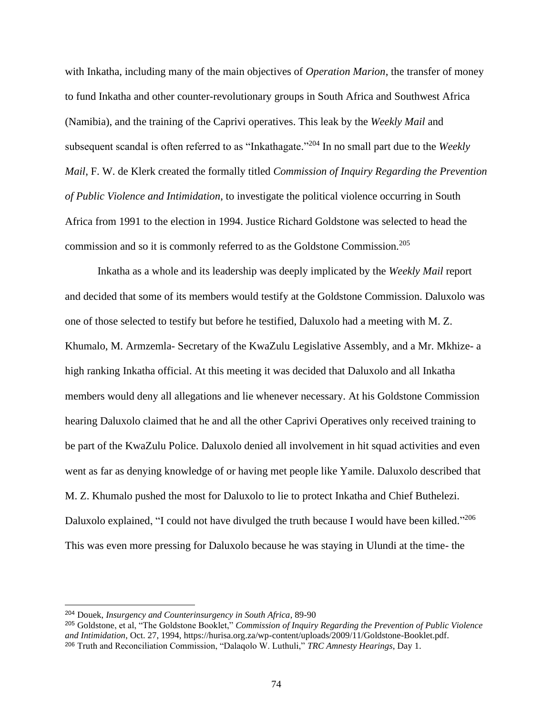with Inkatha, including many of the main objectives of *Operation Marion*, the transfer of money to fund Inkatha and other counter-revolutionary groups in South Africa and Southwest Africa (Namibia), and the training of the Caprivi operatives. This leak by the *Weekly Mail* and subsequent scandal is often referred to as "Inkathagate." <sup>204</sup> In no small part due to the *Weekly Mail*, F. W. de Klerk created the formally titled *Commission of Inquiry Regarding the Prevention of Public Violence and Intimidation*, to investigate the political violence occurring in South Africa from 1991 to the election in 1994. Justice Richard Goldstone was selected to head the commission and so it is commonly referred to as the Goldstone Commission.<sup>205</sup>

Inkatha as a whole and its leadership was deeply implicated by the *Weekly Mail* report and decided that some of its members would testify at the Goldstone Commission. Daluxolo was one of those selected to testify but before he testified, Daluxolo had a meeting with M. Z. Khumalo, M. Armzemla- Secretary of the KwaZulu Legislative Assembly, and a Mr. Mkhize- a high ranking Inkatha official. At this meeting it was decided that Daluxolo and all Inkatha members would deny all allegations and lie whenever necessary. At his Goldstone Commission hearing Daluxolo claimed that he and all the other Caprivi Operatives only received training to be part of the KwaZulu Police. Daluxolo denied all involvement in hit squad activities and even went as far as denying knowledge of or having met people like Yamile. Daluxolo described that M. Z. Khumalo pushed the most for Daluxolo to lie to protect Inkatha and Chief Buthelezi. Daluxolo explained, "I could not have divulged the truth because I would have been killed."<sup>206</sup> This was even more pressing for Daluxolo because he was staying in Ulundi at the time- the

<sup>204</sup> Douek, *Insurgency and Counterinsurgency in South Africa*, 89-90

<sup>205</sup> Goldstone, et al, "The Goldstone Booklet," *Commission of Inquiry Regarding the Prevention of Public Violence and Intimidation*, Oct. 27, 1994, https://hurisa.org.za/wp-content/uploads/2009/11/Goldstone-Booklet.pdf. <sup>206</sup> Truth and Reconciliation Commission, "Dalaqolo W. Luthuli," *TRC Amnesty Hearings*, Day 1.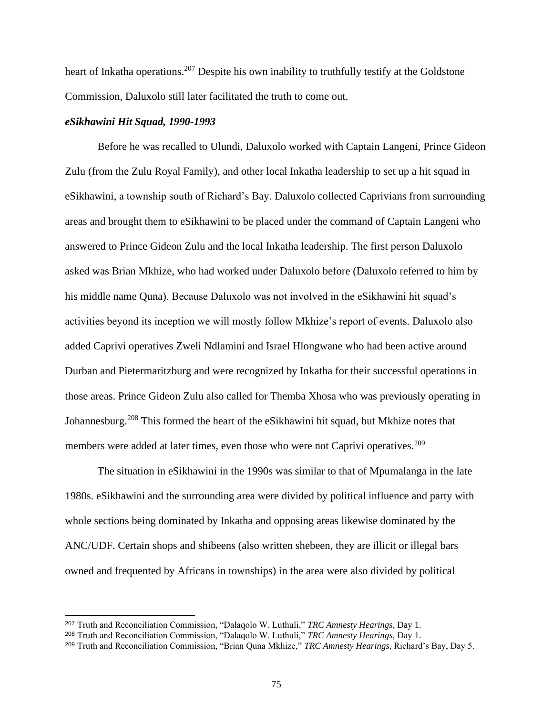heart of Inkatha operations.<sup>207</sup> Despite his own inability to truthfully testify at the Goldstone Commission, Daluxolo still later facilitated the truth to come out.

## *eSikhawini Hit Squad, 1990-1993*

Before he was recalled to Ulundi, Daluxolo worked with Captain Langeni, Prince Gideon Zulu (from the Zulu Royal Family), and other local Inkatha leadership to set up a hit squad in eSikhawini, a township south of Richard's Bay. Daluxolo collected Caprivians from surrounding areas and brought them to eSikhawini to be placed under the command of Captain Langeni who answered to Prince Gideon Zulu and the local Inkatha leadership. The first person Daluxolo asked was Brian Mkhize, who had worked under Daluxolo before (Daluxolo referred to him by his middle name Quna). Because Daluxolo was not involved in the eSikhawini hit squad's activities beyond its inception we will mostly follow Mkhize's report of events. Daluxolo also added Caprivi operatives Zweli Ndlamini and Israel Hlongwane who had been active around Durban and Pietermaritzburg and were recognized by Inkatha for their successful operations in those areas. Prince Gideon Zulu also called for Themba Xhosa who was previously operating in Johannesburg.<sup>208</sup> This formed the heart of the eSikhawini hit squad, but Mkhize notes that members were added at later times, even those who were not Caprivi operatives.<sup>209</sup>

The situation in eSikhawini in the 1990s was similar to that of Mpumalanga in the late 1980s. eSikhawini and the surrounding area were divided by political influence and party with whole sections being dominated by Inkatha and opposing areas likewise dominated by the ANC/UDF. Certain shops and shibeens (also written shebeen, they are illicit or illegal bars owned and frequented by Africans in townships) in the area were also divided by political

<sup>207</sup> Truth and Reconciliation Commission, "Dalaqolo W. Luthuli," *TRC Amnesty Hearings*, Day 1.

<sup>208</sup> Truth and Reconciliation Commission, "Dalaqolo W. Luthuli," *TRC Amnesty Hearings*, Day 1.

<sup>209</sup> Truth and Reconciliation Commission, "Brian Quna Mkhize," *TRC Amnesty Hearings*, Richard's Bay, Day 5.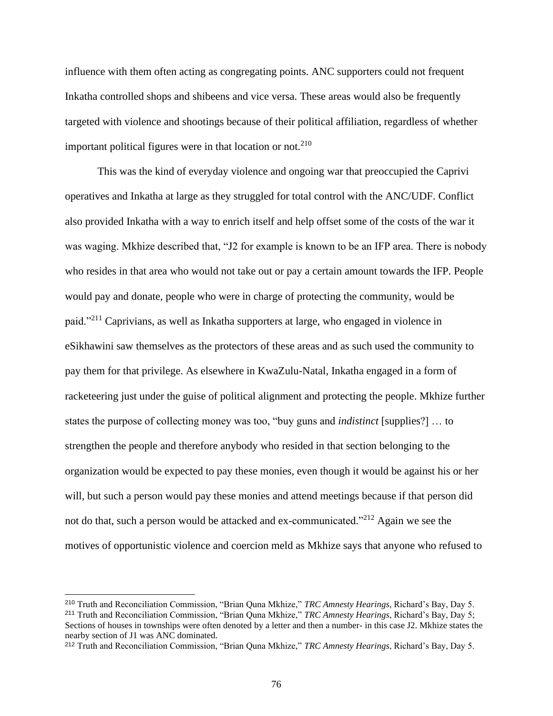influence with them often acting as congregating points. ANC supporters could not frequent Inkatha controlled shops and shibeens and vice versa. These areas would also be frequently targeted with violence and shootings because of their political affiliation, regardless of whether important political figures were in that location or not.<sup>210</sup>

This was the kind of everyday violence and ongoing war that preoccupied the Caprivi operatives and Inkatha at large as they struggled for total control with the ANC/UDF. Conflict also provided Inkatha with a way to enrich itself and help offset some of the costs of the war it was waging. Mkhize described that, "J2 for example is known to be an IFP area. There is nobody who resides in that area who would not take out or pay a certain amount towards the IFP. People would pay and donate, people who were in charge of protecting the community, would be paid."<sup>211</sup> Caprivians, as well as Inkatha supporters at large, who engaged in violence in eSikhawini saw themselves as the protectors of these areas and as such used the community to pay them for that privilege. As elsewhere in KwaZulu-Natal, Inkatha engaged in a form of racketeering just under the guise of political alignment and protecting the people. Mkhize further states the purpose of collecting money was too, "buy guns and *indistinct* [supplies?] … to strengthen the people and therefore anybody who resided in that section belonging to the organization would be expected to pay these monies, even though it would be against his or her will, but such a person would pay these monies and attend meetings because if that person did not do that, such a person would be attacked and ex-communicated."<sup>212</sup> Again we see the motives of opportunistic violence and coercion meld as Mkhize says that anyone who refused to

<sup>210</sup> Truth and Reconciliation Commission, "Brian Quna Mkhize," *TRC Amnesty Hearings*, Richard's Bay, Day 5. <sup>211</sup> Truth and Reconciliation Commission, "Brian Quna Mkhize," *TRC Amnesty Hearings*, Richard's Bay, Day 5; Sections of houses in townships were often denoted by a letter and then a number- in this case J2. Mkhize states the nearby section of J1 was ANC dominated.

<sup>212</sup> Truth and Reconciliation Commission, "Brian Quna Mkhize," *TRC Amnesty Hearings*, Richard's Bay, Day 5.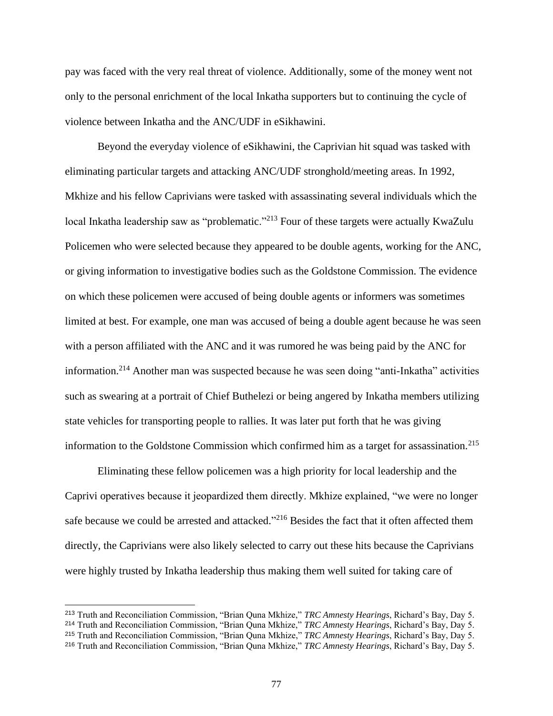pay was faced with the very real threat of violence. Additionally, some of the money went not only to the personal enrichment of the local Inkatha supporters but to continuing the cycle of violence between Inkatha and the ANC/UDF in eSikhawini.

Beyond the everyday violence of eSikhawini, the Caprivian hit squad was tasked with eliminating particular targets and attacking ANC/UDF stronghold/meeting areas. In 1992, Mkhize and his fellow Caprivians were tasked with assassinating several individuals which the local Inkatha leadership saw as "problematic."<sup>213</sup> Four of these targets were actually KwaZulu Policemen who were selected because they appeared to be double agents, working for the ANC, or giving information to investigative bodies such as the Goldstone Commission. The evidence on which these policemen were accused of being double agents or informers was sometimes limited at best. For example, one man was accused of being a double agent because he was seen with a person affiliated with the ANC and it was rumored he was being paid by the ANC for information.<sup>214</sup> Another man was suspected because he was seen doing "anti-Inkatha" activities such as swearing at a portrait of Chief Buthelezi or being angered by Inkatha members utilizing state vehicles for transporting people to rallies. It was later put forth that he was giving information to the Goldstone Commission which confirmed him as a target for assassination.<sup>215</sup>

Eliminating these fellow policemen was a high priority for local leadership and the Caprivi operatives because it jeopardized them directly. Mkhize explained, "we were no longer safe because we could be arrested and attacked."<sup>216</sup> Besides the fact that it often affected them directly, the Caprivians were also likely selected to carry out these hits because the Caprivians were highly trusted by Inkatha leadership thus making them well suited for taking care of

<sup>213</sup> Truth and Reconciliation Commission, "Brian Quna Mkhize," *TRC Amnesty Hearings*, Richard's Bay, Day 5.

<sup>214</sup> Truth and Reconciliation Commission, "Brian Quna Mkhize," *TRC Amnesty Hearings*, Richard's Bay, Day 5.

<sup>215</sup> Truth and Reconciliation Commission, "Brian Quna Mkhize," *TRC Amnesty Hearings*, Richard's Bay, Day 5.

<sup>216</sup> Truth and Reconciliation Commission, "Brian Quna Mkhize," *TRC Amnesty Hearings*, Richard's Bay, Day 5.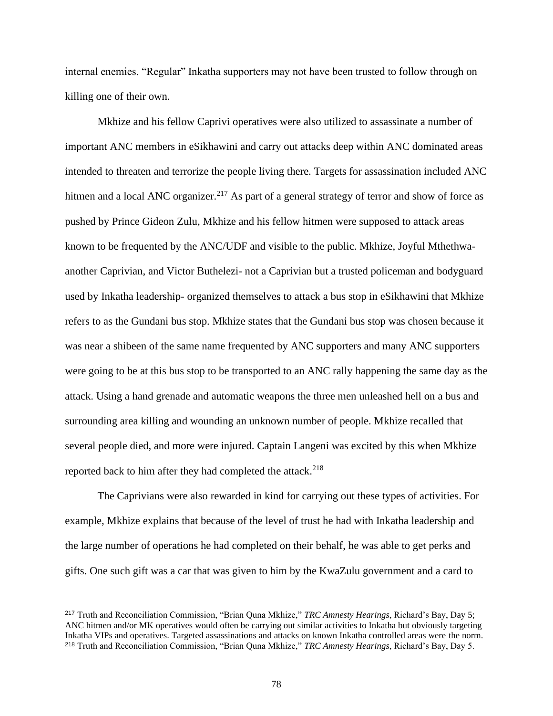internal enemies. "Regular" Inkatha supporters may not have been trusted to follow through on killing one of their own.

Mkhize and his fellow Caprivi operatives were also utilized to assassinate a number of important ANC members in eSikhawini and carry out attacks deep within ANC dominated areas intended to threaten and terrorize the people living there. Targets for assassination included ANC hitmen and a local ANC organizer.<sup>217</sup> As part of a general strategy of terror and show of force as pushed by Prince Gideon Zulu, Mkhize and his fellow hitmen were supposed to attack areas known to be frequented by the ANC/UDF and visible to the public. Mkhize, Joyful Mthethwaanother Caprivian, and Victor Buthelezi- not a Caprivian but a trusted policeman and bodyguard used by Inkatha leadership- organized themselves to attack a bus stop in eSikhawini that Mkhize refers to as the Gundani bus stop. Mkhize states that the Gundani bus stop was chosen because it was near a shibeen of the same name frequented by ANC supporters and many ANC supporters were going to be at this bus stop to be transported to an ANC rally happening the same day as the attack. Using a hand grenade and automatic weapons the three men unleashed hell on a bus and surrounding area killing and wounding an unknown number of people. Mkhize recalled that several people died, and more were injured. Captain Langeni was excited by this when Mkhize reported back to him after they had completed the attack. $^{218}$ 

The Caprivians were also rewarded in kind for carrying out these types of activities. For example, Mkhize explains that because of the level of trust he had with Inkatha leadership and the large number of operations he had completed on their behalf, he was able to get perks and gifts. One such gift was a car that was given to him by the KwaZulu government and a card to

<sup>217</sup> Truth and Reconciliation Commission, "Brian Quna Mkhize," *TRC Amnesty Hearings*, Richard's Bay, Day 5; ANC hitmen and/or MK operatives would often be carrying out similar activities to Inkatha but obviously targeting Inkatha VIPs and operatives. Targeted assassinations and attacks on known Inkatha controlled areas were the norm. <sup>218</sup> Truth and Reconciliation Commission, "Brian Quna Mkhize," *TRC Amnesty Hearings*, Richard's Bay, Day 5.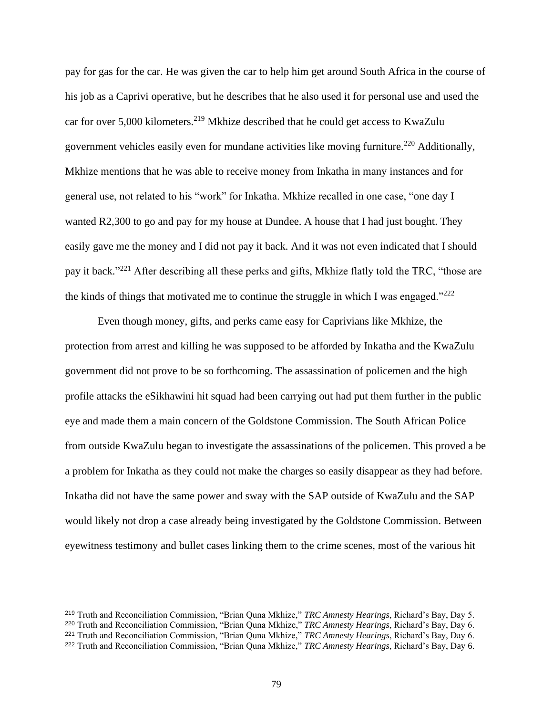pay for gas for the car. He was given the car to help him get around South Africa in the course of his job as a Caprivi operative, but he describes that he also used it for personal use and used the car for over  $5,000$  kilometers.<sup>219</sup> Mkhize described that he could get access to KwaZulu government vehicles easily even for mundane activities like moving furniture.<sup>220</sup> Additionally, Mkhize mentions that he was able to receive money from Inkatha in many instances and for general use, not related to his "work" for Inkatha. Mkhize recalled in one case, "one day I wanted R2,300 to go and pay for my house at Dundee. A house that I had just bought. They easily gave me the money and I did not pay it back. And it was not even indicated that I should pay it back."<sup>221</sup> After describing all these perks and gifts, Mkhize flatly told the TRC, "those are the kinds of things that motivated me to continue the struggle in which I was engaged." $222$ 

Even though money, gifts, and perks came easy for Caprivians like Mkhize, the protection from arrest and killing he was supposed to be afforded by Inkatha and the KwaZulu government did not prove to be so forthcoming. The assassination of policemen and the high profile attacks the eSikhawini hit squad had been carrying out had put them further in the public eye and made them a main concern of the Goldstone Commission. The South African Police from outside KwaZulu began to investigate the assassinations of the policemen. This proved a be a problem for Inkatha as they could not make the charges so easily disappear as they had before. Inkatha did not have the same power and sway with the SAP outside of KwaZulu and the SAP would likely not drop a case already being investigated by the Goldstone Commission. Between eyewitness testimony and bullet cases linking them to the crime scenes, most of the various hit

<sup>219</sup> Truth and Reconciliation Commission, "Brian Quna Mkhize," *TRC Amnesty Hearings*, Richard's Bay, Day 5.

<sup>220</sup> Truth and Reconciliation Commission, "Brian Quna Mkhize," *TRC Amnesty Hearings*, Richard's Bay, Day 6.

<sup>221</sup> Truth and Reconciliation Commission, "Brian Quna Mkhize," *TRC Amnesty Hearings*, Richard's Bay, Day 6.

<sup>222</sup> Truth and Reconciliation Commission, "Brian Quna Mkhize," *TRC Amnesty Hearings*, Richard's Bay, Day 6.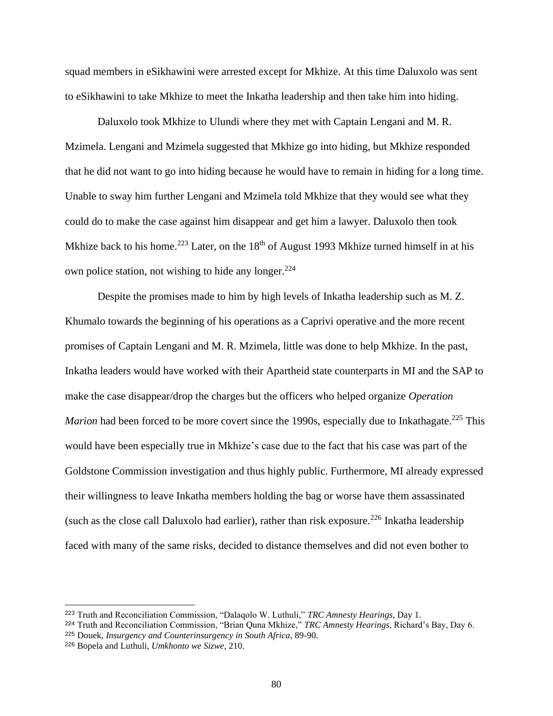squad members in eSikhawini were arrested except for Mkhize. At this time Daluxolo was sent to eSikhawini to take Mkhize to meet the Inkatha leadership and then take him into hiding.

Daluxolo took Mkhize to Ulundi where they met with Captain Lengani and M. R. Mzimela. Lengani and Mzimela suggested that Mkhize go into hiding, but Mkhize responded that he did not want to go into hiding because he would have to remain in hiding for a long time. Unable to sway him further Lengani and Mzimela told Mkhize that they would see what they could do to make the case against him disappear and get him a lawyer. Daluxolo then took Mkhize back to his home.<sup>223</sup> Later, on the  $18<sup>th</sup>$  of August 1993 Mkhize turned himself in at his own police station, not wishing to hide any longer. $224$ 

Despite the promises made to him by high levels of Inkatha leadership such as M. Z. Khumalo towards the beginning of his operations as a Caprivi operative and the more recent promises of Captain Lengani and M. R. Mzimela, little was done to help Mkhize. In the past, Inkatha leaders would have worked with their Apartheid state counterparts in MI and the SAP to make the case disappear/drop the charges but the officers who helped organize *Operation*  Marion had been forced to be more covert since the 1990s, especially due to Inkathagate.<sup>225</sup> This would have been especially true in Mkhize's case due to the fact that his case was part of the Goldstone Commission investigation and thus highly public. Furthermore, MI already expressed their willingness to leave Inkatha members holding the bag or worse have them assassinated (such as the close call Daluxolo had earlier), rather than risk exposure.<sup>226</sup> Inkatha leadership faced with many of the same risks, decided to distance themselves and did not even bother to

<sup>225</sup> Douek, *Insurgency and Counterinsurgency in South Africa*, 89-90.

<sup>223</sup> Truth and Reconciliation Commission, "Dalaqolo W. Luthuli," *TRC Amnesty Hearings*, Day 1.

<sup>224</sup> Truth and Reconciliation Commission, "Brian Quna Mkhize," *TRC Amnesty Hearings*, Richard's Bay, Day 6.

<sup>226</sup> Bopela and Luthuli, *Umkhonto we Sizwe*, 210.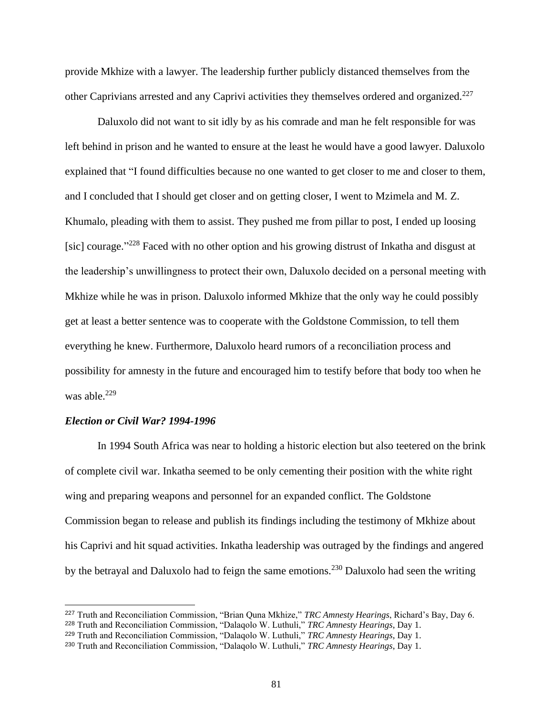provide Mkhize with a lawyer. The leadership further publicly distanced themselves from the other Caprivians arrested and any Caprivi activities they themselves ordered and organized.<sup>227</sup>

Daluxolo did not want to sit idly by as his comrade and man he felt responsible for was left behind in prison and he wanted to ensure at the least he would have a good lawyer. Daluxolo explained that "I found difficulties because no one wanted to get closer to me and closer to them, and I concluded that I should get closer and on getting closer, I went to Mzimela and M. Z. Khumalo, pleading with them to assist. They pushed me from pillar to post, I ended up loosing [sic] courage."<sup>228</sup> Faced with no other option and his growing distrust of Inkatha and disgust at the leadership's unwillingness to protect their own, Daluxolo decided on a personal meeting with Mkhize while he was in prison. Daluxolo informed Mkhize that the only way he could possibly get at least a better sentence was to cooperate with the Goldstone Commission, to tell them everything he knew. Furthermore, Daluxolo heard rumors of a reconciliation process and possibility for amnesty in the future and encouraged him to testify before that body too when he was able. $229$ 

### *Election or Civil War? 1994-1996*

In 1994 South Africa was near to holding a historic election but also teetered on the brink of complete civil war. Inkatha seemed to be only cementing their position with the white right wing and preparing weapons and personnel for an expanded conflict. The Goldstone Commission began to release and publish its findings including the testimony of Mkhize about his Caprivi and hit squad activities. Inkatha leadership was outraged by the findings and angered by the betrayal and Daluxolo had to feign the same emotions.<sup>230</sup> Daluxolo had seen the writing

<sup>227</sup> Truth and Reconciliation Commission, "Brian Quna Mkhize," *TRC Amnesty Hearings*, Richard's Bay, Day 6.

<sup>228</sup> Truth and Reconciliation Commission, "Dalaqolo W. Luthuli," *TRC Amnesty Hearings*, Day 1.

<sup>229</sup> Truth and Reconciliation Commission, "Dalaqolo W. Luthuli," *TRC Amnesty Hearings*, Day 1.

<sup>230</sup> Truth and Reconciliation Commission, "Dalaqolo W. Luthuli," *TRC Amnesty Hearings*, Day 1.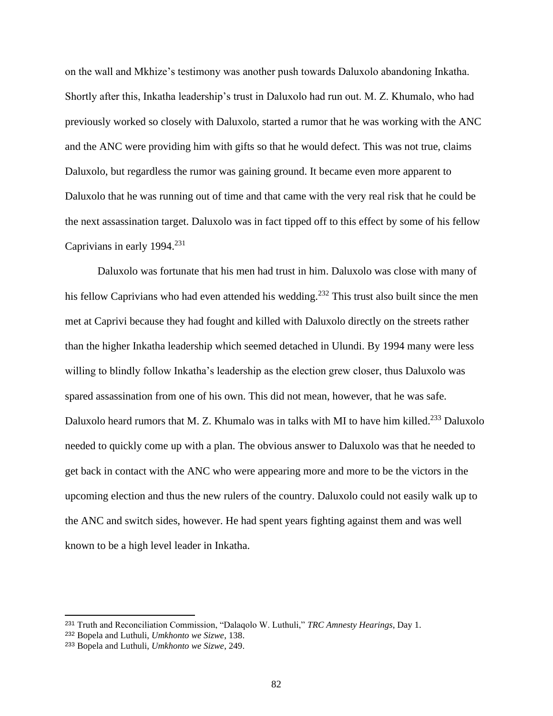on the wall and Mkhize's testimony was another push towards Daluxolo abandoning Inkatha. Shortly after this, Inkatha leadership's trust in Daluxolo had run out. M. Z. Khumalo, who had previously worked so closely with Daluxolo, started a rumor that he was working with the ANC and the ANC were providing him with gifts so that he would defect. This was not true, claims Daluxolo, but regardless the rumor was gaining ground. It became even more apparent to Daluxolo that he was running out of time and that came with the very real risk that he could be the next assassination target. Daluxolo was in fact tipped off to this effect by some of his fellow Caprivians in early  $1994.<sup>231</sup>$ 

Daluxolo was fortunate that his men had trust in him. Daluxolo was close with many of his fellow Caprivians who had even attended his wedding.<sup>232</sup> This trust also built since the men met at Caprivi because they had fought and killed with Daluxolo directly on the streets rather than the higher Inkatha leadership which seemed detached in Ulundi. By 1994 many were less willing to blindly follow Inkatha's leadership as the election grew closer, thus Daluxolo was spared assassination from one of his own. This did not mean, however, that he was safe. Daluxolo heard rumors that M. Z. Khumalo was in talks with MI to have him killed.<sup>233</sup> Daluxolo needed to quickly come up with a plan. The obvious answer to Daluxolo was that he needed to get back in contact with the ANC who were appearing more and more to be the victors in the upcoming election and thus the new rulers of the country. Daluxolo could not easily walk up to the ANC and switch sides, however. He had spent years fighting against them and was well known to be a high level leader in Inkatha.

<sup>231</sup> Truth and Reconciliation Commission, "Dalaqolo W. Luthuli," *TRC Amnesty Hearings*, Day 1.

<sup>232</sup> Bopela and Luthuli, *Umkhonto we Sizwe*, 138.

<sup>233</sup> Bopela and Luthuli, *Umkhonto we Sizwe*, 249.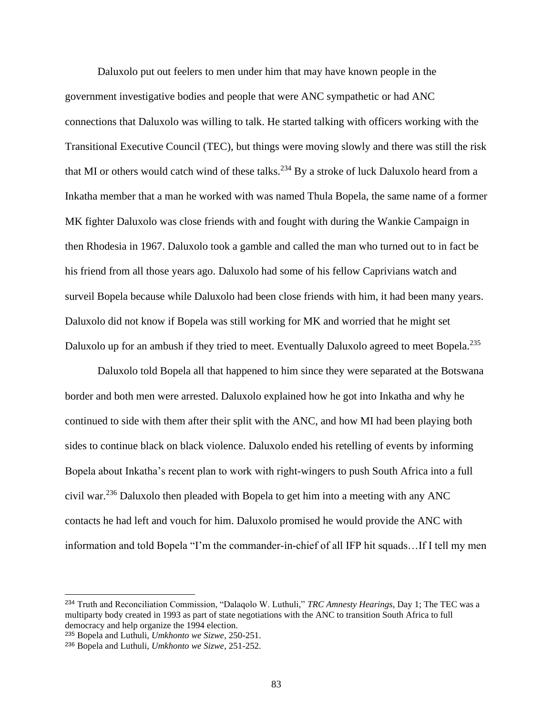Daluxolo put out feelers to men under him that may have known people in the government investigative bodies and people that were ANC sympathetic or had ANC connections that Daluxolo was willing to talk. He started talking with officers working with the Transitional Executive Council (TEC), but things were moving slowly and there was still the risk that MI or others would catch wind of these talks.<sup>234</sup> By a stroke of luck Daluxolo heard from a Inkatha member that a man he worked with was named Thula Bopela, the same name of a former MK fighter Daluxolo was close friends with and fought with during the Wankie Campaign in then Rhodesia in 1967. Daluxolo took a gamble and called the man who turned out to in fact be his friend from all those years ago. Daluxolo had some of his fellow Caprivians watch and surveil Bopela because while Daluxolo had been close friends with him, it had been many years. Daluxolo did not know if Bopela was still working for MK and worried that he might set Daluxolo up for an ambush if they tried to meet. Eventually Daluxolo agreed to meet Bopela.<sup>235</sup>

Daluxolo told Bopela all that happened to him since they were separated at the Botswana border and both men were arrested. Daluxolo explained how he got into Inkatha and why he continued to side with them after their split with the ANC, and how MI had been playing both sides to continue black on black violence. Daluxolo ended his retelling of events by informing Bopela about Inkatha's recent plan to work with right-wingers to push South Africa into a full civil war.<sup>236</sup> Daluxolo then pleaded with Bopela to get him into a meeting with any ANC contacts he had left and vouch for him. Daluxolo promised he would provide the ANC with information and told Bopela "I'm the commander-in-chief of all IFP hit squads…If I tell my men

<sup>234</sup> Truth and Reconciliation Commission, "Dalaqolo W. Luthuli," *TRC Amnesty Hearings*, Day 1; The TEC was a multiparty body created in 1993 as part of state negotiations with the ANC to transition South Africa to full democracy and help organize the 1994 election.

<sup>235</sup> Bopela and Luthuli, *Umkhonto we Sizwe*, 250-251.

<sup>236</sup> Bopela and Luthuli, *Umkhonto we Sizwe*, 251-252.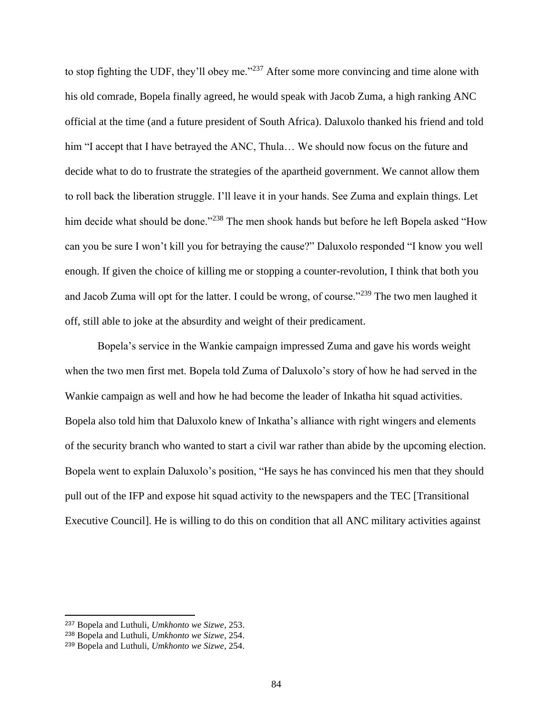to stop fighting the UDF, they'll obey me."<sup>237</sup> After some more convincing and time alone with his old comrade, Bopela finally agreed, he would speak with Jacob Zuma, a high ranking ANC official at the time (and a future president of South Africa). Daluxolo thanked his friend and told him "I accept that I have betrayed the ANC, Thula... We should now focus on the future and decide what to do to frustrate the strategies of the apartheid government. We cannot allow them to roll back the liberation struggle. I'll leave it in your hands. See Zuma and explain things. Let him decide what should be done."<sup>238</sup> The men shook hands but before he left Bopela asked "How can you be sure I won't kill you for betraying the cause?" Daluxolo responded "I know you well enough. If given the choice of killing me or stopping a counter-revolution, I think that both you and Jacob Zuma will opt for the latter. I could be wrong, of course."<sup>239</sup> The two men laughed it off, still able to joke at the absurdity and weight of their predicament.

Bopela's service in the Wankie campaign impressed Zuma and gave his words weight when the two men first met. Bopela told Zuma of Daluxolo's story of how he had served in the Wankie campaign as well and how he had become the leader of Inkatha hit squad activities. Bopela also told him that Daluxolo knew of Inkatha's alliance with right wingers and elements of the security branch who wanted to start a civil war rather than abide by the upcoming election. Bopela went to explain Daluxolo's position, "He says he has convinced his men that they should pull out of the IFP and expose hit squad activity to the newspapers and the TEC [Transitional Executive Council]. He is willing to do this on condition that all ANC military activities against

<sup>237</sup> Bopela and Luthuli, *Umkhonto we Sizwe*, 253.

<sup>238</sup> Bopela and Luthuli, *Umkhonto we Sizwe*, 254.

<sup>239</sup> Bopela and Luthuli, *Umkhonto we Sizwe*, 254.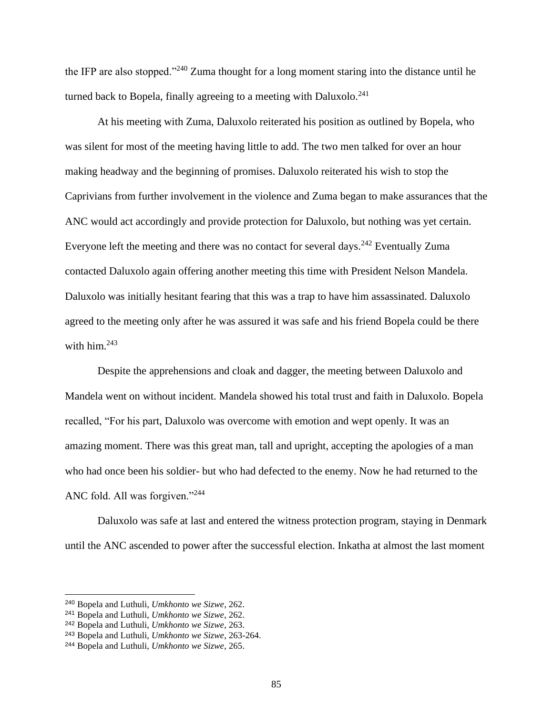the IFP are also stopped."<sup>240</sup> Zuma thought for a long moment staring into the distance until he turned back to Bopela, finally agreeing to a meeting with Daluxolo.<sup>241</sup>

At his meeting with Zuma, Daluxolo reiterated his position as outlined by Bopela, who was silent for most of the meeting having little to add. The two men talked for over an hour making headway and the beginning of promises. Daluxolo reiterated his wish to stop the Caprivians from further involvement in the violence and Zuma began to make assurances that the ANC would act accordingly and provide protection for Daluxolo, but nothing was yet certain. Everyone left the meeting and there was no contact for several days.<sup>242</sup> Eventually Zuma contacted Daluxolo again offering another meeting this time with President Nelson Mandela. Daluxolo was initially hesitant fearing that this was a trap to have him assassinated. Daluxolo agreed to the meeting only after he was assured it was safe and his friend Bopela could be there with him. $243$ 

Despite the apprehensions and cloak and dagger, the meeting between Daluxolo and Mandela went on without incident. Mandela showed his total trust and faith in Daluxolo. Bopela recalled, "For his part, Daluxolo was overcome with emotion and wept openly. It was an amazing moment. There was this great man, tall and upright, accepting the apologies of a man who had once been his soldier- but who had defected to the enemy. Now he had returned to the ANC fold. All was forgiven."<sup>244</sup>

Daluxolo was safe at last and entered the witness protection program, staying in Denmark until the ANC ascended to power after the successful election. Inkatha at almost the last moment

<sup>240</sup> Bopela and Luthuli, *Umkhonto we Sizwe*, 262.

<sup>241</sup> Bopela and Luthuli, *Umkhonto we Sizwe*, 262.

<sup>242</sup> Bopela and Luthuli, *Umkhonto we Sizwe*, 263.

<sup>243</sup> Bopela and Luthuli, *Umkhonto we Sizwe*, 263-264.

<sup>244</sup> Bopela and Luthuli, *Umkhonto we Sizwe*, 265.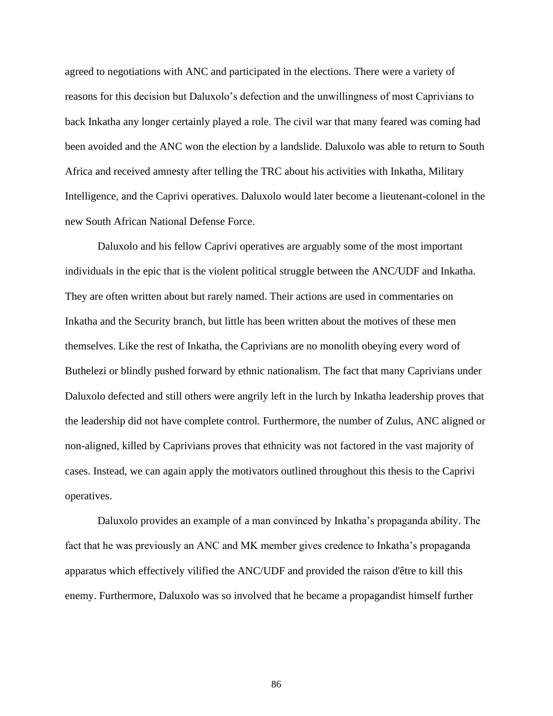agreed to negotiations with ANC and participated in the elections. There were a variety of reasons for this decision but Daluxolo's defection and the unwillingness of most Caprivians to back Inkatha any longer certainly played a role. The civil war that many feared was coming had been avoided and the ANC won the election by a landslide. Daluxolo was able to return to South Africa and received amnesty after telling the TRC about his activities with Inkatha, Military Intelligence, and the Caprivi operatives. Daluxolo would later become a lieutenant-colonel in the new South African National Defense Force.

Daluxolo and his fellow Caprivi operatives are arguably some of the most important individuals in the epic that is the violent political struggle between the ANC/UDF and Inkatha. They are often written about but rarely named. Their actions are used in commentaries on Inkatha and the Security branch, but little has been written about the motives of these men themselves. Like the rest of Inkatha, the Caprivians are no monolith obeying every word of Buthelezi or blindly pushed forward by ethnic nationalism. The fact that many Caprivians under Daluxolo defected and still others were angrily left in the lurch by Inkatha leadership proves that the leadership did not have complete control. Furthermore, the number of Zulus, ANC aligned or non-aligned, killed by Caprivians proves that ethnicity was not factored in the vast majority of cases. Instead, we can again apply the motivators outlined throughout this thesis to the Caprivi operatives.

Daluxolo provides an example of a man convinced by Inkatha's propaganda ability. The fact that he was previously an ANC and MK member gives credence to Inkatha's propaganda apparatus which effectively vilified the ANC/UDF and provided the raison d'être to kill this enemy. Furthermore, Daluxolo was so involved that he became a propagandist himself further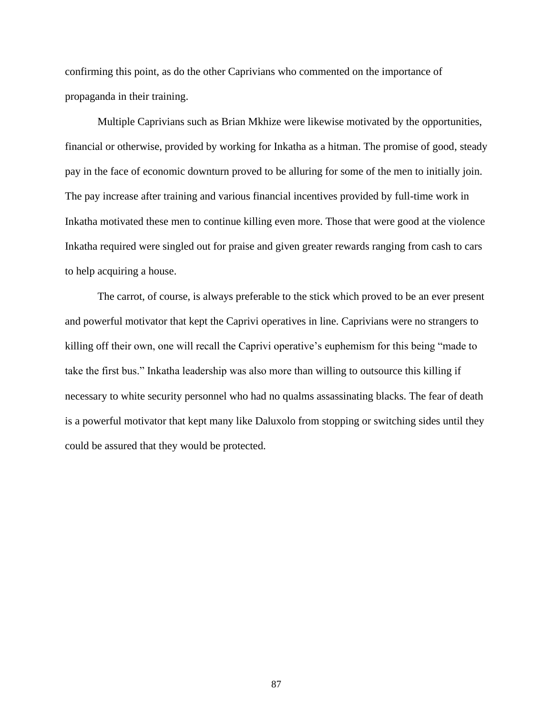confirming this point, as do the other Caprivians who commented on the importance of propaganda in their training.

Multiple Caprivians such as Brian Mkhize were likewise motivated by the opportunities, financial or otherwise, provided by working for Inkatha as a hitman. The promise of good, steady pay in the face of economic downturn proved to be alluring for some of the men to initially join. The pay increase after training and various financial incentives provided by full-time work in Inkatha motivated these men to continue killing even more. Those that were good at the violence Inkatha required were singled out for praise and given greater rewards ranging from cash to cars to help acquiring a house.

The carrot, of course, is always preferable to the stick which proved to be an ever present and powerful motivator that kept the Caprivi operatives in line. Caprivians were no strangers to killing off their own, one will recall the Caprivi operative's euphemism for this being "made to take the first bus." Inkatha leadership was also more than willing to outsource this killing if necessary to white security personnel who had no qualms assassinating blacks. The fear of death is a powerful motivator that kept many like Daluxolo from stopping or switching sides until they could be assured that they would be protected.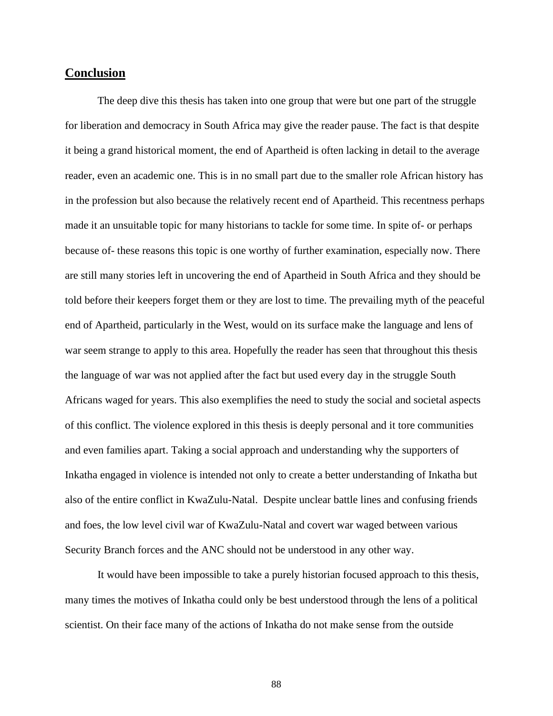# **Conclusion**

The deep dive this thesis has taken into one group that were but one part of the struggle for liberation and democracy in South Africa may give the reader pause. The fact is that despite it being a grand historical moment, the end of Apartheid is often lacking in detail to the average reader, even an academic one. This is in no small part due to the smaller role African history has in the profession but also because the relatively recent end of Apartheid. This recentness perhaps made it an unsuitable topic for many historians to tackle for some time. In spite of- or perhaps because of- these reasons this topic is one worthy of further examination, especially now. There are still many stories left in uncovering the end of Apartheid in South Africa and they should be told before their keepers forget them or they are lost to time. The prevailing myth of the peaceful end of Apartheid, particularly in the West, would on its surface make the language and lens of war seem strange to apply to this area. Hopefully the reader has seen that throughout this thesis the language of war was not applied after the fact but used every day in the struggle South Africans waged for years. This also exemplifies the need to study the social and societal aspects of this conflict. The violence explored in this thesis is deeply personal and it tore communities and even families apart. Taking a social approach and understanding why the supporters of Inkatha engaged in violence is intended not only to create a better understanding of Inkatha but also of the entire conflict in KwaZulu-Natal. Despite unclear battle lines and confusing friends and foes, the low level civil war of KwaZulu-Natal and covert war waged between various Security Branch forces and the ANC should not be understood in any other way.

It would have been impossible to take a purely historian focused approach to this thesis, many times the motives of Inkatha could only be best understood through the lens of a political scientist. On their face many of the actions of Inkatha do not make sense from the outside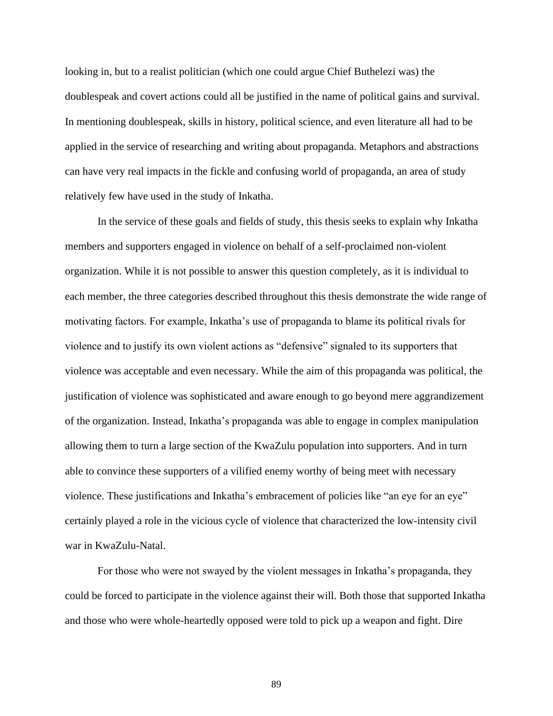looking in, but to a realist politician (which one could argue Chief Buthelezi was) the doublespeak and covert actions could all be justified in the name of political gains and survival. In mentioning doublespeak, skills in history, political science, and even literature all had to be applied in the service of researching and writing about propaganda. Metaphors and abstractions can have very real impacts in the fickle and confusing world of propaganda, an area of study relatively few have used in the study of Inkatha.

In the service of these goals and fields of study, this thesis seeks to explain why Inkatha members and supporters engaged in violence on behalf of a self-proclaimed non-violent organization. While it is not possible to answer this question completely, as it is individual to each member, the three categories described throughout this thesis demonstrate the wide range of motivating factors. For example, Inkatha's use of propaganda to blame its political rivals for violence and to justify its own violent actions as "defensive" signaled to its supporters that violence was acceptable and even necessary. While the aim of this propaganda was political, the justification of violence was sophisticated and aware enough to go beyond mere aggrandizement of the organization. Instead, Inkatha's propaganda was able to engage in complex manipulation allowing them to turn a large section of the KwaZulu population into supporters. And in turn able to convince these supporters of a vilified enemy worthy of being meet with necessary violence. These justifications and Inkatha's embracement of policies like "an eye for an eye" certainly played a role in the vicious cycle of violence that characterized the low-intensity civil war in KwaZulu-Natal.

For those who were not swayed by the violent messages in Inkatha's propaganda, they could be forced to participate in the violence against their will. Both those that supported Inkatha and those who were whole-heartedly opposed were told to pick up a weapon and fight. Dire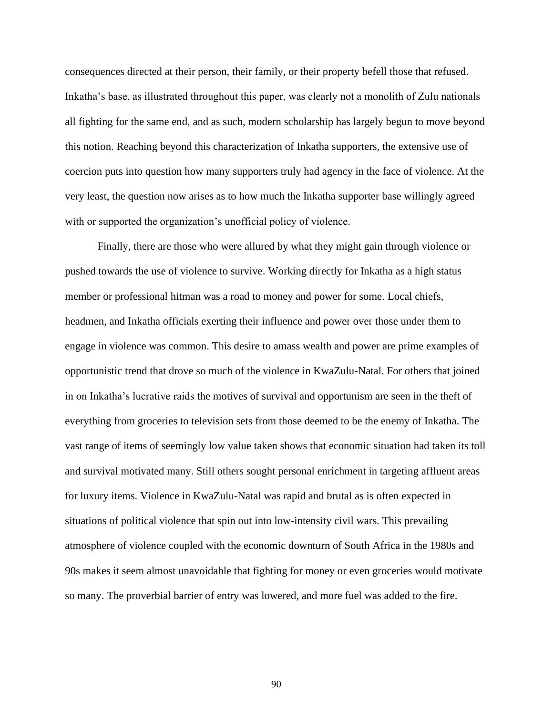consequences directed at their person, their family, or their property befell those that refused. Inkatha's base, as illustrated throughout this paper, was clearly not a monolith of Zulu nationals all fighting for the same end, and as such, modern scholarship has largely begun to move beyond this notion. Reaching beyond this characterization of Inkatha supporters, the extensive use of coercion puts into question how many supporters truly had agency in the face of violence. At the very least, the question now arises as to how much the Inkatha supporter base willingly agreed with or supported the organization's unofficial policy of violence.

Finally, there are those who were allured by what they might gain through violence or pushed towards the use of violence to survive. Working directly for Inkatha as a high status member or professional hitman was a road to money and power for some. Local chiefs, headmen, and Inkatha officials exerting their influence and power over those under them to engage in violence was common. This desire to amass wealth and power are prime examples of opportunistic trend that drove so much of the violence in KwaZulu-Natal. For others that joined in on Inkatha's lucrative raids the motives of survival and opportunism are seen in the theft of everything from groceries to television sets from those deemed to be the enemy of Inkatha. The vast range of items of seemingly low value taken shows that economic situation had taken its toll and survival motivated many. Still others sought personal enrichment in targeting affluent areas for luxury items. Violence in KwaZulu-Natal was rapid and brutal as is often expected in situations of political violence that spin out into low-intensity civil wars. This prevailing atmosphere of violence coupled with the economic downturn of South Africa in the 1980s and 90s makes it seem almost unavoidable that fighting for money or even groceries would motivate so many. The proverbial barrier of entry was lowered, and more fuel was added to the fire.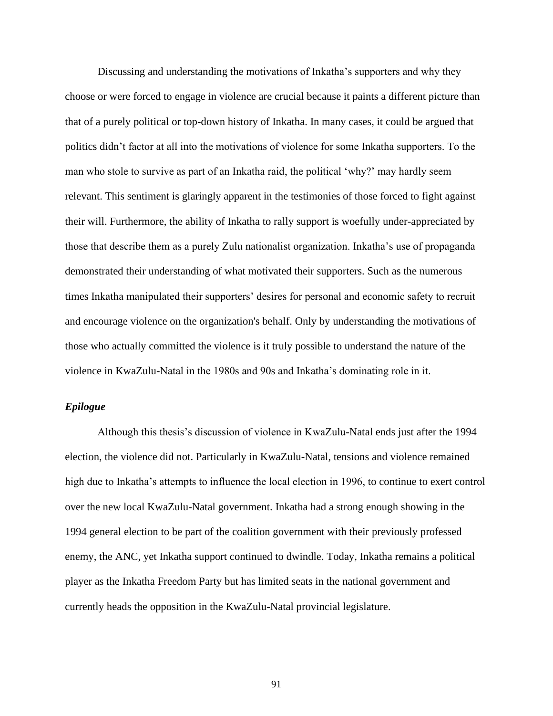Discussing and understanding the motivations of Inkatha's supporters and why they choose or were forced to engage in violence are crucial because it paints a different picture than that of a purely political or top-down history of Inkatha. In many cases, it could be argued that politics didn't factor at all into the motivations of violence for some Inkatha supporters. To the man who stole to survive as part of an Inkatha raid, the political 'why?' may hardly seem relevant. This sentiment is glaringly apparent in the testimonies of those forced to fight against their will. Furthermore, the ability of Inkatha to rally support is woefully under-appreciated by those that describe them as a purely Zulu nationalist organization. Inkatha's use of propaganda demonstrated their understanding of what motivated their supporters. Such as the numerous times Inkatha manipulated their supporters' desires for personal and economic safety to recruit and encourage violence on the organization's behalf. Only by understanding the motivations of those who actually committed the violence is it truly possible to understand the nature of the violence in KwaZulu-Natal in the 1980s and 90s and Inkatha's dominating role in it.

# *Epilogue*

Although this thesis's discussion of violence in KwaZulu-Natal ends just after the 1994 election, the violence did not. Particularly in KwaZulu-Natal, tensions and violence remained high due to Inkatha's attempts to influence the local election in 1996, to continue to exert control over the new local KwaZulu-Natal government. Inkatha had a strong enough showing in the 1994 general election to be part of the coalition government with their previously professed enemy, the ANC, yet Inkatha support continued to dwindle. Today, Inkatha remains a political player as the Inkatha Freedom Party but has limited seats in the national government and currently heads the opposition in the KwaZulu-Natal provincial legislature.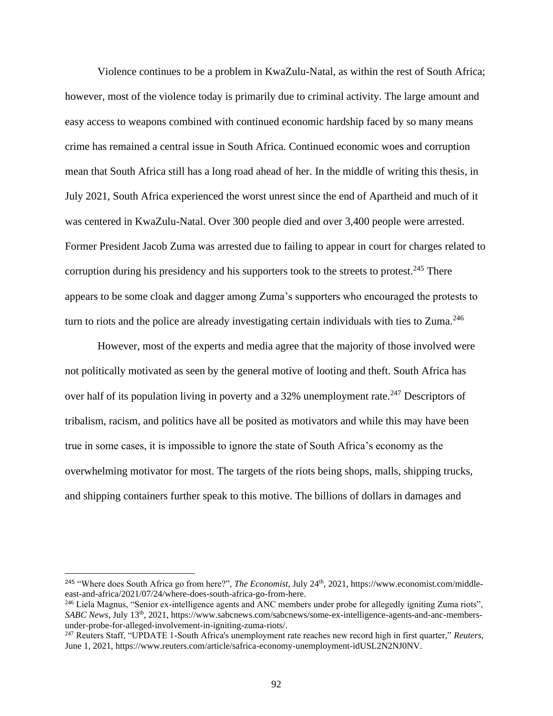Violence continues to be a problem in KwaZulu-Natal, as within the rest of South Africa; however, most of the violence today is primarily due to criminal activity. The large amount and easy access to weapons combined with continued economic hardship faced by so many means crime has remained a central issue in South Africa. Continued economic woes and corruption mean that South Africa still has a long road ahead of her. In the middle of writing this thesis, in July 2021, South Africa experienced the worst unrest since the end of Apartheid and much of it was centered in KwaZulu-Natal. Over 300 people died and over 3,400 people were arrested. Former President Jacob Zuma was arrested due to failing to appear in court for charges related to corruption during his presidency and his supporters took to the streets to protest.<sup>245</sup> There appears to be some cloak and dagger among Zuma's supporters who encouraged the protests to turn to riots and the police are already investigating certain individuals with ties to Zuma. $^{246}$ 

However, most of the experts and media agree that the majority of those involved were not politically motivated as seen by the general motive of looting and theft. South Africa has over half of its population living in poverty and a  $32\%$  unemployment rate.<sup>247</sup> Descriptors of tribalism, racism, and politics have all be posited as motivators and while this may have been true in some cases, it is impossible to ignore the state of South Africa's economy as the overwhelming motivator for most. The targets of the riots being shops, malls, shipping trucks, and shipping containers further speak to this motive. The billions of dollars in damages and

<sup>&</sup>lt;sup>245</sup> "Where does South Africa go from here?", *The Economist*, July 24<sup>th</sup>, 2021, https://www.economist.com/middleeast-and-africa/2021/07/24/where-does-south-africa-go-from-here.

<sup>&</sup>lt;sup>246</sup> Liela Magnus, "Senior ex-intelligence agents and ANC members under probe for allegedly igniting Zuma riots", *SABC News*, July 13th, 2021, https://www.sabcnews.com/sabcnews/some-ex-intelligence-agents-and-anc-membersunder-probe-for-alleged-involvement-in-igniting-zuma-riots/.

<sup>247</sup> Reuters Staff, "UPDATE 1-South Africa's unemployment rate reaches new record high in first quarter," *Reuters*, June 1, 2021, https://www.reuters.com/article/safrica-economy-unemployment-idUSL2N2NJ0NV.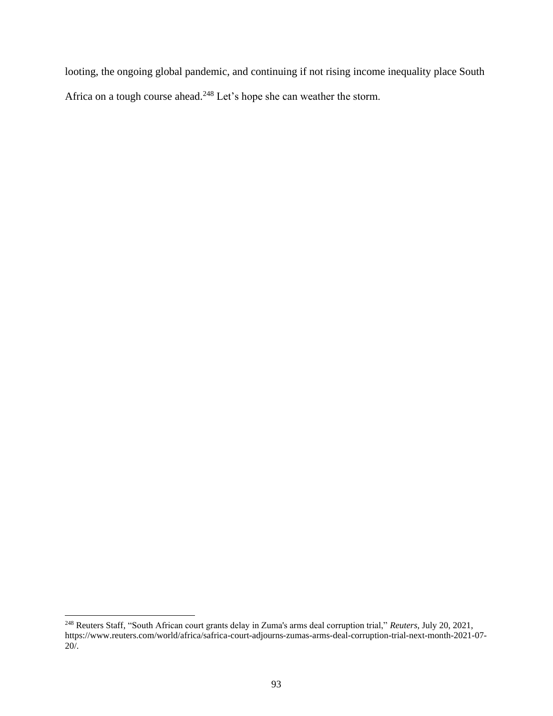looting, the ongoing global pandemic, and continuing if not rising income inequality place South Africa on a tough course ahead.<sup>248</sup> Let's hope she can weather the storm.

<sup>248</sup> Reuters Staff, "South African court grants delay in Zuma's arms deal corruption trial," *Reuters*, July 20, 2021, https://www.reuters.com/world/africa/safrica-court-adjourns-zumas-arms-deal-corruption-trial-next-month-2021-07- 20/.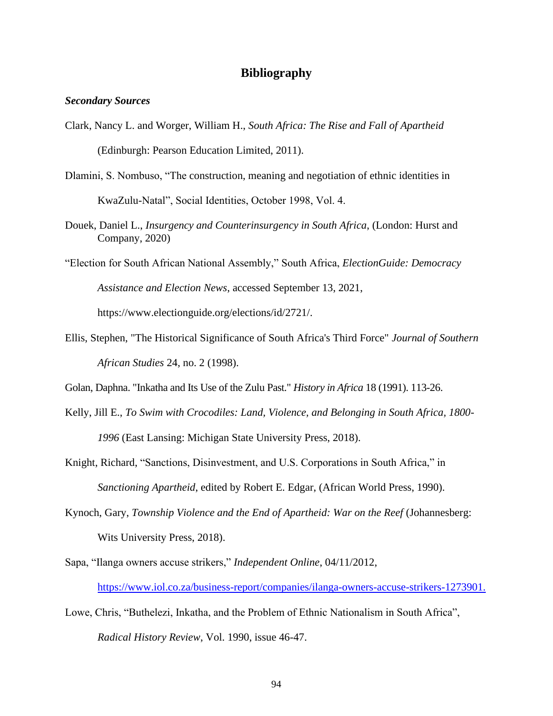# **Bibliography**

### *Secondary Sources*

- Clark, Nancy L. and Worger, William H., *South Africa: The Rise and Fall of Apartheid*  (Edinburgh: Pearson Education Limited, 2011).
- Dlamini, S. Nombuso, "The construction, meaning and negotiation of ethnic identities in KwaZulu-Natal", Social Identities, October 1998, Vol. 4.
- Douek, Daniel L., *Insurgency and Counterinsurgency in South Africa*, (London: Hurst and Company, 2020)

"Election for South African National Assembly," South Africa, *ElectionGuide: Democracy Assistance and Election News*, accessed September 13, 2021, https://www.electionguide.org/elections/id/2721/.

Ellis, Stephen, "The Historical Significance of South Africa's Third Force" *Journal of Southern African Studies* 24, no. 2 (1998).

Golan, Daphna. "Inkatha and Its Use of the Zulu Past." *History in Africa* 18 (1991). 113-26.

- Kelly, Jill E., *To Swim with Crocodiles: Land, Violence, and Belonging in South Africa, 1800- 1996* (East Lansing: Michigan State University Press, 2018).
- Knight, Richard, "Sanctions, Disinvestment, and U.S. Corporations in South Africa," in *Sanctioning Apartheid*, edited by Robert E. Edgar, (African World Press, 1990).
- Kynoch, Gary, *Township Violence and the End of Apartheid: War on the Reef* (Johannesberg: Wits University Press, 2018).
- Sapa, "Ilanga owners accuse strikers," *Independent Online*, 04/11/2012, [https://www.iol.co.za/business-report/companies/ilanga-owners-accuse-strikers-1273901.](https://www.iol.co.za/business-report/companies/ilanga-owners-accuse-strikers-1273901)
- Lowe, Chris, "Buthelezi, Inkatha, and the Problem of Ethnic Nationalism in South Africa", *Radical History Review*, Vol. 1990, issue 46-47.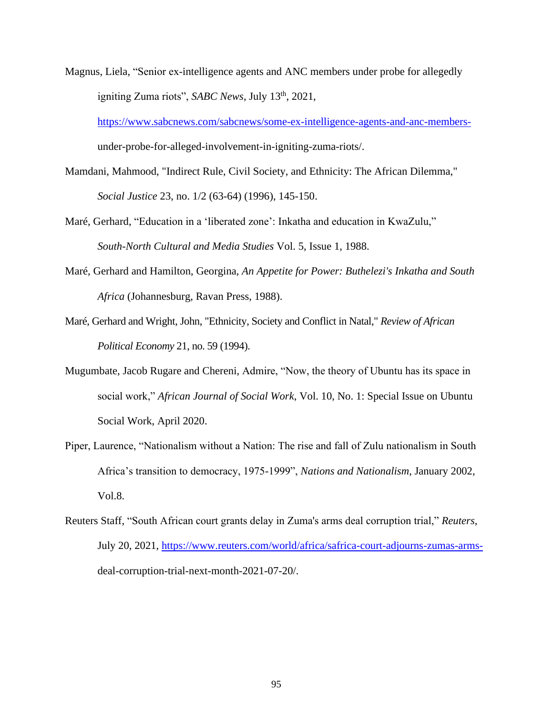Magnus, Liela, "Senior ex-intelligence agents and ANC members under probe for allegedly igniting Zuma riots", *SABC News*, July 13<sup>th</sup>, 2021,

[https://www.sabcnews.com/sabcnews/some-ex-intelligence-agents-and-anc-members](https://www.sabcnews.com/sabcnews/some-ex-intelligence-agents-and-anc-members-)under-probe-for-alleged-involvement-in-igniting-zuma-riots/.

Mamdani, Mahmood, "Indirect Rule, Civil Society, and Ethnicity: The African Dilemma," *Social Justice* 23, no. 1/2 (63-64) (1996), 145-150.

- Maré, Gerhard, "Education in a 'liberated zone': Inkatha and education in KwaZulu," *South-North Cultural and Media Studies* Vol. 5, Issue 1, 1988.
- Maré, Gerhard and Hamilton, Georgina, *An Appetite for Power: Buthelezi's Inkatha and South Africa* (Johannesburg, Ravan Press, 1988).
- Maré, Gerhard and Wright, John, "Ethnicity, Society and Conflict in Natal," *Review of African Political Economy* 21, no. 59 (1994).
- Mugumbate, Jacob Rugare and Chereni, Admire, "Now, the theory of Ubuntu has its space in social work," *African Journal of Social Work*, Vol. 10, No. 1: Special Issue on Ubuntu Social Work, April 2020.
- Piper, Laurence, "Nationalism without a Nation: The rise and fall of Zulu nationalism in South Africa's transition to democracy, 1975-1999", *Nations and Nationalism*, January 2002, Vol.8.
- Reuters Staff, "South African court grants delay in Zuma's arms deal corruption trial," *Reuters*, July 20, 2021, [https://www.reuters.com/world/africa/safrica-court-adjourns-zumas-arms](https://www.reuters.com/world/africa/safrica-court-adjourns-zumas-arms-)deal-corruption-trial-next-month-2021-07-20/.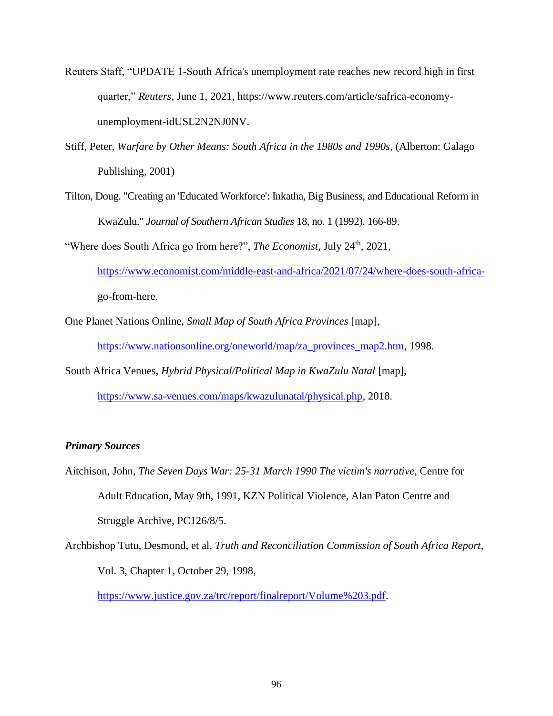- Reuters Staff, "UPDATE 1-South Africa's unemployment rate reaches new record high in first quarter," *Reuters*, June 1, 2021, https://www.reuters.com/article/safrica-economyunemployment-idUSL2N2NJ0NV.
- Stiff, Peter, *Warfare by Other Means: South Africa in the 1980s and 1990s*, (Alberton: Galago Publishing, 2001)
- Tilton, Doug. "Creating an 'Educated Workforce': Inkatha, Big Business, and Educational Reform in KwaZulu." *Journal of Southern African Studies* 18, no. 1 (1992). 166-89.

"Where does South Africa go from here?", *The Economist*, July 24<sup>th</sup>, 2021,

[https://www.economist.com/middle-east-and-africa/2021/07/24/where-does-south-africa](https://www.economist.com/middle-east-and-africa/2021/07/24/where-does-south-africa-)go-from-here.

One Planet Nations Online, *Small Map of South Africa Provinces* [map],

[https://www.nationsonline.org/oneworld/map/za\\_provinces\\_map2.htm,](https://www.nationsonline.org/oneworld/map/za_provinces_map2.htm) 1998.

South Africa Venues, *Hybrid Physical/Political Map in KwaZulu Natal* [map],

[https://www.sa-venues.com/maps/kwazulunatal/physical.php,](https://www.sa-venues.com/maps/kwazulunatal/physical.php) 2018.

# *Primary Sources*

- Aitchison, John, *The Seven Days War: 25-31 March 1990 The victim's narrative*, Centre for Adult Education, May 9th, 1991, KZN Political Violence, Alan Paton Centre and Struggle Archive, PC126/8/5.
- Archbishop Tutu, Desmond, et al, *Truth and Reconciliation Commission of South Africa Report*, Vol. 3, Chapter 1, October 29, 1998,

[https://www.justice.gov.za/trc/report/finalreport/Volume%203.pdf.](https://www.justice.gov.za/trc/report/finalreport/Volume%203.pdf)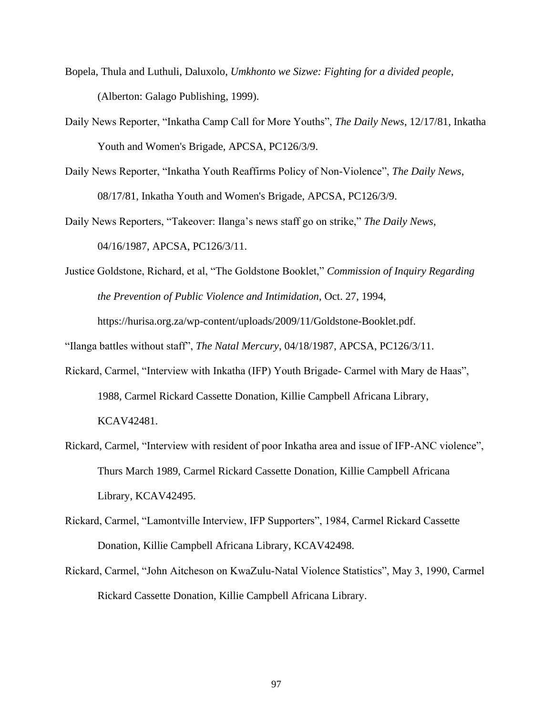- Bopela, Thula and Luthuli, Daluxolo, *Umkhonto we Sizwe: Fighting for a divided people*, (Alberton: Galago Publishing, 1999).
- Daily News Reporter, "Inkatha Camp Call for More Youths", *The Daily News*, 12/17/81, Inkatha Youth and Women's Brigade, APCSA, PC126/3/9.
- Daily News Reporter, "Inkatha Youth Reaffirms Policy of Non-Violence", *The Daily News*, 08/17/81, Inkatha Youth and Women's Brigade, APCSA, PC126/3/9.

Daily News Reporters, "Takeover: Ilanga's news staff go on strike," *The Daily News*, 04/16/1987, APCSA, PC126/3/11.

Justice Goldstone, Richard, et al, "The Goldstone Booklet," *Commission of Inquiry Regarding the Prevention of Public Violence and Intimidation*, Oct. 27, 1994, https://hurisa.org.za/wp-content/uploads/2009/11/Goldstone-Booklet.pdf.

"Ilanga battles without staff", *The Natal Mercury*, 04/18/1987, APCSA, PC126/3/11.

- Rickard, Carmel, "Interview with Inkatha (IFP) Youth Brigade- Carmel with Mary de Haas", 1988, Carmel Rickard Cassette Donation, Killie Campbell Africana Library, KCAV42481.
- Rickard, Carmel, "Interview with resident of poor Inkatha area and issue of IFP-ANC violence", Thurs March 1989, Carmel Rickard Cassette Donation, Killie Campbell Africana Library, KCAV42495.
- Rickard, Carmel, "Lamontville Interview, IFP Supporters", 1984, Carmel Rickard Cassette Donation, Killie Campbell Africana Library, KCAV42498.
- Rickard, Carmel, "John Aitcheson on KwaZulu-Natal Violence Statistics", May 3, 1990, Carmel Rickard Cassette Donation, Killie Campbell Africana Library.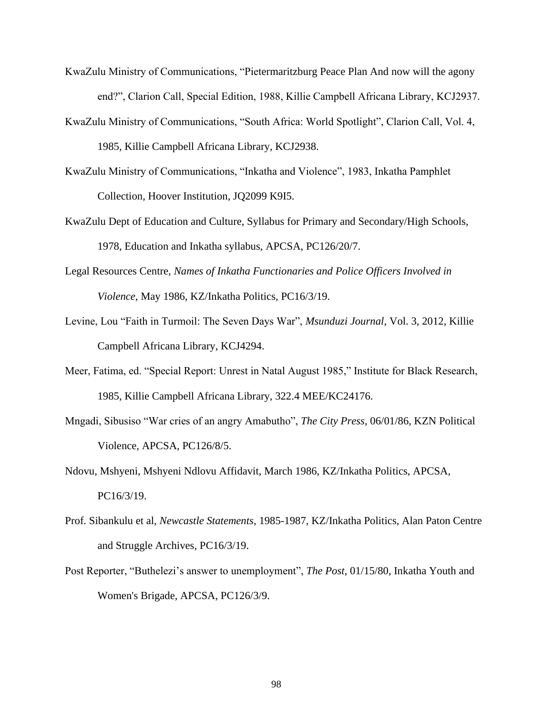- KwaZulu Ministry of Communications, "Pietermaritzburg Peace Plan And now will the agony end?", Clarion Call, Special Edition, 1988, Killie Campbell Africana Library, KCJ2937.
- KwaZulu Ministry of Communications, "South Africa: World Spotlight", Clarion Call, Vol. 4, 1985, Killie Campbell Africana Library, KCJ2938.
- KwaZulu Ministry of Communications, "Inkatha and Violence", 1983, Inkatha Pamphlet Collection, Hoover Institution, JQ2099 K9I5.
- KwaZulu Dept of Education and Culture, Syllabus for Primary and Secondary/High Schools, 1978, Education and Inkatha syllabus, APCSA, PC126/20/7.
- Legal Resources Centre*, Names of Inkatha Functionaries and Police Officers Involved in Violence*, May 1986, KZ/Inkatha Politics, PC16/3/19.
- Levine, Lou "Faith in Turmoil: The Seven Days War", *Msunduzi Journal*, Vol. 3, 2012, Killie Campbell Africana Library, KCJ4294.
- Meer, Fatima, ed. "Special Report: Unrest in Natal August 1985," Institute for Black Research, 1985, Killie Campbell Africana Library, 322.4 MEE/KC24176.
- Mngadi, Sibusiso "War cries of an angry Amabutho", *The City Press*, 06/01/86, KZN Political Violence, APCSA, PC126/8/5.
- Ndovu, Mshyeni, Mshyeni Ndlovu Affidavit, March 1986, KZ/Inkatha Politics, APCSA, PC16/3/19.
- Prof. Sibankulu et al, *Newcastle Statements*, 1985-1987, KZ/Inkatha Politics, Alan Paton Centre and Struggle Archives, PC16/3/19.
- Post Reporter, "Buthelezi's answer to unemployment", *The Post*, 01/15/80, Inkatha Youth and Women's Brigade, APCSA, PC126/3/9.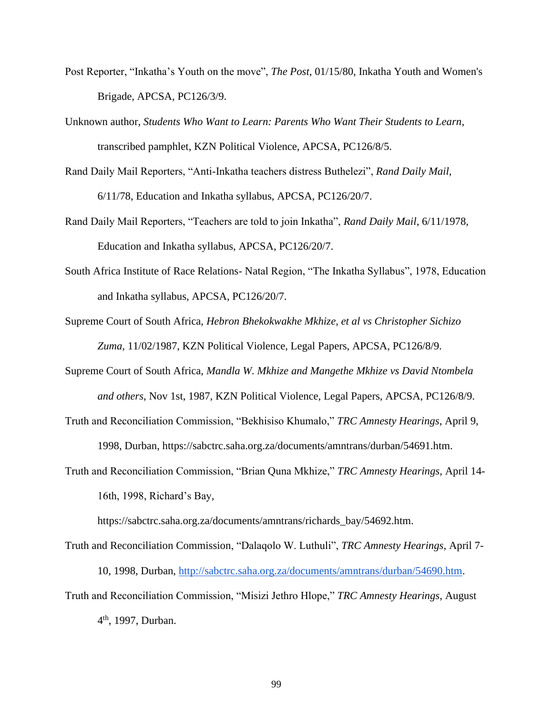- Post Reporter, "Inkatha's Youth on the move", *The Post*, 01/15/80, Inkatha Youth and Women's Brigade, APCSA, PC126/3/9.
- Unknown author, *Students Who Want to Learn: Parents Who Want Their Students to Learn*, transcribed pamphlet, KZN Political Violence, APCSA, PC126/8/5.
- Rand Daily Mail Reporters, "Anti-Inkatha teachers distress Buthelezi", *Rand Daily Mail,* 6/11/78, Education and Inkatha syllabus, APCSA, PC126/20/7.
- Rand Daily Mail Reporters, "Teachers are told to join Inkatha", *Rand Daily Mail*, 6/11/1978, Education and Inkatha syllabus, APCSA, PC126/20/7.
- South Africa Institute of Race Relations- Natal Region, "The Inkatha Syllabus", 1978, Education and Inkatha syllabus, APCSA, PC126/20/7.
- Supreme Court of South Africa, *Hebron Bhekokwakhe Mkhize, et al vs Christopher Sichizo Zuma*, 11/02/1987, KZN Political Violence, Legal Papers, APCSA, PC126/8/9.
- Supreme Court of South Africa, *Mandla W. Mkhize and Mangethe Mkhize vs David Ntombela and others*, Nov 1st, 1987, KZN Political Violence, Legal Papers, APCSA, PC126/8/9.
- Truth and Reconciliation Commission, "Bekhisiso Khumalo," *TRC Amnesty Hearings*, April 9, 1998, Durban, https://sabctrc.saha.org.za/documents/amntrans/durban/54691.htm.
- Truth and Reconciliation Commission, "Brian Quna Mkhize," *TRC Amnesty Hearings*, April 14- 16th, 1998, Richard's Bay,

https://sabctrc.saha.org.za/documents/amntrans/richards\_bay/54692.htm.

Truth and Reconciliation Commission, "Dalaqolo W. Luthuli", *TRC Amnesty Hearings*, April 7- 10, 1998, Durban, [http://sabctrc.saha.org.za/documents/amntrans/durban/54690.htm.](about:blank) Truth and Reconciliation Commission, "Misizi Jethro Hlope," *TRC Amnesty Hearings*, August 4<sup>th</sup>, 1997, Durban.